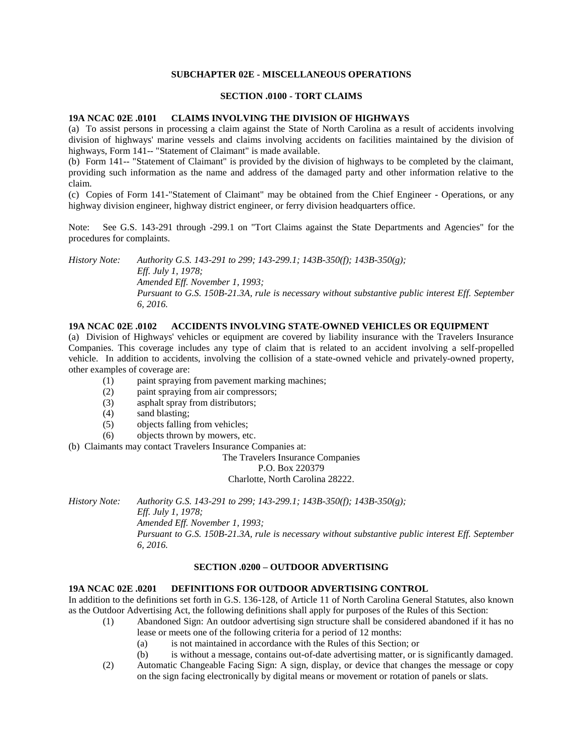## **SUBCHAPTER 02E - MISCELLANEOUS OPERATIONS**

#### **SECTION .0100 - TORT CLAIMS**

#### **19A NCAC 02E .0101 CLAIMS INVOLVING THE DIVISION OF HIGHWAYS**

(a) To assist persons in processing a claim against the State of North Carolina as a result of accidents involving division of highways' marine vessels and claims involving accidents on facilities maintained by the division of highways, Form 141-- "Statement of Claimant" is made available.

(b) Form 141-- "Statement of Claimant" is provided by the division of highways to be completed by the claimant, providing such information as the name and address of the damaged party and other information relative to the claim.

(c) Copies of Form 141-"Statement of Claimant" may be obtained from the Chief Engineer - Operations, or any highway division engineer, highway district engineer, or ferry division headquarters office.

Note: See G.S. 143-291 through -299.1 on "Tort Claims against the State Departments and Agencies" for the procedures for complaints.

*History Note: Authority G.S. 143-291 to 299; 143-299.1; 143B-350(f); 143B-350(g); Eff. July 1, 1978; Amended Eff. November 1, 1993; Pursuant to G.S. 150B-21.3A, rule is necessary without substantive public interest Eff. September 6, 2016.*

# **19A NCAC 02E .0102 ACCIDENTS INVOLVING STATE-OWNED VEHICLES OR EQUIPMENT**

(a) Division of Highways' vehicles or equipment are covered by liability insurance with the Travelers Insurance Companies. This coverage includes any type of claim that is related to an accident involving a self-propelled vehicle. In addition to accidents, involving the collision of a state-owned vehicle and privately-owned property, other examples of coverage are:

- (1) paint spraying from pavement marking machines;
- (2) paint spraying from air compressors;
- (3) asphalt spray from distributors;
- (4) sand blasting;
- (5) objects falling from vehicles;
- (6) objects thrown by mowers, etc.

(b) Claimants may contact Travelers Insurance Companies at:

The Travelers Insurance Companies P.O. Box 220379 Charlotte, North Carolina 28222.

*History Note: Authority G.S. 143-291 to 299; 143-299.1; 143B-350(f); 143B-350(g);*

*Eff. July 1, 1978;*

*Amended Eff. November 1, 1993;*

*Pursuant to G.S. 150B-21.3A, rule is necessary without substantive public interest Eff. September 6, 2016.*

# **SECTION .0200 – OUTDOOR ADVERTISING**

### **19A NCAC 02E .0201 DEFINITIONS FOR OUTDOOR ADVERTISING CONTROL**

In addition to the definitions set forth in G.S. 136-128, of Article 11 of North Carolina General Statutes, also known as the Outdoor Advertising Act, the following definitions shall apply for purposes of the Rules of this Section:

- (1) Abandoned Sign: An outdoor advertising sign structure shall be considered abandoned if it has no lease or meets one of the following criteria for a period of 12 months:
	- (a) is not maintained in accordance with the Rules of this Section; or
	- (b) is without a message, contains out-of-date advertising matter, or is significantly damaged.
- (2) Automatic Changeable Facing Sign: A sign, display, or device that changes the message or copy on the sign facing electronically by digital means or movement or rotation of panels or slats.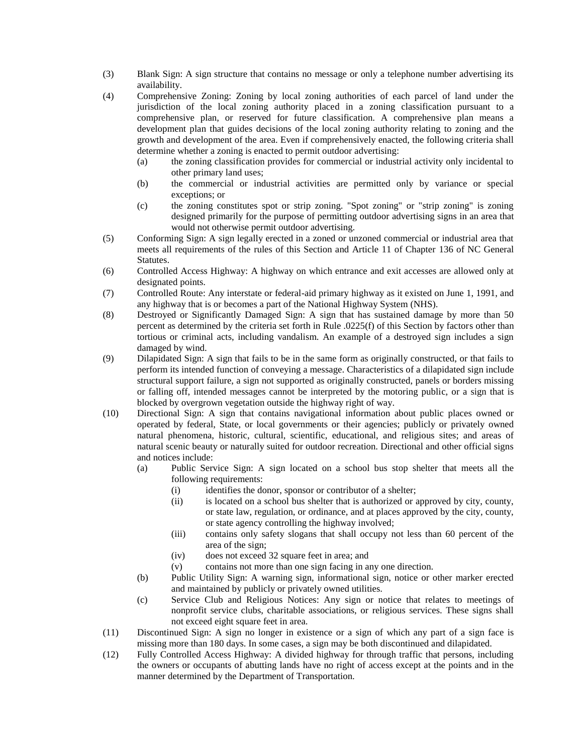- (3) Blank Sign: A sign structure that contains no message or only a telephone number advertising its availability.
- (4) Comprehensive Zoning: Zoning by local zoning authorities of each parcel of land under the jurisdiction of the local zoning authority placed in a zoning classification pursuant to a comprehensive plan, or reserved for future classification. A comprehensive plan means a development plan that guides decisions of the local zoning authority relating to zoning and the growth and development of the area. Even if comprehensively enacted, the following criteria shall determine whether a zoning is enacted to permit outdoor advertising:
	- (a) the zoning classification provides for commercial or industrial activity only incidental to other primary land uses;
	- (b) the commercial or industrial activities are permitted only by variance or special exceptions; or
	- (c) the zoning constitutes spot or strip zoning. "Spot zoning" or "strip zoning" is zoning designed primarily for the purpose of permitting outdoor advertising signs in an area that would not otherwise permit outdoor advertising.
- (5) Conforming Sign: A sign legally erected in a zoned or unzoned commercial or industrial area that meets all requirements of the rules of this Section and Article 11 of Chapter 136 of NC General Statutes.
- (6) Controlled Access Highway: A highway on which entrance and exit accesses are allowed only at designated points.
- (7) Controlled Route: Any interstate or federal-aid primary highway as it existed on June 1, 1991, and any highway that is or becomes a part of the National Highway System (NHS).
- (8) Destroyed or Significantly Damaged Sign: A sign that has sustained damage by more than 50 percent as determined by the criteria set forth in Rule .0225(f) of this Section by factors other than tortious or criminal acts, including vandalism. An example of a destroyed sign includes a sign damaged by wind.
- (9) Dilapidated Sign: A sign that fails to be in the same form as originally constructed, or that fails to perform its intended function of conveying a message. Characteristics of a dilapidated sign include structural support failure, a sign not supported as originally constructed, panels or borders missing or falling off, intended messages cannot be interpreted by the motoring public, or a sign that is blocked by overgrown vegetation outside the highway right of way.
- (10) Directional Sign: A sign that contains navigational information about public places owned or operated by federal, State, or local governments or their agencies; publicly or privately owned natural phenomena, historic, cultural, scientific, educational, and religious sites; and areas of natural scenic beauty or naturally suited for outdoor recreation. Directional and other official signs and notices include:
	- (a) Public Service Sign: A sign located on a school bus stop shelter that meets all the following requirements:
		- (i) identifies the donor, sponsor or contributor of a shelter;
		- (ii) is located on a school bus shelter that is authorized or approved by city, county, or state law, regulation, or ordinance, and at places approved by the city, county, or state agency controlling the highway involved;
		- (iii) contains only safety slogans that shall occupy not less than 60 percent of the area of the sign;
		- (iv) does not exceed 32 square feet in area; and
		- (v) contains not more than one sign facing in any one direction.
	- (b) Public Utility Sign: A warning sign, informational sign, notice or other marker erected and maintained by publicly or privately owned utilities.
	- (c) Service Club and Religious Notices: Any sign or notice that relates to meetings of nonprofit service clubs, charitable associations, or religious services. These signs shall not exceed eight square feet in area.
- (11) Discontinued Sign: A sign no longer in existence or a sign of which any part of a sign face is missing more than 180 days. In some cases, a sign may be both discontinued and dilapidated.
- (12) Fully Controlled Access Highway: A divided highway for through traffic that persons, including the owners or occupants of abutting lands have no right of access except at the points and in the manner determined by the Department of Transportation.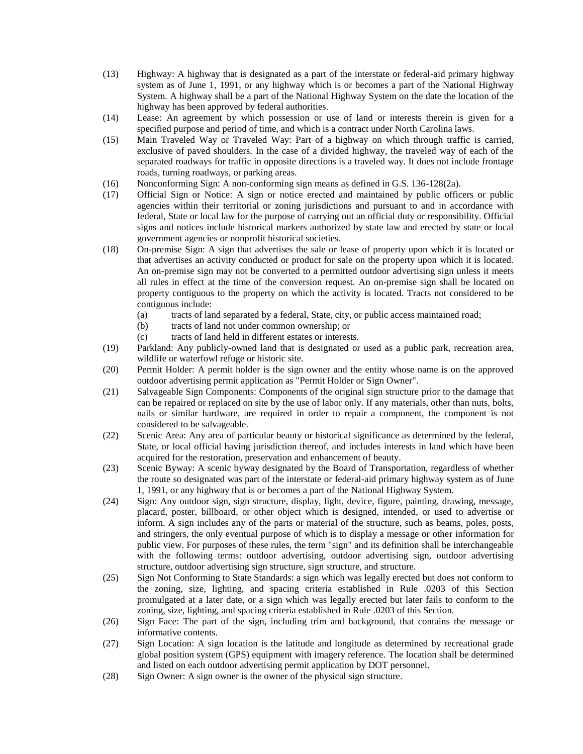- (13) Highway: A highway that is designated as a part of the interstate or federal-aid primary highway system as of June 1, 1991, or any highway which is or becomes a part of the National Highway System. A highway shall be a part of the National Highway System on the date the location of the highway has been approved by federal authorities.
- (14) Lease: An agreement by which possession or use of land or interests therein is given for a specified purpose and period of time, and which is a contract under North Carolina laws.
- (15) Main Traveled Way or Traveled Way: Part of a highway on which through traffic is carried, exclusive of paved shoulders. In the case of a divided highway, the traveled way of each of the separated roadways for traffic in opposite directions is a traveled way. It does not include frontage roads, turning roadways, or parking areas.
- (16) Nonconforming Sign: A non-conforming sign means as defined in G.S. 136-128(2a).
- (17) Official Sign or Notice: A sign or notice erected and maintained by public officers or public agencies within their territorial or zoning jurisdictions and pursuant to and in accordance with federal, State or local law for the purpose of carrying out an official duty or responsibility. Official signs and notices include historical markers authorized by state law and erected by state or local government agencies or nonprofit historical societies.
- (18) On-premise Sign: A sign that advertises the sale or lease of property upon which it is located or that advertises an activity conducted or product for sale on the property upon which it is located. An on-premise sign may not be converted to a permitted outdoor advertising sign unless it meets all rules in effect at the time of the conversion request. An on-premise sign shall be located on property contiguous to the property on which the activity is located. Tracts not considered to be contiguous include:
	- (a) tracts of land separated by a federal, State, city, or public access maintained road;
	- (b) tracts of land not under common ownership; or
	- (c) tracts of land held in different estates or interests.
- (19) Parkland: Any publicly-owned land that is designated or used as a public park, recreation area, wildlife or waterfowl refuge or historic site.
- (20) Permit Holder: A permit holder is the sign owner and the entity whose name is on the approved outdoor advertising permit application as "Permit Holder or Sign Owner".
- (21) Salvageable Sign Components: Components of the original sign structure prior to the damage that can be repaired or replaced on site by the use of labor only. If any materials, other than nuts, bolts, nails or similar hardware, are required in order to repair a component, the component is not considered to be salvageable.
- (22) Scenic Area: Any area of particular beauty or historical significance as determined by the federal, State, or local official having jurisdiction thereof, and includes interests in land which have been acquired for the restoration, preservation and enhancement of beauty.
- (23) Scenic Byway: A scenic byway designated by the Board of Transportation, regardless of whether the route so designated was part of the interstate or federal-aid primary highway system as of June 1, 1991, or any highway that is or becomes a part of the National Highway System.
- (24) Sign: Any outdoor sign, sign structure, display, light, device, figure, painting, drawing, message, placard, poster, billboard, or other object which is designed, intended, or used to advertise or inform. A sign includes any of the parts or material of the structure, such as beams, poles, posts, and stringers, the only eventual purpose of which is to display a message or other information for public view. For purposes of these rules, the term "sign" and its definition shall be interchangeable with the following terms: outdoor advertising, outdoor advertising sign, outdoor advertising structure, outdoor advertising sign structure, sign structure, and structure.
- (25) Sign Not Conforming to State Standards: a sign which was legally erected but does not conform to the zoning, size, lighting, and spacing criteria established in Rule .0203 of this Section promulgated at a later date, or a sign which was legally erected but later fails to conform to the zoning, size, lighting, and spacing criteria established in Rule .0203 of this Section.
- (26) Sign Face: The part of the sign, including trim and background, that contains the message or informative contents.
- (27) Sign Location: A sign location is the latitude and longitude as determined by recreational grade global position system (GPS) equipment with imagery reference. The location shall be determined and listed on each outdoor advertising permit application by DOT personnel.
- (28) Sign Owner: A sign owner is the owner of the physical sign structure.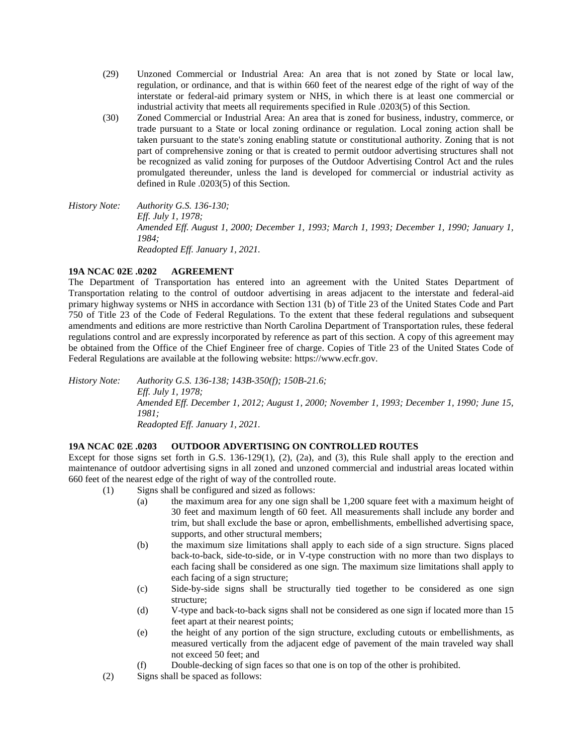- (29) Unzoned Commercial or Industrial Area: An area that is not zoned by State or local law, regulation, or ordinance, and that is within 660 feet of the nearest edge of the right of way of the interstate or federal-aid primary system or NHS, in which there is at least one commercial or industrial activity that meets all requirements specified in Rule .0203(5) of this Section.
- (30) Zoned Commercial or Industrial Area: An area that is zoned for business, industry, commerce, or trade pursuant to a State or local zoning ordinance or regulation. Local zoning action shall be taken pursuant to the state's zoning enabling statute or constitutional authority. Zoning that is not part of comprehensive zoning or that is created to permit outdoor advertising structures shall not be recognized as valid zoning for purposes of the Outdoor Advertising Control Act and the rules promulgated thereunder, unless the land is developed for commercial or industrial activity as defined in Rule .0203(5) of this Section.
- *History Note: Authority G.S. 136-130; Eff. July 1, 1978; Amended Eff. August 1, 2000; December 1, 1993; March 1, 1993; December 1, 1990; January 1, 1984; Readopted Eff. January 1, 2021.*

# **19A NCAC 02E .0202 AGREEMENT**

The Department of Transportation has entered into an agreement with the United States Department of Transportation relating to the control of outdoor advertising in areas adjacent to the interstate and federal-aid primary highway systems or NHS in accordance with Section 131 (b) of Title 23 of the United States Code and Part 750 of Title 23 of the Code of Federal Regulations. To the extent that these federal regulations and subsequent amendments and editions are more restrictive than North Carolina Department of Transportation rules, these federal regulations control and are expressly incorporated by reference as part of this section. A copy of this agreement may be obtained from the Office of the Chief Engineer free of charge. Copies of Title 23 of the United States Code of Federal Regulations are available at the following website: https://www.ecfr.gov.

*History Note: Authority G.S. 136-138; 143B-350(f); 150B-21.6; Eff. July 1, 1978; Amended Eff. December 1, 2012; August 1, 2000; November 1, 1993; December 1, 1990; June 15, 1981; Readopted Eff. January 1, 2021.*

### **19A NCAC 02E .0203 OUTDOOR ADVERTISING ON CONTROLLED ROUTES**

Except for those signs set forth in G.S. 136-129(1), (2), (2a), and (3), this Rule shall apply to the erection and maintenance of outdoor advertising signs in all zoned and unzoned commercial and industrial areas located within 660 feet of the nearest edge of the right of way of the controlled route.

- (1) Signs shall be configured and sized as follows:
	- (a) the maximum area for any one sign shall be 1,200 square feet with a maximum height of 30 feet and maximum length of 60 feet. All measurements shall include any border and trim, but shall exclude the base or apron, embellishments, embellished advertising space, supports, and other structural members;
	- (b) the maximum size limitations shall apply to each side of a sign structure. Signs placed back-to-back, side-to-side, or in V-type construction with no more than two displays to each facing shall be considered as one sign. The maximum size limitations shall apply to each facing of a sign structure;
	- (c) Side-by-side signs shall be structurally tied together to be considered as one sign structure;
	- (d) V-type and back-to-back signs shall not be considered as one sign if located more than 15 feet apart at their nearest points;
	- (e) the height of any portion of the sign structure, excluding cutouts or embellishments, as measured vertically from the adjacent edge of pavement of the main traveled way shall not exceed 50 feet; and
	- (f) Double-decking of sign faces so that one is on top of the other is prohibited.
- (2) Signs shall be spaced as follows: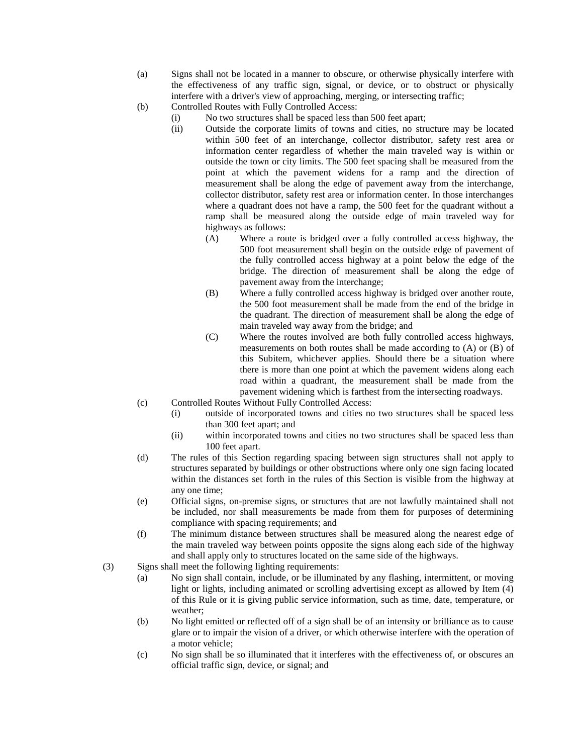- (a) Signs shall not be located in a manner to obscure, or otherwise physically interfere with the effectiveness of any traffic sign, signal, or device, or to obstruct or physically interfere with a driver's view of approaching, merging, or intersecting traffic;
- (b) Controlled Routes with Fully Controlled Access:
	- (i) No two structures shall be spaced less than 500 feet apart;
		- (ii) Outside the corporate limits of towns and cities, no structure may be located within 500 feet of an interchange, collector distributor, safety rest area or information center regardless of whether the main traveled way is within or outside the town or city limits. The 500 feet spacing shall be measured from the point at which the pavement widens for a ramp and the direction of measurement shall be along the edge of pavement away from the interchange, collector distributor, safety rest area or information center. In those interchanges where a quadrant does not have a ramp, the 500 feet for the quadrant without a ramp shall be measured along the outside edge of main traveled way for highways as follows:
			- (A) Where a route is bridged over a fully controlled access highway, the 500 foot measurement shall begin on the outside edge of pavement of the fully controlled access highway at a point below the edge of the bridge. The direction of measurement shall be along the edge of pavement away from the interchange;
			- (B) Where a fully controlled access highway is bridged over another route, the 500 foot measurement shall be made from the end of the bridge in the quadrant. The direction of measurement shall be along the edge of main traveled way away from the bridge; and
			- (C) Where the routes involved are both fully controlled access highways, measurements on both routes shall be made according to (A) or (B) of this Subitem, whichever applies. Should there be a situation where there is more than one point at which the pavement widens along each road within a quadrant, the measurement shall be made from the pavement widening which is farthest from the intersecting roadways.
- (c) Controlled Routes Without Fully Controlled Access:
	- (i) outside of incorporated towns and cities no two structures shall be spaced less than 300 feet apart; and
	- (ii) within incorporated towns and cities no two structures shall be spaced less than 100 feet apart.
- (d) The rules of this Section regarding spacing between sign structures shall not apply to structures separated by buildings or other obstructions where only one sign facing located within the distances set forth in the rules of this Section is visible from the highway at any one time;
- (e) Official signs, on-premise signs, or structures that are not lawfully maintained shall not be included, nor shall measurements be made from them for purposes of determining compliance with spacing requirements; and
- (f) The minimum distance between structures shall be measured along the nearest edge of the main traveled way between points opposite the signs along each side of the highway and shall apply only to structures located on the same side of the highways.
- (3) Signs shall meet the following lighting requirements:
	- (a) No sign shall contain, include, or be illuminated by any flashing, intermittent, or moving light or lights, including animated or scrolling advertising except as allowed by Item (4) of this Rule or it is giving public service information, such as time, date, temperature, or weather;
	- (b) No light emitted or reflected off of a sign shall be of an intensity or brilliance as to cause glare or to impair the vision of a driver, or which otherwise interfere with the operation of a motor vehicle;
	- (c) No sign shall be so illuminated that it interferes with the effectiveness of, or obscures an official traffic sign, device, or signal; and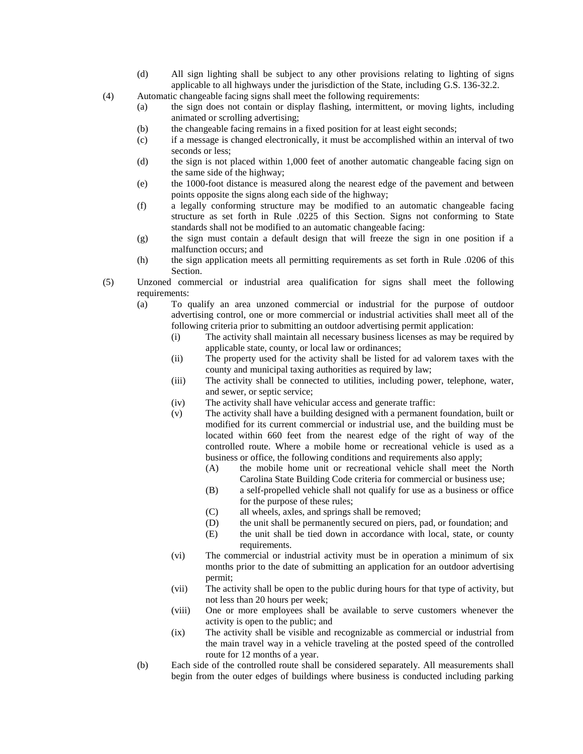- (d) All sign lighting shall be subject to any other provisions relating to lighting of signs applicable to all highways under the jurisdiction of the State, including G.S. 136-32.2.
- (4) Automatic changeable facing signs shall meet the following requirements:
	- (a) the sign does not contain or display flashing, intermittent, or moving lights, including animated or scrolling advertising;
	- (b) the changeable facing remains in a fixed position for at least eight seconds;
	- (c) if a message is changed electronically, it must be accomplished within an interval of two seconds or less;
	- (d) the sign is not placed within 1,000 feet of another automatic changeable facing sign on the same side of the highway;
	- (e) the 1000-foot distance is measured along the nearest edge of the pavement and between points opposite the signs along each side of the highway;
	- (f) a legally conforming structure may be modified to an automatic changeable facing structure as set forth in Rule .0225 of this Section. Signs not conforming to State standards shall not be modified to an automatic changeable facing:
	- (g) the sign must contain a default design that will freeze the sign in one position if a malfunction occurs; and
	- (h) the sign application meets all permitting requirements as set forth in Rule .0206 of this Section.
- (5) Unzoned commercial or industrial area qualification for signs shall meet the following requirements:
	- (a) To qualify an area unzoned commercial or industrial for the purpose of outdoor advertising control, one or more commercial or industrial activities shall meet all of the following criteria prior to submitting an outdoor advertising permit application:
		- (i) The activity shall maintain all necessary business licenses as may be required by applicable state, county, or local law or ordinances;
		- (ii) The property used for the activity shall be listed for ad valorem taxes with the county and municipal taxing authorities as required by law;
		- (iii) The activity shall be connected to utilities, including power, telephone, water, and sewer, or septic service;
		- (iv) The activity shall have vehicular access and generate traffic:
		- (v) The activity shall have a building designed with a permanent foundation, built or modified for its current commercial or industrial use, and the building must be located within 660 feet from the nearest edge of the right of way of the controlled route. Where a mobile home or recreational vehicle is used as a business or office, the following conditions and requirements also apply;
			- (A) the mobile home unit or recreational vehicle shall meet the North Carolina State Building Code criteria for commercial or business use;
			- (B) a self-propelled vehicle shall not qualify for use as a business or office for the purpose of these rules;
			- (C) all wheels, axles, and springs shall be removed;
			- (D) the unit shall be permanently secured on piers, pad, or foundation; and
			- (E) the unit shall be tied down in accordance with local, state, or county requirements.
		- (vi) The commercial or industrial activity must be in operation a minimum of six months prior to the date of submitting an application for an outdoor advertising permit;
		- (vii) The activity shall be open to the public during hours for that type of activity, but not less than 20 hours per week;
		- (viii) One or more employees shall be available to serve customers whenever the activity is open to the public; and
		- (ix) The activity shall be visible and recognizable as commercial or industrial from the main travel way in a vehicle traveling at the posted speed of the controlled route for 12 months of a year.
	- (b) Each side of the controlled route shall be considered separately. All measurements shall begin from the outer edges of buildings where business is conducted including parking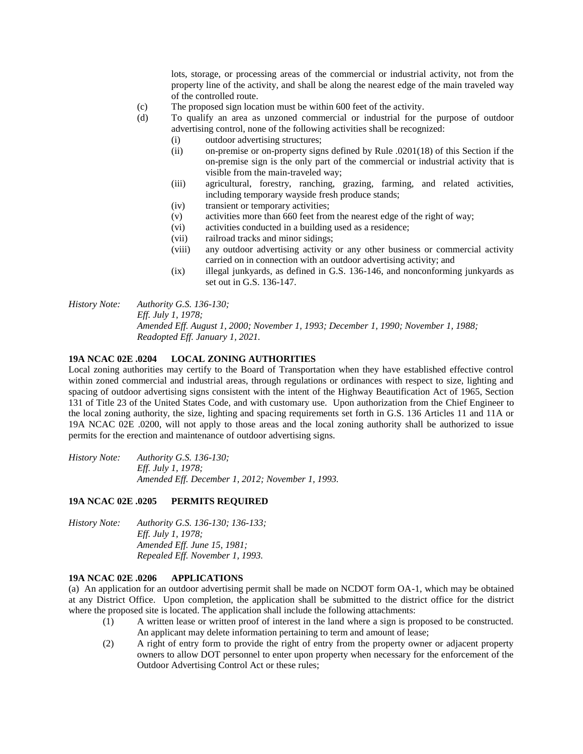lots, storage, or processing areas of the commercial or industrial activity, not from the property line of the activity, and shall be along the nearest edge of the main traveled way of the controlled route.

- (c) The proposed sign location must be within 600 feet of the activity.
- (d) To qualify an area as unzoned commercial or industrial for the purpose of outdoor advertising control, none of the following activities shall be recognized:
	- (i) outdoor advertising structures;
	- (ii) on-premise or on-property signs defined by Rule .0201(18) of this Section if the on-premise sign is the only part of the commercial or industrial activity that is visible from the main-traveled way;
	- (iii) agricultural, forestry, ranching, grazing, farming, and related activities, including temporary wayside fresh produce stands;
	- (iv) transient or temporary activities;
	- (v) activities more than 660 feet from the nearest edge of the right of way;
	- (vi) activities conducted in a building used as a residence;
	- (vii) railroad tracks and minor sidings;
	- (viii) any outdoor advertising activity or any other business or commercial activity carried on in connection with an outdoor advertising activity; and
	- (ix) illegal junkyards, as defined in G.S. 136-146, and nonconforming junkyards as set out in G.S. 136-147.
- *History Note: Authority G.S. 136-130;*

*Eff. July 1, 1978; Amended Eff. August 1, 2000; November 1, 1993; December 1, 1990; November 1, 1988; Readopted Eff. January 1, 2021.*

### **19A NCAC 02E .0204 LOCAL ZONING AUTHORITIES**

Local zoning authorities may certify to the Board of Transportation when they have established effective control within zoned commercial and industrial areas, through regulations or ordinances with respect to size, lighting and spacing of outdoor advertising signs consistent with the intent of the Highway Beautification Act of 1965, Section 131 of Title 23 of the United States Code, and with customary use. Upon authorization from the Chief Engineer to the local zoning authority, the size, lighting and spacing requirements set forth in G.S. 136 Articles 11 and 11A or 19A NCAC 02E .0200, will not apply to those areas and the local zoning authority shall be authorized to issue permits for the erection and maintenance of outdoor advertising signs.

*History Note: Authority G.S. 136-130; Eff. July 1, 1978; Amended Eff. December 1, 2012; November 1, 1993.*

#### **19A NCAC 02E .0205 PERMITS REQUIRED**

*History Note: Authority G.S. 136-130; 136-133; Eff. July 1, 1978; Amended Eff. June 15, 1981; Repealed Eff. November 1, 1993.*

#### **19A NCAC 02E .0206 APPLICATIONS**

(a) An application for an outdoor advertising permit shall be made on NCDOT form OA-1, which may be obtained at any District Office. Upon completion, the application shall be submitted to the district office for the district where the proposed site is located. The application shall include the following attachments:

- (1) A written lease or written proof of interest in the land where a sign is proposed to be constructed. An applicant may delete information pertaining to term and amount of lease;
- (2) A right of entry form to provide the right of entry from the property owner or adjacent property owners to allow DOT personnel to enter upon property when necessary for the enforcement of the Outdoor Advertising Control Act or these rules;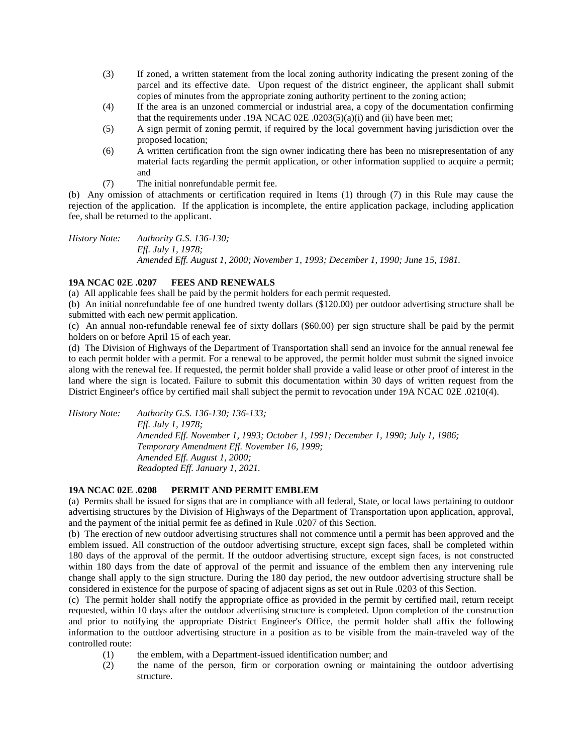- (3) If zoned, a written statement from the local zoning authority indicating the present zoning of the parcel and its effective date. Upon request of the district engineer, the applicant shall submit copies of minutes from the appropriate zoning authority pertinent to the zoning action;
- (4) If the area is an unzoned commercial or industrial area, a copy of the documentation confirming that the requirements under .19A NCAC 02E .0203(5)(a)(i) and (ii) have been met;
- (5) A sign permit of zoning permit, if required by the local government having jurisdiction over the proposed location;
- (6) A written certification from the sign owner indicating there has been no misrepresentation of any material facts regarding the permit application, or other information supplied to acquire a permit; and
- (7) The initial nonrefundable permit fee.

(b) Any omission of attachments or certification required in Items (1) through (7) in this Rule may cause the rejection of the application. If the application is incomplete, the entire application package, including application fee, shall be returned to the applicant.

*History Note: Authority G.S. 136-130; Eff. July 1, 1978; Amended Eff. August 1, 2000; November 1, 1993; December 1, 1990; June 15, 1981.*

# **19A NCAC 02E .0207 FEES AND RENEWALS**

(a) All applicable fees shall be paid by the permit holders for each permit requested.

(b) An initial nonrefundable fee of one hundred twenty dollars (\$120.00) per outdoor advertising structure shall be submitted with each new permit application.

(c) An annual non-refundable renewal fee of sixty dollars (\$60.00) per sign structure shall be paid by the permit holders on or before April 15 of each year.

(d) The Division of Highways of the Department of Transportation shall send an invoice for the annual renewal fee to each permit holder with a permit. For a renewal to be approved, the permit holder must submit the signed invoice along with the renewal fee. If requested, the permit holder shall provide a valid lease or other proof of interest in the land where the sign is located. Failure to submit this documentation within 30 days of written request from the District Engineer's office by certified mail shall subject the permit to revocation under 19A NCAC 02E .0210(4).

*History Note: Authority G.S. 136-130; 136-133; Eff. July 1, 1978; Amended Eff. November 1, 1993; October 1, 1991; December 1, 1990; July 1, 1986; Temporary Amendment Eff. November 16, 1999; Amended Eff. August 1, 2000; Readopted Eff. January 1, 2021.*

### **19A NCAC 02E .0208 PERMIT AND PERMIT EMBLEM**

(a) Permits shall be issued for signs that are in compliance with all federal, State, or local laws pertaining to outdoor advertising structures by the Division of Highways of the Department of Transportation upon application, approval, and the payment of the initial permit fee as defined in Rule .0207 of this Section.

(b) The erection of new outdoor advertising structures shall not commence until a permit has been approved and the emblem issued. All construction of the outdoor advertising structure, except sign faces, shall be completed within 180 days of the approval of the permit. If the outdoor advertising structure, except sign faces, is not constructed within 180 days from the date of approval of the permit and issuance of the emblem then any intervening rule change shall apply to the sign structure. During the 180 day period, the new outdoor advertising structure shall be considered in existence for the purpose of spacing of adjacent signs as set out in Rule .0203 of this Section.

(c) The permit holder shall notify the appropriate office as provided in the permit by certified mail, return receipt requested, within 10 days after the outdoor advertising structure is completed. Upon completion of the construction and prior to notifying the appropriate District Engineer's Office, the permit holder shall affix the following information to the outdoor advertising structure in a position as to be visible from the main-traveled way of the controlled route:

- (1) the emblem, with a Department-issued identification number; and
- (2) the name of the person, firm or corporation owning or maintaining the outdoor advertising structure.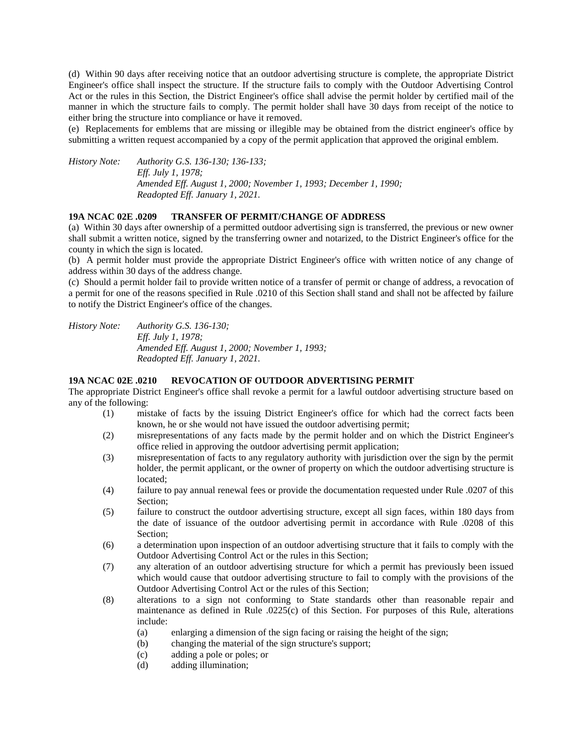(d) Within 90 days after receiving notice that an outdoor advertising structure is complete, the appropriate District Engineer's office shall inspect the structure. If the structure fails to comply with the Outdoor Advertising Control Act or the rules in this Section, the District Engineer's office shall advise the permit holder by certified mail of the manner in which the structure fails to comply. The permit holder shall have 30 days from receipt of the notice to either bring the structure into compliance or have it removed.

(e) Replacements for emblems that are missing or illegible may be obtained from the district engineer's office by submitting a written request accompanied by a copy of the permit application that approved the original emblem.

*History Note: Authority G.S. 136-130; 136-133; Eff. July 1, 1978; Amended Eff. August 1, 2000; November 1, 1993; December 1, 1990; Readopted Eff. January 1, 2021.*

### **19A NCAC 02E .0209 TRANSFER OF PERMIT/CHANGE OF ADDRESS**

(a) Within 30 days after ownership of a permitted outdoor advertising sign is transferred, the previous or new owner shall submit a written notice, signed by the transferring owner and notarized, to the District Engineer's office for the county in which the sign is located.

(b) A permit holder must provide the appropriate District Engineer's office with written notice of any change of address within 30 days of the address change.

(c) Should a permit holder fail to provide written notice of a transfer of permit or change of address, a revocation of a permit for one of the reasons specified in Rule .0210 of this Section shall stand and shall not be affected by failure to notify the District Engineer's office of the changes.

*History Note: Authority G.S. 136-130; Eff. July 1, 1978; Amended Eff. August 1, 2000; November 1, 1993; Readopted Eff. January 1, 2021.*

## **19A NCAC 02E .0210 REVOCATION OF OUTDOOR ADVERTISING PERMIT**

The appropriate District Engineer's office shall revoke a permit for a lawful outdoor advertising structure based on any of the following:

- (1) mistake of facts by the issuing District Engineer's office for which had the correct facts been known, he or she would not have issued the outdoor advertising permit;
- (2) misrepresentations of any facts made by the permit holder and on which the District Engineer's office relied in approving the outdoor advertising permit application;
- (3) misrepresentation of facts to any regulatory authority with jurisdiction over the sign by the permit holder, the permit applicant, or the owner of property on which the outdoor advertising structure is located;
- (4) failure to pay annual renewal fees or provide the documentation requested under Rule .0207 of this Section;
- (5) failure to construct the outdoor advertising structure, except all sign faces, within 180 days from the date of issuance of the outdoor advertising permit in accordance with Rule .0208 of this Section;
- (6) a determination upon inspection of an outdoor advertising structure that it fails to comply with the Outdoor Advertising Control Act or the rules in this Section;
- (7) any alteration of an outdoor advertising structure for which a permit has previously been issued which would cause that outdoor advertising structure to fail to comply with the provisions of the Outdoor Advertising Control Act or the rules of this Section;
- (8) alterations to a sign not conforming to State standards other than reasonable repair and maintenance as defined in Rule .0225(c) of this Section. For purposes of this Rule, alterations include:
	- (a) enlarging a dimension of the sign facing or raising the height of the sign;
	- (b) changing the material of the sign structure's support;
	- (c) adding a pole or poles; or
	- (d) adding illumination;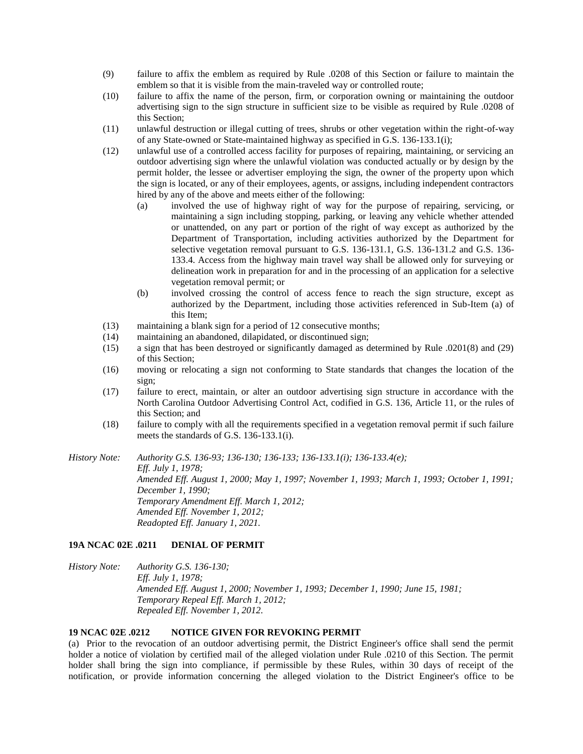- (9) failure to affix the emblem as required by Rule .0208 of this Section or failure to maintain the emblem so that it is visible from the main-traveled way or controlled route;
- (10) failure to affix the name of the person, firm, or corporation owning or maintaining the outdoor advertising sign to the sign structure in sufficient size to be visible as required by Rule .0208 of this Section;
- (11) unlawful destruction or illegal cutting of trees, shrubs or other vegetation within the right-of-way of any State-owned or State-maintained highway as specified in G.S. 136-133.1(i);
- (12) unlawful use of a controlled access facility for purposes of repairing, maintaining, or servicing an outdoor advertising sign where the unlawful violation was conducted actually or by design by the permit holder, the lessee or advertiser employing the sign, the owner of the property upon which the sign is located, or any of their employees, agents, or assigns, including independent contractors hired by any of the above and meets either of the following:
	- (a) involved the use of highway right of way for the purpose of repairing, servicing, or maintaining a sign including stopping, parking, or leaving any vehicle whether attended or unattended, on any part or portion of the right of way except as authorized by the Department of Transportation, including activities authorized by the Department for selective vegetation removal pursuant to G.S. 136-131.1, G.S. 136-131.2 and G.S. 136- 133.4. Access from the highway main travel way shall be allowed only for surveying or delineation work in preparation for and in the processing of an application for a selective vegetation removal permit; or
	- (b) involved crossing the control of access fence to reach the sign structure, except as authorized by the Department, including those activities referenced in Sub-Item (a) of this Item;
- (13) maintaining a blank sign for a period of 12 consecutive months;
- (14) maintaining an abandoned, dilapidated, or discontinued sign;
- (15) a sign that has been destroyed or significantly damaged as determined by Rule .0201(8) and (29) of this Section;
- (16) moving or relocating a sign not conforming to State standards that changes the location of the sign;
- (17) failure to erect, maintain, or alter an outdoor advertising sign structure in accordance with the North Carolina Outdoor Advertising Control Act, codified in G.S. 136, Article 11, or the rules of this Section; and
- (18) failure to comply with all the requirements specified in a vegetation removal permit if such failure meets the standards of G.S. 136-133.1(i).

*History Note: Authority G.S. 136-93; 136-130; 136-133; 136-133.1(i); 136-133.4(e); Eff. July 1, 1978; Amended Eff. August 1, 2000; May 1, 1997; November 1, 1993; March 1, 1993; October 1, 1991; December 1, 1990; Temporary Amendment Eff. March 1, 2012; Amended Eff. November 1, 2012; Readopted Eff. January 1, 2021.*

### **19A NCAC 02E .0211 DENIAL OF PERMIT**

*History Note: Authority G.S. 136-130; Eff. July 1, 1978; Amended Eff. August 1, 2000; November 1, 1993; December 1, 1990; June 15, 1981; Temporary Repeal Eff. March 1, 2012; Repealed Eff. November 1, 2012.*

# **19 NCAC 02E .0212 NOTICE GIVEN FOR REVOKING PERMIT**

(a) Prior to the revocation of an outdoor advertising permit, the District Engineer's office shall send the permit holder a notice of violation by certified mail of the alleged violation under Rule .0210 of this Section. The permit holder shall bring the sign into compliance, if permissible by these Rules, within 30 days of receipt of the notification, or provide information concerning the alleged violation to the District Engineer's office to be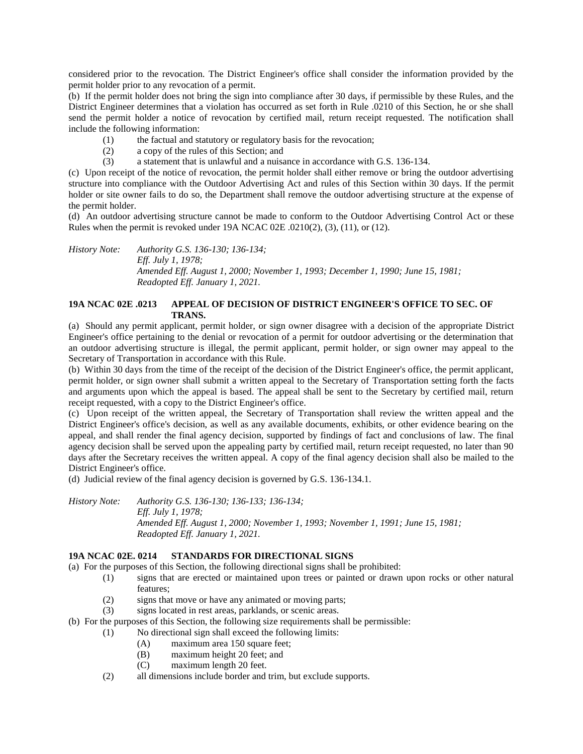considered prior to the revocation. The District Engineer's office shall consider the information provided by the permit holder prior to any revocation of a permit.

(b) If the permit holder does not bring the sign into compliance after 30 days, if permissible by these Rules, and the District Engineer determines that a violation has occurred as set forth in Rule .0210 of this Section, he or she shall send the permit holder a notice of revocation by certified mail, return receipt requested. The notification shall include the following information:

- (1) the factual and statutory or regulatory basis for the revocation;
- (2) a copy of the rules of this Section; and
- (3) a statement that is unlawful and a nuisance in accordance with G.S. 136-134.

(c) Upon receipt of the notice of revocation, the permit holder shall either remove or bring the outdoor advertising structure into compliance with the Outdoor Advertising Act and rules of this Section within 30 days. If the permit holder or site owner fails to do so, the Department shall remove the outdoor advertising structure at the expense of the permit holder.

(d) An outdoor advertising structure cannot be made to conform to the Outdoor Advertising Control Act or these Rules when the permit is revoked under 19A NCAC 02E .0210(2), (3), (11), or (12).

*History Note: Authority G.S. 136-130; 136-134; Eff. July 1, 1978; Amended Eff. August 1, 2000; November 1, 1993; December 1, 1990; June 15, 1981; Readopted Eff. January 1, 2021.*

# **19A NCAC 02E .0213 APPEAL OF DECISION OF DISTRICT ENGINEER'S OFFICE TO SEC. OF TRANS.**

(a) Should any permit applicant, permit holder, or sign owner disagree with a decision of the appropriate District Engineer's office pertaining to the denial or revocation of a permit for outdoor advertising or the determination that an outdoor advertising structure is illegal, the permit applicant, permit holder, or sign owner may appeal to the Secretary of Transportation in accordance with this Rule.

(b) Within 30 days from the time of the receipt of the decision of the District Engineer's office, the permit applicant, permit holder, or sign owner shall submit a written appeal to the Secretary of Transportation setting forth the facts and arguments upon which the appeal is based. The appeal shall be sent to the Secretary by certified mail, return receipt requested, with a copy to the District Engineer's office.

(c) Upon receipt of the written appeal, the Secretary of Transportation shall review the written appeal and the District Engineer's office's decision, as well as any available documents, exhibits, or other evidence bearing on the appeal, and shall render the final agency decision, supported by findings of fact and conclusions of law. The final agency decision shall be served upon the appealing party by certified mail, return receipt requested, no later than 90 days after the Secretary receives the written appeal. A copy of the final agency decision shall also be mailed to the District Engineer's office.

(d) Judicial review of the final agency decision is governed by G.S. 136-134.1.

*History Note: Authority G.S. 136-130; 136-133; 136-134; Eff. July 1, 1978; Amended Eff. August 1, 2000; November 1, 1993; November 1, 1991; June 15, 1981; Readopted Eff. January 1, 2021.*

# **19A NCAC 02E. 0214 STANDARDS FOR DIRECTIONAL SIGNS**

(a) For the purposes of this Section, the following directional signs shall be prohibited:

- (1) signs that are erected or maintained upon trees or painted or drawn upon rocks or other natural features;
- (2) signs that move or have any animated or moving parts;
- (3) signs located in rest areas, parklands, or scenic areas.
- (b) For the purposes of this Section, the following size requirements shall be permissible:
	- (1) No directional sign shall exceed the following limits:
		- (A) maximum area 150 square feet;
		- (B) maximum height 20 feet; and
		- (C) maximum length 20 feet.
	- (2) all dimensions include border and trim, but exclude supports.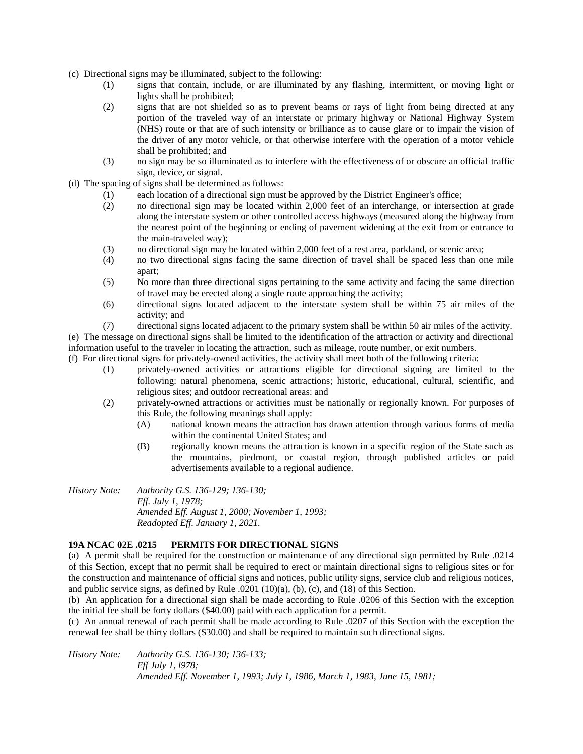- (c) Directional signs may be illuminated, subject to the following:
	- (1) signs that contain, include, or are illuminated by any flashing, intermittent, or moving light or lights shall be prohibited;
	- (2) signs that are not shielded so as to prevent beams or rays of light from being directed at any portion of the traveled way of an interstate or primary highway or National Highway System (NHS) route or that are of such intensity or brilliance as to cause glare or to impair the vision of the driver of any motor vehicle, or that otherwise interfere with the operation of a motor vehicle shall be prohibited; and
	- (3) no sign may be so illuminated as to interfere with the effectiveness of or obscure an official traffic sign, device, or signal.
- (d) The spacing of signs shall be determined as follows:
	- (1) each location of a directional sign must be approved by the District Engineer's office;
	- (2) no directional sign may be located within 2,000 feet of an interchange, or intersection at grade along the interstate system or other controlled access highways (measured along the highway from the nearest point of the beginning or ending of pavement widening at the exit from or entrance to the main-traveled way);
	- (3) no directional sign may be located within 2,000 feet of a rest area, parkland, or scenic area;
	- (4) no two directional signs facing the same direction of travel shall be spaced less than one mile apart;
	- (5) No more than three directional signs pertaining to the same activity and facing the same direction of travel may be erected along a single route approaching the activity;
	- (6) directional signs located adjacent to the interstate system shall be within 75 air miles of the activity; and
	- (7) directional signs located adjacent to the primary system shall be within 50 air miles of the activity.

(e) The message on directional signs shall be limited to the identification of the attraction or activity and directional information useful to the traveler in locating the attraction, such as mileage, route number, or exit numbers.

(f) For directional signs for privately-owned activities, the activity shall meet both of the following criteria:

- (1) privately-owned activities or attractions eligible for directional signing are limited to the following: natural phenomena, scenic attractions; historic, educational, cultural, scientific, and religious sites; and outdoor recreational areas: and
- (2) privately-owned attractions or activities must be nationally or regionally known. For purposes of this Rule, the following meanings shall apply:
	- (A) national known means the attraction has drawn attention through various forms of media within the continental United States; and
	- (B) regionally known means the attraction is known in a specific region of the State such as the mountains, piedmont, or coastal region, through published articles or paid advertisements available to a regional audience.

*History Note: Authority G.S. 136-129; 136-130; Eff. July 1, 1978; Amended Eff. August 1, 2000; November 1, 1993; Readopted Eff. January 1, 2021.*

## **19A NCAC 02E .0215 PERMITS FOR DIRECTIONAL SIGNS**

(a) A permit shall be required for the construction or maintenance of any directional sign permitted by Rule .0214 of this Section, except that no permit shall be required to erect or maintain directional signs to religious sites or for the construction and maintenance of official signs and notices, public utility signs, service club and religious notices, and public service signs, as defined by Rule .0201 (10)(a), (b), (c), and (18) of this Section.

(b) An application for a directional sign shall be made according to Rule .0206 of this Section with the exception the initial fee shall be forty dollars (\$40.00) paid with each application for a permit.

(c) An annual renewal of each permit shall be made according to Rule .0207 of this Section with the exception the renewal fee shall be thirty dollars (\$30.00) and shall be required to maintain such directional signs.

*History Note: Authority G.S. 136-130; 136-133; Eff July 1, l978; Amended Eff. November 1, 1993; July 1, 1986, March 1, 1983, June 15, 1981;*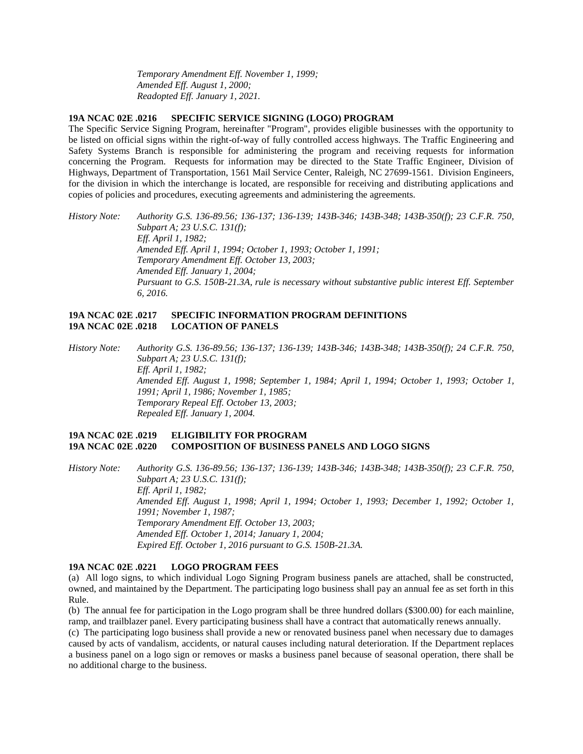*Temporary Amendment Eff. November 1, 1999; Amended Eff. August 1, 2000; Readopted Eff. January 1, 2021.*

#### **19A NCAC 02E .0216 SPECIFIC SERVICE SIGNING (LOGO) PROGRAM**

The Specific Service Signing Program, hereinafter "Program", provides eligible businesses with the opportunity to be listed on official signs within the right-of-way of fully controlled access highways. The Traffic Engineering and Safety Systems Branch is responsible for administering the program and receiving requests for information concerning the Program. Requests for information may be directed to the State Traffic Engineer, Division of Highways, Department of Transportation, 1561 Mail Service Center, Raleigh, NC 27699-1561. Division Engineers, for the division in which the interchange is located, are responsible for receiving and distributing applications and copies of policies and procedures, executing agreements and administering the agreements.

*History Note: Authority G.S. 136-89.56; 136-137; 136-139; 143B-346; 143B-348; 143B-350(f); 23 C.F.R. 750, Subpart A; 23 U.S.C. 131(f); Eff. April 1, 1982; Amended Eff. April 1, 1994; October 1, 1993; October 1, 1991; Temporary Amendment Eff. October 13, 2003; Amended Eff. January 1, 2004; Pursuant to G.S. 150B-21.3A, rule is necessary without substantive public interest Eff. September 6, 2016.*

## **19A NCAC 02E .0217 SPECIFIC INFORMATION PROGRAM DEFINITIONS 19A NCAC 02E .0218 LOCATION OF PANELS**

*History Note: Authority G.S. 136-89.56; 136-137; 136-139; 143B-346; 143B-348; 143B-350(f); 24 C.F.R. 750, Subpart A; 23 U.S.C. 131(f); Eff. April 1, 1982; Amended Eff. August 1, 1998; September 1, 1984; April 1, 1994; October 1, 1993; October 1, 1991; April 1, 1986; November 1, 1985; Temporary Repeal Eff. October 13, 2003; Repealed Eff. January 1, 2004.*

# **19A NCAC 02E .0219 ELIGIBILITY FOR PROGRAM 19A NCAC 02E .0220 COMPOSITION OF BUSINESS PANELS AND LOGO SIGNS**

*History Note: Authority G.S. 136-89.56; 136-137; 136-139; 143B-346; 143B-348; 143B-350(f); 23 C.F.R. 750, Subpart A; 23 U.S.C. 131(f); Eff. April 1, 1982; Amended Eff. August 1, 1998; April 1, 1994; October 1, 1993; December 1, 1992; October 1, 1991; November 1, 1987; Temporary Amendment Eff. October 13, 2003; Amended Eff. October 1, 2014; January 1, 2004; Expired Eff. October 1, 2016 pursuant to G.S. 150B-21.3A.*

# **19A NCAC 02E .0221 LOGO PROGRAM FEES**

(a) All logo signs, to which individual Logo Signing Program business panels are attached, shall be constructed, owned, and maintained by the Department. The participating logo business shall pay an annual fee as set forth in this Rule.

(b) The annual fee for participation in the Logo program shall be three hundred dollars (\$300.00) for each mainline, ramp, and trailblazer panel. Every participating business shall have a contract that automatically renews annually.

(c) The participating logo business shall provide a new or renovated business panel when necessary due to damages caused by acts of vandalism, accidents, or natural causes including natural deterioration. If the Department replaces a business panel on a logo sign or removes or masks a business panel because of seasonal operation, there shall be no additional charge to the business.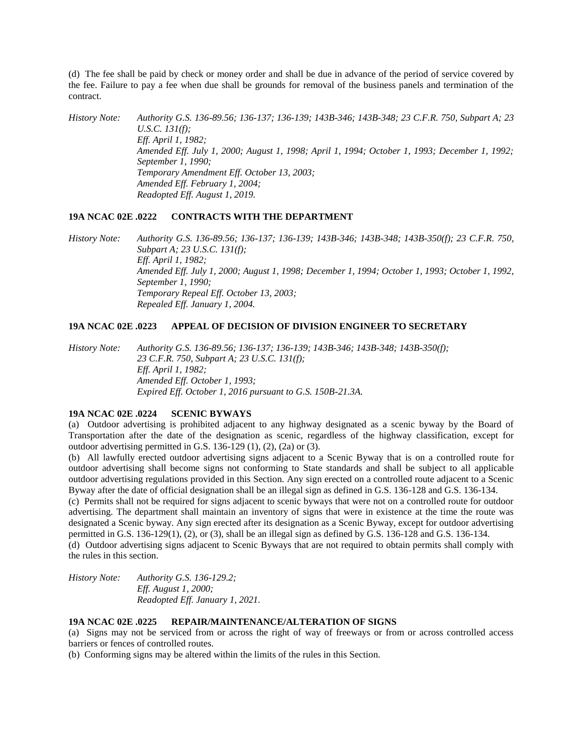(d) The fee shall be paid by check or money order and shall be due in advance of the period of service covered by the fee. Failure to pay a fee when due shall be grounds for removal of the business panels and termination of the contract.

*History Note: Authority G.S. 136-89.56; 136-137; 136-139; 143B-346; 143B-348; 23 C.F.R. 750, Subpart A; 23 U.S.C. 131(f); Eff. April 1, 1982; Amended Eff. July 1, 2000; August 1, 1998; April 1, 1994; October 1, 1993; December 1, 1992; September 1, 1990; Temporary Amendment Eff. October 13, 2003; Amended Eff. February 1, 2004; Readopted Eff. August 1, 2019.*

## **19A NCAC 02E .0222 CONTRACTS WITH THE DEPARTMENT**

*History Note: Authority G.S. 136-89.56; 136-137; 136-139; 143B-346; 143B-348; 143B-350(f); 23 C.F.R. 750, Subpart A; 23 U.S.C. 131(f); Eff. April 1, 1982; Amended Eff. July 1, 2000; August 1, 1998; December 1, 1994; October 1, 1993; October 1, 1992, September 1, 1990; Temporary Repeal Eff. October 13, 2003; Repealed Eff. January 1, 2004.*

# **19A NCAC 02E .0223 APPEAL OF DECISION OF DIVISION ENGINEER TO SECRETARY**

*History Note: Authority G.S. 136-89.56; 136-137; 136-139; 143B-346; 143B-348; 143B-350(f); 23 C.F.R. 750, Subpart A; 23 U.S.C. 131(f); Eff. April 1, 1982; Amended Eff. October 1, 1993; Expired Eff. October 1, 2016 pursuant to G.S. 150B-21.3A.*

## **19A NCAC 02E .0224 SCENIC BYWAYS**

(a) Outdoor advertising is prohibited adjacent to any highway designated as a scenic byway by the Board of Transportation after the date of the designation as scenic, regardless of the highway classification, except for outdoor advertising permitted in G.S. 136-129 (1), (2), (2a) or (3).

(b) All lawfully erected outdoor advertising signs adjacent to a Scenic Byway that is on a controlled route for outdoor advertising shall become signs not conforming to State standards and shall be subject to all applicable outdoor advertising regulations provided in this Section. Any sign erected on a controlled route adjacent to a Scenic Byway after the date of official designation shall be an illegal sign as defined in G.S. 136-128 and G.S. 136-134.

(c) Permits shall not be required for signs adjacent to scenic byways that were not on a controlled route for outdoor advertising. The department shall maintain an inventory of signs that were in existence at the time the route was designated a Scenic byway. Any sign erected after its designation as a Scenic Byway, except for outdoor advertising permitted in G.S. 136-129(1), (2), or (3), shall be an illegal sign as defined by G.S. 136-128 and G.S. 136-134.

(d) Outdoor advertising signs adjacent to Scenic Byways that are not required to obtain permits shall comply with the rules in this section.

*History Note: Authority G.S. 136-129.2; Eff. August 1, 2000; Readopted Eff. January 1, 2021.*

### **19A NCAC 02E .0225 REPAIR/MAINTENANCE/ALTERATION OF SIGNS**

(a) Signs may not be serviced from or across the right of way of freeways or from or across controlled access barriers or fences of controlled routes.

(b) Conforming signs may be altered within the limits of the rules in this Section.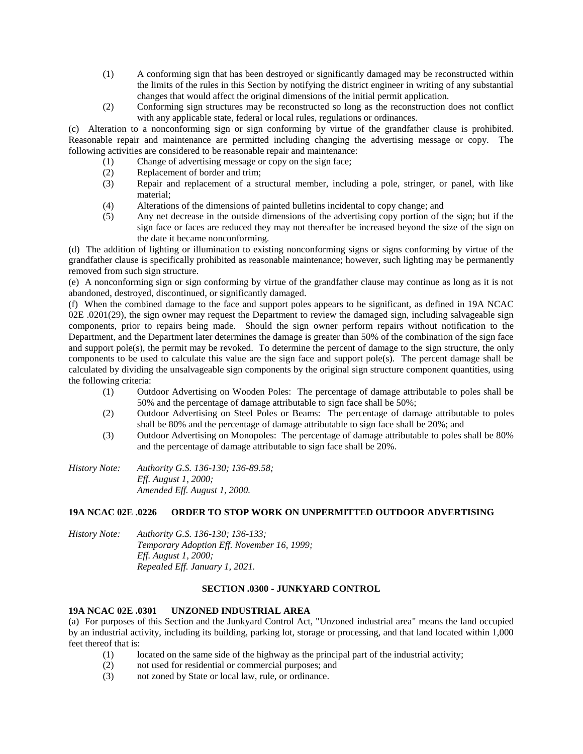- (1) A conforming sign that has been destroyed or significantly damaged may be reconstructed within the limits of the rules in this Section by notifying the district engineer in writing of any substantial changes that would affect the original dimensions of the initial permit application.
- (2) Conforming sign structures may be reconstructed so long as the reconstruction does not conflict with any applicable state, federal or local rules, regulations or ordinances.

(c) Alteration to a nonconforming sign or sign conforming by virtue of the grandfather clause is prohibited. Reasonable repair and maintenance are permitted including changing the advertising message or copy. The following activities are considered to be reasonable repair and maintenance:

- (1) Change of advertising message or copy on the sign face;
- (2) Replacement of border and trim;
- (3) Repair and replacement of a structural member, including a pole, stringer, or panel, with like material;
- (4) Alterations of the dimensions of painted bulletins incidental to copy change; and
- (5) Any net decrease in the outside dimensions of the advertising copy portion of the sign; but if the sign face or faces are reduced they may not thereafter be increased beyond the size of the sign on the date it became nonconforming.

(d) The addition of lighting or illumination to existing nonconforming signs or signs conforming by virtue of the grandfather clause is specifically prohibited as reasonable maintenance; however, such lighting may be permanently removed from such sign structure.

(e) A nonconforming sign or sign conforming by virtue of the grandfather clause may continue as long as it is not abandoned, destroyed, discontinued, or significantly damaged.

(f) When the combined damage to the face and support poles appears to be significant, as defined in 19A NCAC 02E .0201(29), the sign owner may request the Department to review the damaged sign, including salvageable sign components, prior to repairs being made. Should the sign owner perform repairs without notification to the Department, and the Department later determines the damage is greater than 50% of the combination of the sign face and support pole(s), the permit may be revoked. To determine the percent of damage to the sign structure, the only components to be used to calculate this value are the sign face and support pole(s). The percent damage shall be calculated by dividing the unsalvageable sign components by the original sign structure component quantities, using the following criteria:

- (1) Outdoor Advertising on Wooden Poles: The percentage of damage attributable to poles shall be 50% and the percentage of damage attributable to sign face shall be 50%;
- (2) Outdoor Advertising on Steel Poles or Beams: The percentage of damage attributable to poles shall be 80% and the percentage of damage attributable to sign face shall be 20%; and
- (3) Outdoor Advertising on Monopoles: The percentage of damage attributable to poles shall be 80% and the percentage of damage attributable to sign face shall be 20%.

*History Note: Authority G.S. 136-130; 136-89.58; Eff. August 1, 2000; Amended Eff. August 1, 2000.*

# **19A NCAC 02E .0226 ORDER TO STOP WORK ON UNPERMITTED OUTDOOR ADVERTISING**

| History Note: | Authority G.S. 136-130; 136-133;           |
|---------------|--------------------------------------------|
|               | Temporary Adoption Eff. November 16, 1999; |
|               | <i>Eff. August 1, 2000;</i>                |
|               | Repealed Eff. January 1, 2021.             |

### **SECTION .0300 - JUNKYARD CONTROL**

### **19A NCAC 02E .0301 UNZONED INDUSTRIAL AREA**

(a) For purposes of this Section and the Junkyard Control Act, "Unzoned industrial area" means the land occupied by an industrial activity, including its building, parking lot, storage or processing, and that land located within 1,000 feet thereof that is:

- (1) located on the same side of the highway as the principal part of the industrial activity;
- (2) not used for residential or commercial purposes; and
- (3) not zoned by State or local law, rule, or ordinance.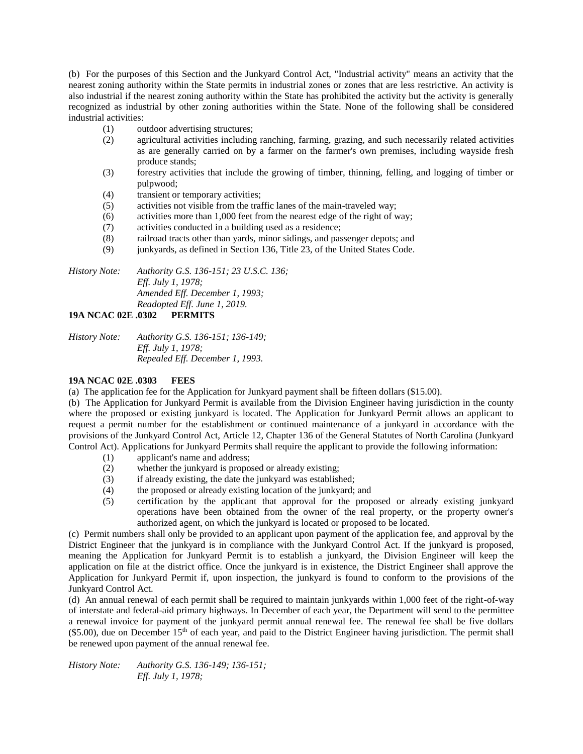(b) For the purposes of this Section and the Junkyard Control Act, "Industrial activity" means an activity that the nearest zoning authority within the State permits in industrial zones or zones that are less restrictive. An activity is also industrial if the nearest zoning authority within the State has prohibited the activity but the activity is generally recognized as industrial by other zoning authorities within the State. None of the following shall be considered industrial activities:

- (1) outdoor advertising structures;
- (2) agricultural activities including ranching, farming, grazing, and such necessarily related activities as are generally carried on by a farmer on the farmer's own premises, including wayside fresh produce stands;
- (3) forestry activities that include the growing of timber, thinning, felling, and logging of timber or pulpwood;
- (4) transient or temporary activities;
- (5) activities not visible from the traffic lanes of the main-traveled way;
- (6) activities more than 1,000 feet from the nearest edge of the right of way;
- (7) activities conducted in a building used as a residence;
- (8) railroad tracts other than yards, minor sidings, and passenger depots; and
- (9) junkyards, as defined in Section 136, Title 23, of the United States Code.

*History Note: Authority G.S. 136-151; 23 U.S.C. 136; Eff. July 1, 1978; Amended Eff. December 1, 1993; Readopted Eff. June 1, 2019.*

# **19A NCAC 02E .0302 PERMITS**

| History Note: | Authority G.S. 136-151; 136-149; |
|---------------|----------------------------------|
|               | <i>Eff. July 1, 1978;</i>        |
|               | Repealed Eff. December 1, 1993.  |

# **19A NCAC 02E .0303 FEES**

(a) The application fee for the Application for Junkyard payment shall be fifteen dollars (\$15.00).

(b) The Application for Junkyard Permit is available from the Division Engineer having jurisdiction in the county where the proposed or existing junkyard is located. The Application for Junkyard Permit allows an applicant to request a permit number for the establishment or continued maintenance of a junkyard in accordance with the provisions of the Junkyard Control Act, Article 12, Chapter 136 of the General Statutes of North Carolina (Junkyard Control Act). Applications for Junkyard Permits shall require the applicant to provide the following information:

- (1) applicant's name and address;
- (2) whether the junkyard is proposed or already existing;
- (3) if already existing, the date the junkyard was established;
- (4) the proposed or already existing location of the junkyard; and
- (5) certification by the applicant that approval for the proposed or already existing junkyard operations have been obtained from the owner of the real property, or the property owner's authorized agent, on which the junkyard is located or proposed to be located.

(c) Permit numbers shall only be provided to an applicant upon payment of the application fee, and approval by the District Engineer that the junkyard is in compliance with the Junkyard Control Act. If the junkyard is proposed, meaning the Application for Junkyard Permit is to establish a junkyard, the Division Engineer will keep the application on file at the district office. Once the junkyard is in existence, the District Engineer shall approve the Application for Junkyard Permit if, upon inspection, the junkyard is found to conform to the provisions of the Junkyard Control Act.

(d) An annual renewal of each permit shall be required to maintain junkyards within 1,000 feet of the right-of-way of interstate and federal-aid primary highways. In December of each year, the Department will send to the permittee a renewal invoice for payment of the junkyard permit annual renewal fee. The renewal fee shall be five dollars  $(\$5.00)$ , due on December 15<sup>th</sup> of each year, and paid to the District Engineer having jurisdiction. The permit shall be renewed upon payment of the annual renewal fee.

*History Note: Authority G.S. 136-149; 136-151; Eff. July 1, 1978;*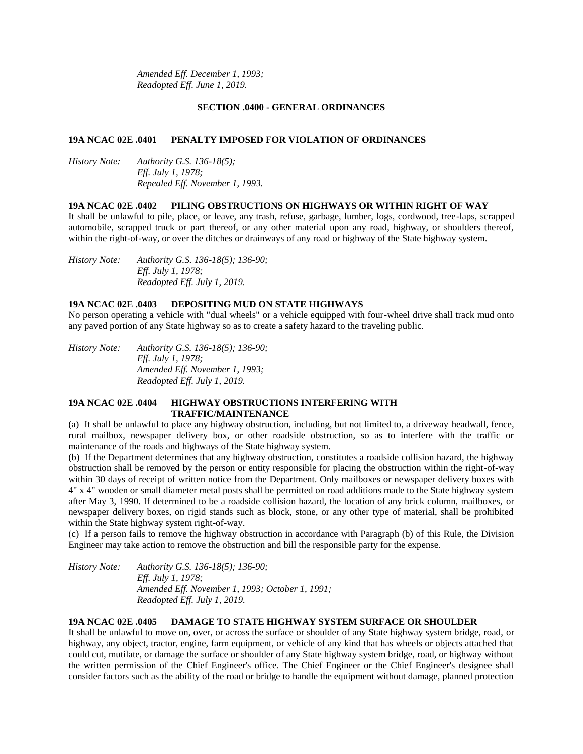*Amended Eff. December 1, 1993; Readopted Eff. June 1, 2019.*

### **SECTION .0400 - GENERAL ORDINANCES**

### **19A NCAC 02E .0401 PENALTY IMPOSED FOR VIOLATION OF ORDINANCES**

*History Note: Authority G.S. 136-18(5); Eff. July 1, 1978; Repealed Eff. November 1, 1993.*

#### **19A NCAC 02E .0402 PILING OBSTRUCTIONS ON HIGHWAYS OR WITHIN RIGHT OF WAY**

It shall be unlawful to pile, place, or leave, any trash, refuse, garbage, lumber, logs, cordwood, tree-laps, scrapped automobile, scrapped truck or part thereof, or any other material upon any road, highway, or shoulders thereof, within the right-of-way, or over the ditches or drainways of any road or highway of the State highway system.

*History Note: Authority G.S. 136-18(5); 136-90; Eff. July 1, 1978; Readopted Eff. July 1, 2019.*

## **19A NCAC 02E .0403 DEPOSITING MUD ON STATE HIGHWAYS**

No person operating a vehicle with "dual wheels" or a vehicle equipped with four-wheel drive shall track mud onto any paved portion of any State highway so as to create a safety hazard to the traveling public.

*History Note: Authority G.S. 136-18(5); 136-90; Eff. July 1, 1978; Amended Eff. November 1, 1993; Readopted Eff. July 1, 2019.*

# **19A NCAC 02E .0404 HIGHWAY OBSTRUCTIONS INTERFERING WITH TRAFFIC/MAINTENANCE**

(a) It shall be unlawful to place any highway obstruction, including, but not limited to, a driveway headwall, fence, rural mailbox, newspaper delivery box, or other roadside obstruction, so as to interfere with the traffic or maintenance of the roads and highways of the State highway system.

(b) If the Department determines that any highway obstruction, constitutes a roadside collision hazard, the highway obstruction shall be removed by the person or entity responsible for placing the obstruction within the right-of-way within 30 days of receipt of written notice from the Department. Only mailboxes or newspaper delivery boxes with 4" x 4" wooden or small diameter metal posts shall be permitted on road additions made to the State highway system after May 3, 1990. If determined to be a roadside collision hazard, the location of any brick column, mailboxes, or newspaper delivery boxes, on rigid stands such as block, stone, or any other type of material, shall be prohibited within the State highway system right-of-way.

(c) If a person fails to remove the highway obstruction in accordance with Paragraph (b) of this Rule, the Division Engineer may take action to remove the obstruction and bill the responsible party for the expense.

*History Note: Authority G.S. 136-18(5); 136-90; Eff. July 1, 1978; Amended Eff. November 1, 1993; October 1, 1991; Readopted Eff. July 1, 2019.*

### **19A NCAC 02E .0405 DAMAGE TO STATE HIGHWAY SYSTEM SURFACE OR SHOULDER**

It shall be unlawful to move on, over, or across the surface or shoulder of any State highway system bridge, road, or highway, any object, tractor, engine, farm equipment, or vehicle of any kind that has wheels or objects attached that could cut, mutilate, or damage the surface or shoulder of any State highway system bridge, road, or highway without the written permission of the Chief Engineer's office. The Chief Engineer or the Chief Engineer's designee shall consider factors such as the ability of the road or bridge to handle the equipment without damage, planned protection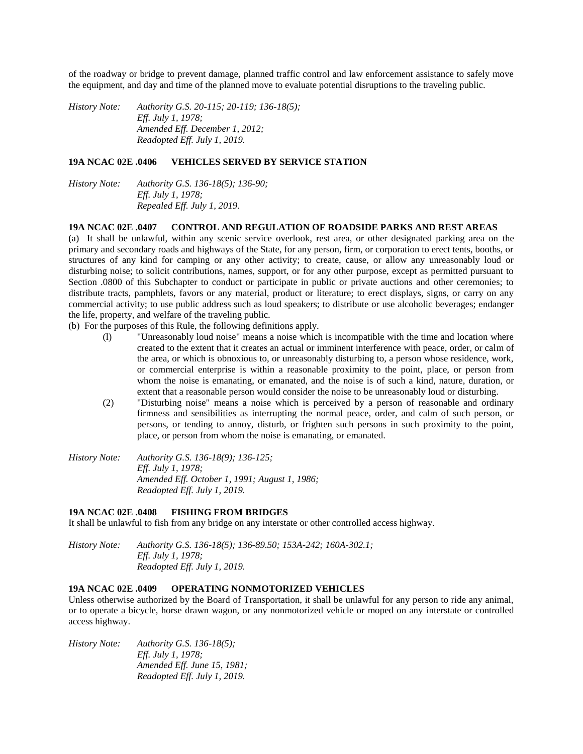of the roadway or bridge to prevent damage, planned traffic control and law enforcement assistance to safely move the equipment, and day and time of the planned move to evaluate potential disruptions to the traveling public.

*History Note: Authority G.S. 20-115; 20-119; 136-18(5); Eff. July 1, 1978; Amended Eff. December 1, 2012; Readopted Eff. July 1, 2019.*

### **19A NCAC 02E .0406 VEHICLES SERVED BY SERVICE STATION**

*History Note: Authority G.S. 136-18(5); 136-90; Eff. July 1, 1978; Repealed Eff. July 1, 2019.*

#### **19A NCAC 02E .0407 CONTROL AND REGULATION OF ROADSIDE PARKS AND REST AREAS**

(a) It shall be unlawful, within any scenic service overlook, rest area, or other designated parking area on the primary and secondary roads and highways of the State, for any person, firm, or corporation to erect tents, booths, or structures of any kind for camping or any other activity; to create, cause, or allow any unreasonably loud or disturbing noise; to solicit contributions, names, support, or for any other purpose, except as permitted pursuant to Section .0800 of this Subchapter to conduct or participate in public or private auctions and other ceremonies; to distribute tracts, pamphlets, favors or any material, product or literature; to erect displays, signs, or carry on any commercial activity; to use public address such as loud speakers; to distribute or use alcoholic beverages; endanger the life, property, and welfare of the traveling public.

(b) For the purposes of this Rule, the following definitions apply.

- (l) "Unreasonably loud noise" means a noise which is incompatible with the time and location where created to the extent that it creates an actual or imminent interference with peace, order, or calm of the area, or which is obnoxious to, or unreasonably disturbing to, a person whose residence, work, or commercial enterprise is within a reasonable proximity to the point, place, or person from whom the noise is emanating, or emanated, and the noise is of such a kind, nature, duration, or extent that a reasonable person would consider the noise to be unreasonably loud or disturbing.
- (2) "Disturbing noise" means a noise which is perceived by a person of reasonable and ordinary firmness and sensibilities as interrupting the normal peace, order, and calm of such person, or persons, or tending to annoy, disturb, or frighten such persons in such proximity to the point, place, or person from whom the noise is emanating, or emanated.
- *History Note: Authority G.S. 136-18(9); 136-125; Eff. July 1, 1978; Amended Eff. October 1, 1991; August 1, 1986; Readopted Eff. July 1, 2019.*

#### **19A NCAC 02E .0408 FISHING FROM BRIDGES**

It shall be unlawful to fish from any bridge on any interstate or other controlled access highway.

*History Note: Authority G.S. 136-18(5); 136-89.50; 153A-242; 160A-302.1; Eff. July 1, 1978; Readopted Eff. July 1, 2019.*

# **19A NCAC 02E .0409 OPERATING NONMOTORIZED VEHICLES**

Unless otherwise authorized by the Board of Transportation, it shall be unlawful for any person to ride any animal, or to operate a bicycle, horse drawn wagon, or any nonmotorized vehicle or moped on any interstate or controlled access highway.

*History Note: Authority G.S. 136-18(5); Eff. July 1, 1978; Amended Eff. June 15, 1981; Readopted Eff. July 1, 2019.*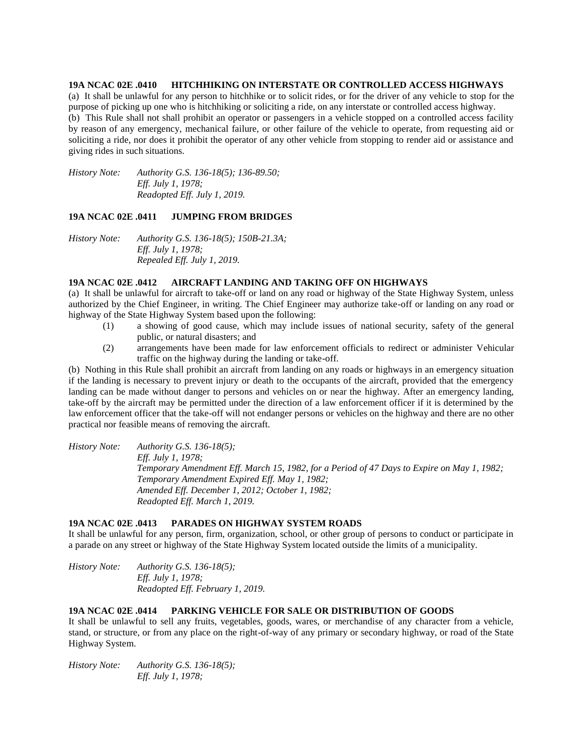## **19A NCAC 02E .0410 HITCHHIKING ON INTERSTATE OR CONTROLLED ACCESS HIGHWAYS**

(a) It shall be unlawful for any person to hitchhike or to solicit rides, or for the driver of any vehicle to stop for the purpose of picking up one who is hitchhiking or soliciting a ride, on any interstate or controlled access highway. (b) This Rule shall not shall prohibit an operator or passengers in a vehicle stopped on a controlled access facility by reason of any emergency, mechanical failure, or other failure of the vehicle to operate, from requesting aid or soliciting a ride, nor does it prohibit the operator of any other vehicle from stopping to render aid or assistance and giving rides in such situations.

*History Note: Authority G.S. 136-18(5); 136-89.50; Eff. July 1, 1978; Readopted Eff. July 1, 2019.*

### **19A NCAC 02E .0411 JUMPING FROM BRIDGES**

*History Note: Authority G.S. 136-18(5); 150B-21.3A; Eff. July 1, 1978; Repealed Eff. July 1, 2019.*

### **19A NCAC 02E .0412 AIRCRAFT LANDING AND TAKING OFF ON HIGHWAYS**

(a) It shall be unlawful for aircraft to take-off or land on any road or highway of the State Highway System, unless authorized by the Chief Engineer, in writing. The Chief Engineer may authorize take-off or landing on any road or highway of the State Highway System based upon the following:

- (1) a showing of good cause, which may include issues of national security, safety of the general public, or natural disasters; and
- (2) arrangements have been made for law enforcement officials to redirect or administer Vehicular traffic on the highway during the landing or take-off.

(b) Nothing in this Rule shall prohibit an aircraft from landing on any roads or highways in an emergency situation if the landing is necessary to prevent injury or death to the occupants of the aircraft, provided that the emergency landing can be made without danger to persons and vehicles on or near the highway. After an emergency landing, take-off by the aircraft may be permitted under the direction of a law enforcement officer if it is determined by the law enforcement officer that the take-off will not endanger persons or vehicles on the highway and there are no other practical nor feasible means of removing the aircraft.

*History Note: Authority G.S. 136-18(5); Eff. July 1, 1978; Temporary Amendment Eff. March 15, 1982, for a Period of 47 Days to Expire on May 1, 1982; Temporary Amendment Expired Eff. May 1, 1982; Amended Eff. December 1, 2012; October 1, 1982; Readopted Eff. March 1, 2019.*

## **19A NCAC 02E .0413 PARADES ON HIGHWAY SYSTEM ROADS**

It shall be unlawful for any person, firm, organization, school, or other group of persons to conduct or participate in a parade on any street or highway of the State Highway System located outside the limits of a municipality.

*History Note: Authority G.S. 136-18(5); Eff. July 1, 1978; Readopted Eff. February 1, 2019.*

### **19A NCAC 02E .0414 PARKING VEHICLE FOR SALE OR DISTRIBUTION OF GOODS**

It shall be unlawful to sell any fruits, vegetables, goods, wares, or merchandise of any character from a vehicle, stand, or structure, or from any place on the right-of-way of any primary or secondary highway, or road of the State Highway System.

*History Note: Authority G.S. 136-18(5); Eff. July 1, 1978;*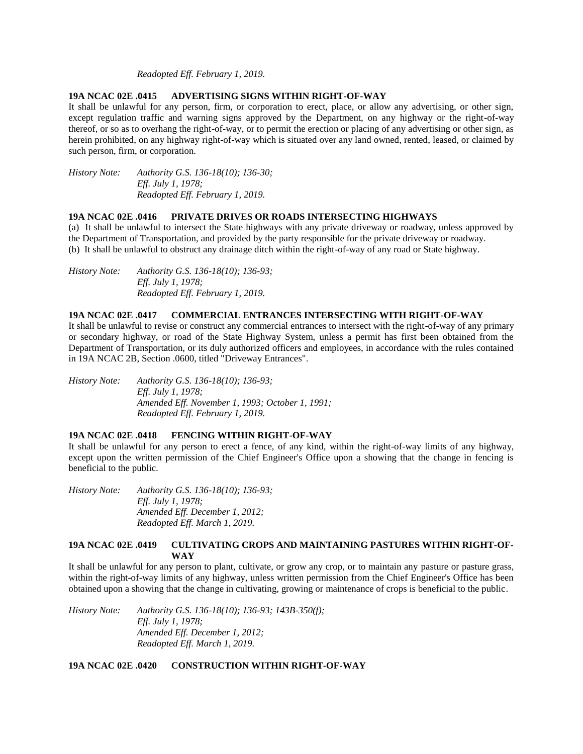## *Readopted Eff. February 1, 2019.*

#### **19A NCAC 02E .0415 ADVERTISING SIGNS WITHIN RIGHT-OF-WAY**

It shall be unlawful for any person, firm, or corporation to erect, place, or allow any advertising, or other sign, except regulation traffic and warning signs approved by the Department, on any highway or the right-of-way thereof, or so as to overhang the right-of-way, or to permit the erection or placing of any advertising or other sign, as herein prohibited, on any highway right-of-way which is situated over any land owned, rented, leased, or claimed by such person, firm, or corporation.

*History Note: Authority G.S. 136-18(10); 136-30; Eff. July 1, 1978; Readopted Eff. February 1, 2019.*

### **19A NCAC 02E .0416 PRIVATE DRIVES OR ROADS INTERSECTING HIGHWAYS**

(a) It shall be unlawful to intersect the State highways with any private driveway or roadway, unless approved by the Department of Transportation, and provided by the party responsible for the private driveway or roadway. (b) It shall be unlawful to obstruct any drainage ditch within the right-of-way of any road or State highway.

*History Note: Authority G.S. 136-18(10); 136-93; Eff. July 1, 1978; Readopted Eff. February 1, 2019.*

## **19A NCAC 02E .0417 COMMERCIAL ENTRANCES INTERSECTING WITH RIGHT-OF-WAY**

It shall be unlawful to revise or construct any commercial entrances to intersect with the right-of-way of any primary or secondary highway, or road of the State Highway System, unless a permit has first been obtained from the Department of Transportation, or its duly authorized officers and employees, in accordance with the rules contained in 19A NCAC 2B, Section .0600, titled "Driveway Entrances".

*History Note: Authority G.S. 136-18(10); 136-93; Eff. July 1, 1978; Amended Eff. November 1, 1993; October 1, 1991; Readopted Eff. February 1, 2019.*

### **19A NCAC 02E .0418 FENCING WITHIN RIGHT-OF-WAY**

It shall be unlawful for any person to erect a fence, of any kind, within the right-of-way limits of any highway, except upon the written permission of the Chief Engineer's Office upon a showing that the change in fencing is beneficial to the public.

*History Note: Authority G.S. 136-18(10); 136-93; Eff. July 1, 1978; Amended Eff. December 1, 2012; Readopted Eff. March 1, 2019.*

## **19A NCAC 02E .0419 CULTIVATING CROPS AND MAINTAINING PASTURES WITHIN RIGHT-OF-WAY**

It shall be unlawful for any person to plant, cultivate, or grow any crop, or to maintain any pasture or pasture grass, within the right-of-way limits of any highway, unless written permission from the Chief Engineer's Office has been obtained upon a showing that the change in cultivating, growing or maintenance of crops is beneficial to the public.

*History Note: Authority G.S. 136-18(10); 136-93; 143B-350(f); Eff. July 1, 1978; Amended Eff. December 1, 2012; Readopted Eff. March 1, 2019.*

**19A NCAC 02E .0420 CONSTRUCTION WITHIN RIGHT-OF-WAY**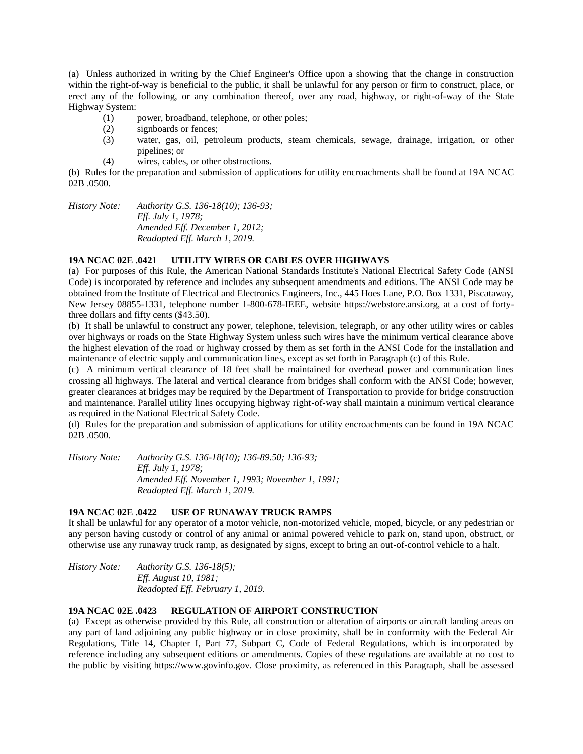(a) Unless authorized in writing by the Chief Engineer's Office upon a showing that the change in construction within the right-of-way is beneficial to the public, it shall be unlawful for any person or firm to construct, place, or erect any of the following, or any combination thereof, over any road, highway, or right-of-way of the State Highway System:

- (1) power, broadband, telephone, or other poles;
- (2) signboards or fences;
- (3) water, gas, oil, petroleum products, steam chemicals, sewage, drainage, irrigation, or other pipelines; or
- (4) wires, cables, or other obstructions.

(b) Rules for the preparation and submission of applications for utility encroachments shall be found at 19A NCAC 02B .0500.

*History Note: Authority G.S. 136-18(10); 136-93; Eff. July 1, 1978; Amended Eff. December 1, 2012; Readopted Eff. March 1, 2019.*

# **19A NCAC 02E .0421 UTILITY WIRES OR CABLES OVER HIGHWAYS**

(a) For purposes of this Rule, the American National Standards Institute's National Electrical Safety Code (ANSI Code) is incorporated by reference and includes any subsequent amendments and editions. The ANSI Code may be obtained from the Institute of Electrical and Electronics Engineers, Inc., 445 Hoes Lane, P.O. Box 1331, Piscataway, New Jersey 08855-1331, telephone number 1-800-678-IEEE, website https://webstore.ansi.org, at a cost of fortythree dollars and fifty cents (\$43.50).

(b) It shall be unlawful to construct any power, telephone, television, telegraph, or any other utility wires or cables over highways or roads on the State Highway System unless such wires have the minimum vertical clearance above the highest elevation of the road or highway crossed by them as set forth in the ANSI Code for the installation and maintenance of electric supply and communication lines, except as set forth in Paragraph (c) of this Rule.

(c) A minimum vertical clearance of 18 feet shall be maintained for overhead power and communication lines crossing all highways. The lateral and vertical clearance from bridges shall conform with the ANSI Code; however, greater clearances at bridges may be required by the Department of Transportation to provide for bridge construction and maintenance. Parallel utility lines occupying highway right-of-way shall maintain a minimum vertical clearance as required in the National Electrical Safety Code.

(d) Rules for the preparation and submission of applications for utility encroachments can be found in 19A NCAC 02B .0500.

*History Note: Authority G.S. 136-18(10); 136-89.50; 136-93; Eff. July 1, 1978; Amended Eff. November 1, 1993; November 1, 1991; Readopted Eff. March 1, 2019.*

### **19A NCAC 02E .0422 USE OF RUNAWAY TRUCK RAMPS**

It shall be unlawful for any operator of a motor vehicle, non-motorized vehicle, moped, bicycle, or any pedestrian or any person having custody or control of any animal or animal powered vehicle to park on, stand upon, obstruct, or otherwise use any runaway truck ramp, as designated by signs, except to bring an out-of-control vehicle to a halt.

*History Note: Authority G.S. 136-18(5); Eff. August 10, 1981; Readopted Eff. February 1, 2019.*

#### **19A NCAC 02E .0423 REGULATION OF AIRPORT CONSTRUCTION**

(a) Except as otherwise provided by this Rule, all construction or alteration of airports or aircraft landing areas on any part of land adjoining any public highway or in close proximity, shall be in conformity with the Federal Air Regulations, Title 14, Chapter I, Part 77, Subpart C, Code of Federal Regulations, which is incorporated by reference including any subsequent editions or amendments. Copies of these regulations are available at no cost to the public by visiting https://www.govinfo.gov. Close proximity, as referenced in this Paragraph, shall be assessed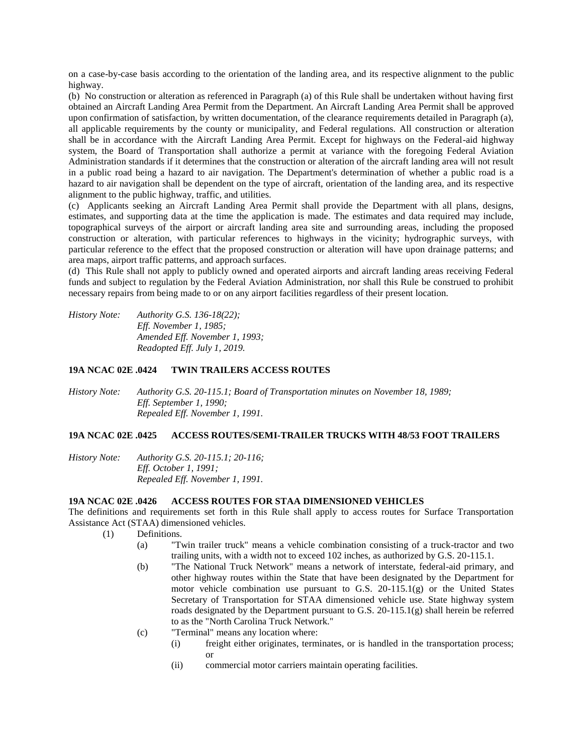on a case-by-case basis according to the orientation of the landing area, and its respective alignment to the public highway.

(b) No construction or alteration as referenced in Paragraph (a) of this Rule shall be undertaken without having first obtained an Aircraft Landing Area Permit from the Department. An Aircraft Landing Area Permit shall be approved upon confirmation of satisfaction, by written documentation, of the clearance requirements detailed in Paragraph (a), all applicable requirements by the county or municipality, and Federal regulations. All construction or alteration shall be in accordance with the Aircraft Landing Area Permit. Except for highways on the Federal-aid highway system, the Board of Transportation shall authorize a permit at variance with the foregoing Federal Aviation Administration standards if it determines that the construction or alteration of the aircraft landing area will not result in a public road being a hazard to air navigation. The Department's determination of whether a public road is a hazard to air navigation shall be dependent on the type of aircraft, orientation of the landing area, and its respective alignment to the public highway, traffic, and utilities.

(c) Applicants seeking an Aircraft Landing Area Permit shall provide the Department with all plans, designs, estimates, and supporting data at the time the application is made. The estimates and data required may include, topographical surveys of the airport or aircraft landing area site and surrounding areas, including the proposed construction or alteration, with particular references to highways in the vicinity; hydrographic surveys, with particular reference to the effect that the proposed construction or alteration will have upon drainage patterns; and area maps, airport traffic patterns, and approach surfaces.

(d) This Rule shall not apply to publicly owned and operated airports and aircraft landing areas receiving Federal funds and subject to regulation by the Federal Aviation Administration, nor shall this Rule be construed to prohibit necessary repairs from being made to or on any airport facilities regardless of their present location.

*History Note: Authority G.S. 136-18(22); Eff. November 1, 1985; Amended Eff. November 1, 1993; Readopted Eff. July 1, 2019.*

### **19A NCAC 02E .0424 TWIN TRAILERS ACCESS ROUTES**

*History Note: Authority G.S. 20-115.1; Board of Transportation minutes on November 18, 1989; Eff. September 1, 1990; Repealed Eff. November 1, 1991.*

#### **19A NCAC 02E .0425 ACCESS ROUTES/SEMI-TRAILER TRUCKS WITH 48/53 FOOT TRAILERS**

*History Note: Authority G.S. 20-115.1; 20-116; Eff. October 1, 1991; Repealed Eff. November 1, 1991.*

#### **19A NCAC 02E .0426 ACCESS ROUTES FOR STAA DIMENSIONED VEHICLES**

The definitions and requirements set forth in this Rule shall apply to access routes for Surface Transportation Assistance Act (STAA) dimensioned vehicles.

- (1) Definitions.
	- (a) "Twin trailer truck" means a vehicle combination consisting of a truck-tractor and two trailing units, with a width not to exceed 102 inches, as authorized by G.S. 20-115.1.
	- (b) "The National Truck Network" means a network of interstate, federal-aid primary, and other highway routes within the State that have been designated by the Department for motor vehicle combination use pursuant to G.S. 20-115.1(g) or the United States Secretary of Transportation for STAA dimensioned vehicle use. State highway system roads designated by the Department pursuant to G.S.  $20-115.1(g)$  shall herein be referred to as the "North Carolina Truck Network."
	- (c) "Terminal" means any location where:
		- (i) freight either originates, terminates, or is handled in the transportation process; or
		- (ii) commercial motor carriers maintain operating facilities.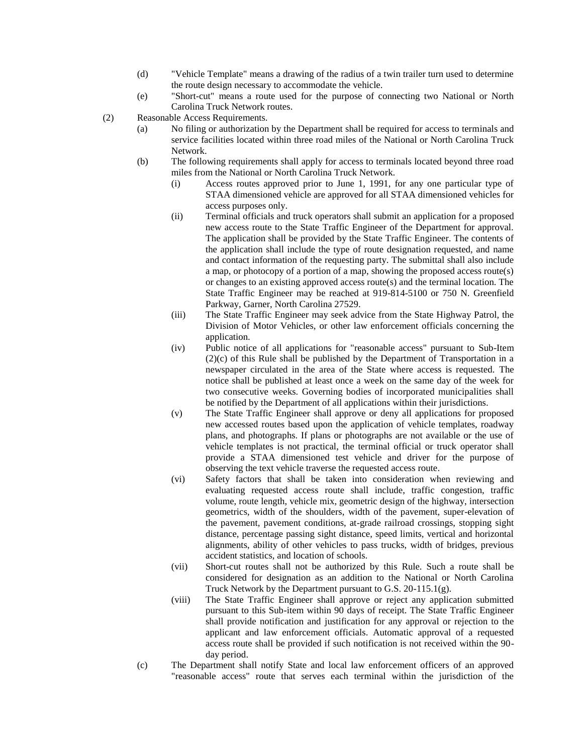- (d) "Vehicle Template" means a drawing of the radius of a twin trailer turn used to determine the route design necessary to accommodate the vehicle.
- (e) "Short-cut" means a route used for the purpose of connecting two National or North Carolina Truck Network routes.

(2) Reasonable Access Requirements.

- (a) No filing or authorization by the Department shall be required for access to terminals and service facilities located within three road miles of the National or North Carolina Truck Network.
- (b) The following requirements shall apply for access to terminals located beyond three road miles from the National or North Carolina Truck Network.
	- (i) Access routes approved prior to June 1, 1991, for any one particular type of STAA dimensioned vehicle are approved for all STAA dimensioned vehicles for access purposes only.
	- (ii) Terminal officials and truck operators shall submit an application for a proposed new access route to the State Traffic Engineer of the Department for approval. The application shall be provided by the State Traffic Engineer. The contents of the application shall include the type of route designation requested, and name and contact information of the requesting party. The submittal shall also include a map, or photocopy of a portion of a map, showing the proposed access route(s) or changes to an existing approved access route(s) and the terminal location. The State Traffic Engineer may be reached at 919-814-5100 or 750 N. Greenfield Parkway, Garner, North Carolina 27529.
	- (iii) The State Traffic Engineer may seek advice from the State Highway Patrol, the Division of Motor Vehicles, or other law enforcement officials concerning the application.
	- (iv) Public notice of all applications for "reasonable access" pursuant to Sub-Item (2)(c) of this Rule shall be published by the Department of Transportation in a newspaper circulated in the area of the State where access is requested. The notice shall be published at least once a week on the same day of the week for two consecutive weeks. Governing bodies of incorporated municipalities shall be notified by the Department of all applications within their jurisdictions.
	- (v) The State Traffic Engineer shall approve or deny all applications for proposed new accessed routes based upon the application of vehicle templates, roadway plans, and photographs. If plans or photographs are not available or the use of vehicle templates is not practical, the terminal official or truck operator shall provide a STAA dimensioned test vehicle and driver for the purpose of observing the text vehicle traverse the requested access route.
	- (vi) Safety factors that shall be taken into consideration when reviewing and evaluating requested access route shall include, traffic congestion, traffic volume, route length, vehicle mix, geometric design of the highway, intersection geometrics, width of the shoulders, width of the pavement, super-elevation of the pavement, pavement conditions, at-grade railroad crossings, stopping sight distance, percentage passing sight distance, speed limits, vertical and horizontal alignments, ability of other vehicles to pass trucks, width of bridges, previous accident statistics, and location of schools.
	- (vii) Short-cut routes shall not be authorized by this Rule. Such a route shall be considered for designation as an addition to the National or North Carolina Truck Network by the Department pursuant to G.S. 20-115.1(g).
	- (viii) The State Traffic Engineer shall approve or reject any application submitted pursuant to this Sub-item within 90 days of receipt. The State Traffic Engineer shall provide notification and justification for any approval or rejection to the applicant and law enforcement officials. Automatic approval of a requested access route shall be provided if such notification is not received within the 90 day period.
- (c) The Department shall notify State and local law enforcement officers of an approved "reasonable access" route that serves each terminal within the jurisdiction of the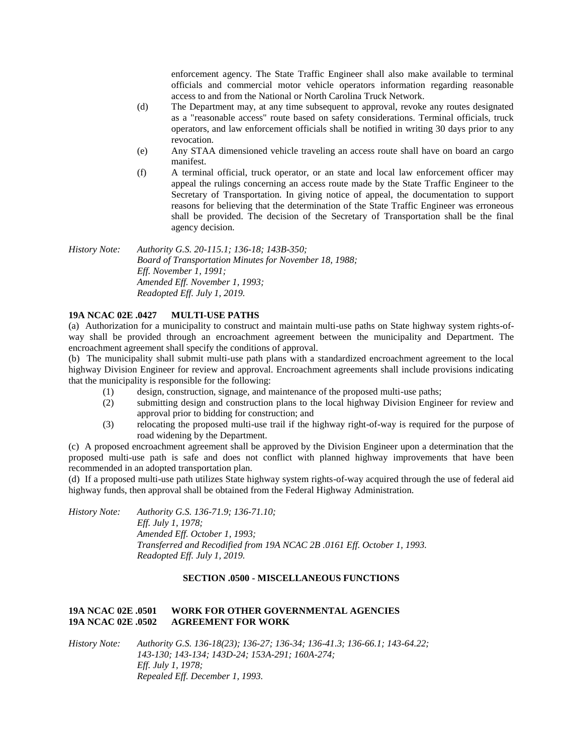enforcement agency. The State Traffic Engineer shall also make available to terminal officials and commercial motor vehicle operators information regarding reasonable access to and from the National or North Carolina Truck Network.

- (d) The Department may, at any time subsequent to approval, revoke any routes designated as a "reasonable access" route based on safety considerations. Terminal officials, truck operators, and law enforcement officials shall be notified in writing 30 days prior to any revocation.
- (e) Any STAA dimensioned vehicle traveling an access route shall have on board an cargo manifest.
- (f) A terminal official, truck operator, or an state and local law enforcement officer may appeal the rulings concerning an access route made by the State Traffic Engineer to the Secretary of Transportation. In giving notice of appeal, the documentation to support reasons for believing that the determination of the State Traffic Engineer was erroneous shall be provided. The decision of the Secretary of Transportation shall be the final agency decision.

*History Note: Authority G.S. 20-115.1; 136-18; 143B-350; Board of Transportation Minutes for November 18, 1988; Eff. November 1, 1991; Amended Eff. November 1, 1993; Readopted Eff. July 1, 2019.*

# **19A NCAC 02E .0427 MULTI-USE PATHS**

(a) Authorization for a municipality to construct and maintain multi-use paths on State highway system rights-ofway shall be provided through an encroachment agreement between the municipality and Department. The encroachment agreement shall specify the conditions of approval.

(b) The municipality shall submit multi-use path plans with a standardized encroachment agreement to the local highway Division Engineer for review and approval. Encroachment agreements shall include provisions indicating that the municipality is responsible for the following:

- (1) design, construction, signage, and maintenance of the proposed multi-use paths;
- (2) submitting design and construction plans to the local highway Division Engineer for review and approval prior to bidding for construction; and
- (3) relocating the proposed multi-use trail if the highway right-of-way is required for the purpose of road widening by the Department.

(c) A proposed encroachment agreement shall be approved by the Division Engineer upon a determination that the proposed multi-use path is safe and does not conflict with planned highway improvements that have been recommended in an adopted transportation plan.

(d) If a proposed multi-use path utilizes State highway system rights-of-way acquired through the use of federal aid highway funds, then approval shall be obtained from the Federal Highway Administration.

*History Note: Authority G.S. 136-71.9; 136-71.10; Eff. July 1, 1978; Amended Eff. October 1, 1993; Transferred and Recodified from 19A NCAC 2B .0161 Eff. October 1, 1993. Readopted Eff. July 1, 2019.*

### **SECTION .0500 - MISCELLANEOUS FUNCTIONS**

# **19A NCAC 02E .0501 WORK FOR OTHER GOVERNMENTAL AGENCIES 19A NCAC 02E .0502 AGREEMENT FOR WORK**

*History Note: Authority G.S. 136-18(23); 136-27; 136-34; 136-41.3; 136-66.1; 143-64.22; 143-130; 143-134; 143D-24; 153A-291; 160A-274; Eff. July 1, 1978; Repealed Eff. December 1, 1993.*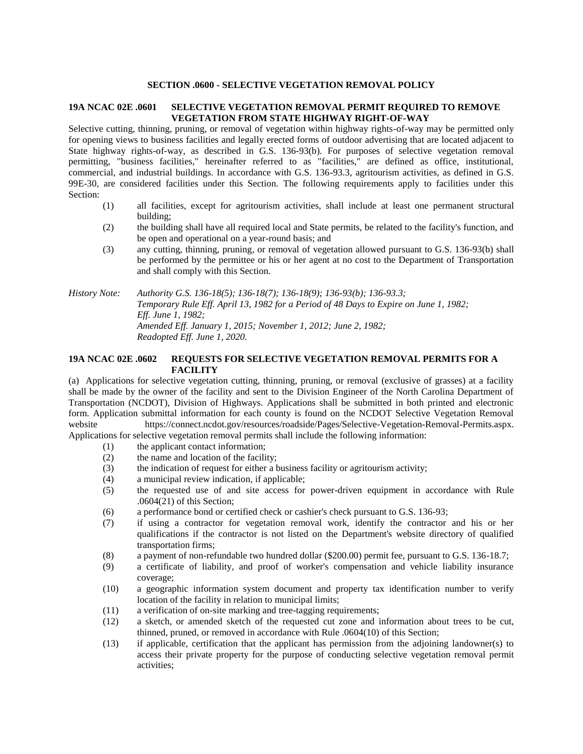#### **SECTION .0600 - SELECTIVE VEGETATION REMOVAL POLICY**

# **19A NCAC 02E .0601 SELECTIVE VEGETATION REMOVAL PERMIT REQUIRED TO REMOVE VEGETATION FROM STATE HIGHWAY RIGHT-OF-WAY**

Selective cutting, thinning, pruning, or removal of vegetation within highway rights-of-way may be permitted only for opening views to business facilities and legally erected forms of outdoor advertising that are located adjacent to State highway rights-of-way, as described in G.S. 136-93(b). For purposes of selective vegetation removal permitting, "business facilities," hereinafter referred to as "facilities," are defined as office, institutional, commercial, and industrial buildings. In accordance with G.S. 136-93.3, agritourism activities, as defined in G.S. 99E-30, are considered facilities under this Section. The following requirements apply to facilities under this Section:

- (1) all facilities, except for agritourism activities, shall include at least one permanent structural building;
- (2) the building shall have all required local and State permits, be related to the facility's function, and be open and operational on a year-round basis; and
- (3) any cutting, thinning, pruning, or removal of vegetation allowed pursuant to G.S. 136-93(b) shall be performed by the permittee or his or her agent at no cost to the Department of Transportation and shall comply with this Section.

*History Note: Authority G.S. 136-18(5); 136-18(7); 136-18(9); 136-93(b); 136-93.3; Temporary Rule Eff. April 13, 1982 for a Period of 48 Days to Expire on June 1, 1982; Eff. June 1, 1982; Amended Eff. January 1, 2015; November 1, 2012; June 2, 1982; Readopted Eff. June 1, 2020.*

### **19A NCAC 02E .0602 REQUESTS FOR SELECTIVE VEGETATION REMOVAL PERMITS FOR A FACILITY**

(a) Applications for selective vegetation cutting, thinning, pruning, or removal (exclusive of grasses) at a facility shall be made by the owner of the facility and sent to the Division Engineer of the North Carolina Department of Transportation (NCDOT), Division of Highways. Applications shall be submitted in both printed and electronic form. Application submittal information for each county is found on the NCDOT Selective Vegetation Removal website https://connect.ncdot.gov/resources/roadside/Pages/Selective-Vegetation-Removal-Permits.aspx.

Applications for selective vegetation removal permits shall include the following information:

- (1) the applicant contact information;
- (2) the name and location of the facility;
- (3) the indication of request for either a business facility or agritourism activity;
- (4) a municipal review indication, if applicable;
- (5) the requested use of and site access for power-driven equipment in accordance with Rule .0604(21) of this Section;
- (6) a performance bond or certified check or cashier's check pursuant to G.S. 136-93;
- (7) if using a contractor for vegetation removal work, identify the contractor and his or her qualifications if the contractor is not listed on the Department's website directory of qualified transportation firms;
- (8) a payment of non-refundable two hundred dollar (\$200.00) permit fee, pursuant to G.S. 136-18.7;
- (9) a certificate of liability, and proof of worker's compensation and vehicle liability insurance coverage;
- (10) a geographic information system document and property tax identification number to verify location of the facility in relation to municipal limits;
- (11) a verification of on-site marking and tree-tagging requirements;
- (12) a sketch, or amended sketch of the requested cut zone and information about trees to be cut, thinned, pruned, or removed in accordance with Rule .0604(10) of this Section;
- (13) if applicable, certification that the applicant has permission from the adjoining landowner(s) to access their private property for the purpose of conducting selective vegetation removal permit activities;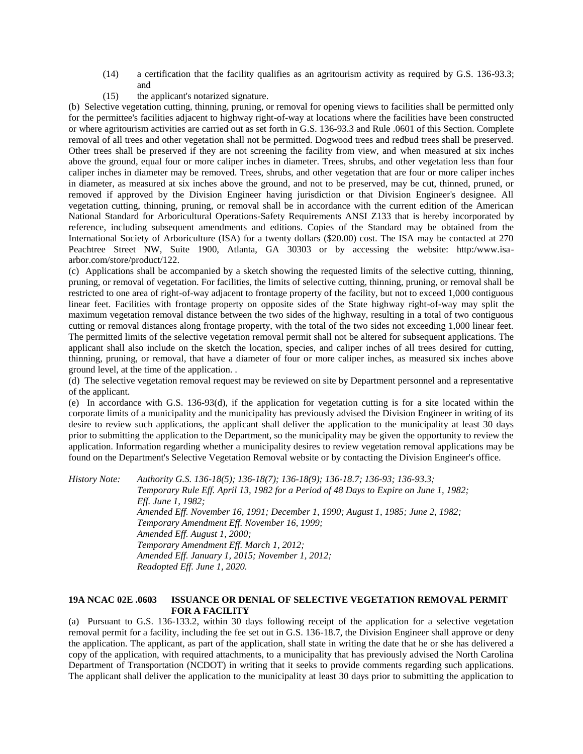- (14) a certification that the facility qualifies as an agritourism activity as required by G.S. 136-93.3; and
- (15) the applicant's notarized signature.

(b) Selective vegetation cutting, thinning, pruning, or removal for opening views to facilities shall be permitted only for the permittee's facilities adjacent to highway right-of-way at locations where the facilities have been constructed or where agritourism activities are carried out as set forth in G.S. 136-93.3 and Rule .0601 of this Section. Complete removal of all trees and other vegetation shall not be permitted. Dogwood trees and redbud trees shall be preserved. Other trees shall be preserved if they are not screening the facility from view, and when measured at six inches above the ground, equal four or more caliper inches in diameter. Trees, shrubs, and other vegetation less than four caliper inches in diameter may be removed. Trees, shrubs, and other vegetation that are four or more caliper inches in diameter, as measured at six inches above the ground, and not to be preserved, may be cut, thinned, pruned, or removed if approved by the Division Engineer having jurisdiction or that Division Engineer's designee. All vegetation cutting, thinning, pruning, or removal shall be in accordance with the current edition of the American National Standard for Arboricultural Operations-Safety Requirements ANSI Z133 that is hereby incorporated by reference, including subsequent amendments and editions. Copies of the Standard may be obtained from the International Society of Arboriculture (ISA) for a twenty dollars (\$20.00) cost. The ISA may be contacted at 270 Peachtree Street NW, Suite 1900, Atlanta, GA 30303 or by accessing the website: http:/www.isaarbor.com/store/product/122.

(c) Applications shall be accompanied by a sketch showing the requested limits of the selective cutting, thinning, pruning, or removal of vegetation. For facilities, the limits of selective cutting, thinning, pruning, or removal shall be restricted to one area of right-of-way adjacent to frontage property of the facility, but not to exceed 1,000 contiguous linear feet. Facilities with frontage property on opposite sides of the State highway right-of-way may split the maximum vegetation removal distance between the two sides of the highway, resulting in a total of two contiguous cutting or removal distances along frontage property, with the total of the two sides not exceeding 1,000 linear feet. The permitted limits of the selective vegetation removal permit shall not be altered for subsequent applications. The applicant shall also include on the sketch the location, species, and caliper inches of all trees desired for cutting, thinning, pruning, or removal, that have a diameter of four or more caliper inches, as measured six inches above ground level, at the time of the application. .

(d) The selective vegetation removal request may be reviewed on site by Department personnel and a representative of the applicant.

(e) In accordance with G.S. 136-93(d), if the application for vegetation cutting is for a site located within the corporate limits of a municipality and the municipality has previously advised the Division Engineer in writing of its desire to review such applications, the applicant shall deliver the application to the municipality at least 30 days prior to submitting the application to the Department, so the municipality may be given the opportunity to review the application. Information regarding whether a municipality desires to review vegetation removal applications may be found on the Department's Selective Vegetation Removal website or by contacting the Division Engineer's office.

*History Note: Authority G.S. 136-18(5); 136-18(7); 136-18(9); 136-18.7; 136-93; 136-93.3; Temporary Rule Eff. April 13, 1982 for a Period of 48 Days to Expire on June 1, 1982; Eff. June 1, 1982; Amended Eff. November 16, 1991; December 1, 1990; August 1, 1985; June 2, 1982; Temporary Amendment Eff. November 16, 1999; Amended Eff. August 1, 2000; Temporary Amendment Eff. March 1, 2012; Amended Eff. January 1, 2015; November 1, 2012; Readopted Eff. June 1, 2020.*

# **19A NCAC 02E .0603 ISSUANCE OR DENIAL OF SELECTIVE VEGETATION REMOVAL PERMIT FOR A FACILITY**

(a) Pursuant to G.S. 136-133.2, within 30 days following receipt of the application for a selective vegetation removal permit for a facility, including the fee set out in G.S. 136-18.7, the Division Engineer shall approve or deny the application. The applicant, as part of the application, shall state in writing the date that he or she has delivered a copy of the application, with required attachments, to a municipality that has previously advised the North Carolina Department of Transportation (NCDOT) in writing that it seeks to provide comments regarding such applications. The applicant shall deliver the application to the municipality at least 30 days prior to submitting the application to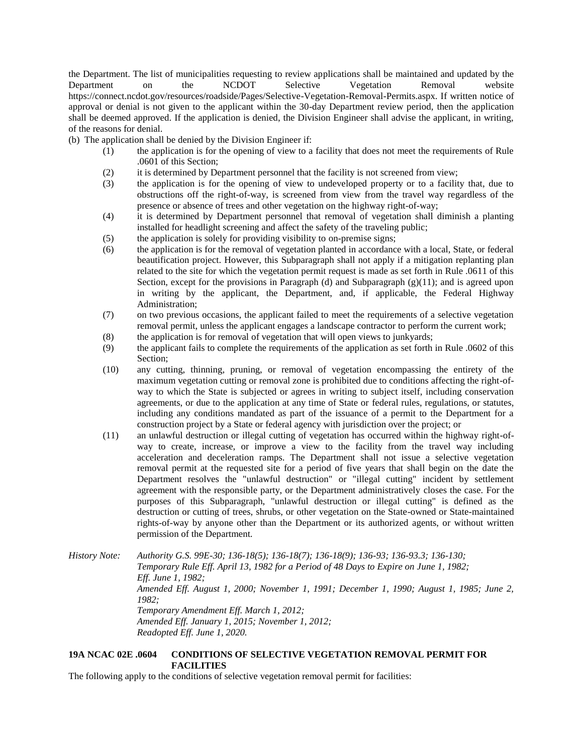the Department. The list of municipalities requesting to review applications shall be maintained and updated by the Department on the NCDOT Selective Vegetation Removal website https://connect.ncdot.gov/resources/roadside/Pages/Selective-Vegetation-Removal-Permits.aspx. If written notice of approval or denial is not given to the applicant within the 30-day Department review period, then the application shall be deemed approved. If the application is denied, the Division Engineer shall advise the applicant, in writing, of the reasons for denial.

(b) The application shall be denied by the Division Engineer if:

- (1) the application is for the opening of view to a facility that does not meet the requirements of Rule .0601 of this Section;
- (2) it is determined by Department personnel that the facility is not screened from view;
- (3) the application is for the opening of view to undeveloped property or to a facility that, due to obstructions off the right-of-way, is screened from view from the travel way regardless of the presence or absence of trees and other vegetation on the highway right-of-way;
- (4) it is determined by Department personnel that removal of vegetation shall diminish a planting installed for headlight screening and affect the safety of the traveling public;
- (5) the application is solely for providing visibility to on-premise signs;
- (6) the application is for the removal of vegetation planted in accordance with a local, State, or federal beautification project. However, this Subparagraph shall not apply if a mitigation replanting plan related to the site for which the vegetation permit request is made as set forth in Rule .0611 of this Section, except for the provisions in Paragraph (d) and Subparagraph (g)(11); and is agreed upon in writing by the applicant, the Department, and, if applicable, the Federal Highway Administration;
- (7) on two previous occasions, the applicant failed to meet the requirements of a selective vegetation removal permit, unless the applicant engages a landscape contractor to perform the current work;
- (8) the application is for removal of vegetation that will open views to junkyards;
- (9) the applicant fails to complete the requirements of the application as set forth in Rule .0602 of this Section;
- (10) any cutting, thinning, pruning, or removal of vegetation encompassing the entirety of the maximum vegetation cutting or removal zone is prohibited due to conditions affecting the right-ofway to which the State is subjected or agrees in writing to subject itself, including conservation agreements, or due to the application at any time of State or federal rules, regulations, or statutes, including any conditions mandated as part of the issuance of a permit to the Department for a construction project by a State or federal agency with jurisdiction over the project; or
- (11) an unlawful destruction or illegal cutting of vegetation has occurred within the highway right-ofway to create, increase, or improve a view to the facility from the travel way including acceleration and deceleration ramps. The Department shall not issue a selective vegetation removal permit at the requested site for a period of five years that shall begin on the date the Department resolves the "unlawful destruction" or "illegal cutting" incident by settlement agreement with the responsible party, or the Department administratively closes the case. For the purposes of this Subparagraph, "unlawful destruction or illegal cutting" is defined as the destruction or cutting of trees, shrubs, or other vegetation on the State-owned or State-maintained rights-of-way by anyone other than the Department or its authorized agents, or without written permission of the Department.

*History Note: Authority G.S. 99E-30; 136-18(5); 136-18(7); 136-18(9); 136-93; 136-93.3; 136-130; Temporary Rule Eff. April 13, 1982 for a Period of 48 Days to Expire on June 1, 1982; Eff. June 1, 1982; Amended Eff. August 1, 2000; November 1, 1991; December 1, 1990; August 1, 1985; June 2, 1982; Temporary Amendment Eff. March 1, 2012; Amended Eff. January 1, 2015; November 1, 2012; Readopted Eff. June 1, 2020.*

# **19A NCAC 02E .0604 CONDITIONS OF SELECTIVE VEGETATION REMOVAL PERMIT FOR FACILITIES**

The following apply to the conditions of selective vegetation removal permit for facilities: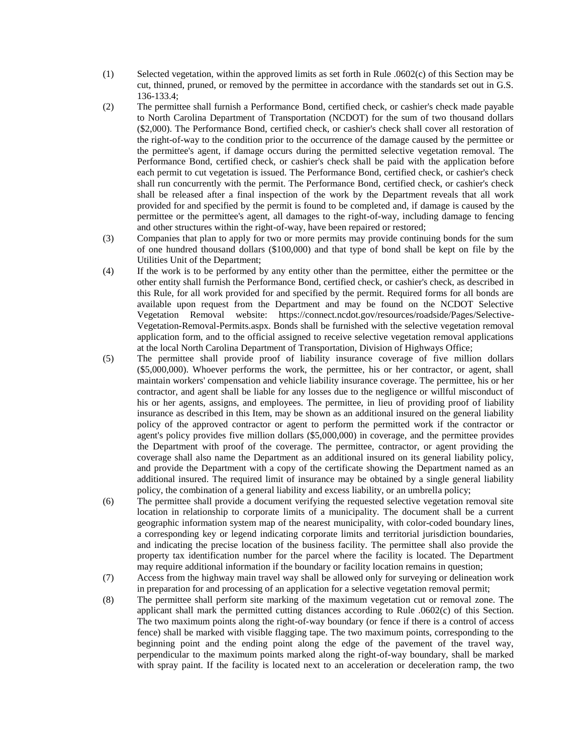- (1) Selected vegetation, within the approved limits as set forth in Rule .0602(c) of this Section may be cut, thinned, pruned, or removed by the permittee in accordance with the standards set out in G.S. 136-133.4;
- (2) The permittee shall furnish a Performance Bond, certified check, or cashier's check made payable to North Carolina Department of Transportation (NCDOT) for the sum of two thousand dollars (\$2,000). The Performance Bond, certified check, or cashier's check shall cover all restoration of the right-of-way to the condition prior to the occurrence of the damage caused by the permittee or the permittee's agent, if damage occurs during the permitted selective vegetation removal. The Performance Bond, certified check, or cashier's check shall be paid with the application before each permit to cut vegetation is issued. The Performance Bond, certified check, or cashier's check shall run concurrently with the permit. The Performance Bond, certified check, or cashier's check shall be released after a final inspection of the work by the Department reveals that all work provided for and specified by the permit is found to be completed and, if damage is caused by the permittee or the permittee's agent, all damages to the right-of-way, including damage to fencing and other structures within the right-of-way, have been repaired or restored;
- (3) Companies that plan to apply for two or more permits may provide continuing bonds for the sum of one hundred thousand dollars (\$100,000) and that type of bond shall be kept on file by the Utilities Unit of the Department;
- (4) If the work is to be performed by any entity other than the permittee, either the permittee or the other entity shall furnish the Performance Bond, certified check, or cashier's check, as described in this Rule, for all work provided for and specified by the permit. Required forms for all bonds are available upon request from the Department and may be found on the NCDOT Selective Vegetation Removal website: https://connect.ncdot.gov/resources/roadside/Pages/Selective-Vegetation-Removal-Permits.aspx. Bonds shall be furnished with the selective vegetation removal application form, and to the official assigned to receive selective vegetation removal applications at the local North Carolina Department of Transportation, Division of Highways Office;
- (5) The permittee shall provide proof of liability insurance coverage of five million dollars (\$5,000,000). Whoever performs the work, the permittee, his or her contractor, or agent, shall maintain workers' compensation and vehicle liability insurance coverage. The permittee, his or her contractor, and agent shall be liable for any losses due to the negligence or willful misconduct of his or her agents, assigns, and employees. The permittee, in lieu of providing proof of liability insurance as described in this Item, may be shown as an additional insured on the general liability policy of the approved contractor or agent to perform the permitted work if the contractor or agent's policy provides five million dollars (\$5,000,000) in coverage, and the permittee provides the Department with proof of the coverage. The permittee, contractor, or agent providing the coverage shall also name the Department as an additional insured on its general liability policy, and provide the Department with a copy of the certificate showing the Department named as an additional insured. The required limit of insurance may be obtained by a single general liability policy, the combination of a general liability and excess liability, or an umbrella policy;
- (6) The permittee shall provide a document verifying the requested selective vegetation removal site location in relationship to corporate limits of a municipality. The document shall be a current geographic information system map of the nearest municipality, with color-coded boundary lines, a corresponding key or legend indicating corporate limits and territorial jurisdiction boundaries, and indicating the precise location of the business facility. The permittee shall also provide the property tax identification number for the parcel where the facility is located. The Department may require additional information if the boundary or facility location remains in question;
- (7) Access from the highway main travel way shall be allowed only for surveying or delineation work in preparation for and processing of an application for a selective vegetation removal permit;
- (8) The permittee shall perform site marking of the maximum vegetation cut or removal zone. The applicant shall mark the permitted cutting distances according to Rule .0602(c) of this Section. The two maximum points along the right-of-way boundary (or fence if there is a control of access fence) shall be marked with visible flagging tape. The two maximum points, corresponding to the beginning point and the ending point along the edge of the pavement of the travel way, perpendicular to the maximum points marked along the right-of-way boundary, shall be marked with spray paint. If the facility is located next to an acceleration or deceleration ramp, the two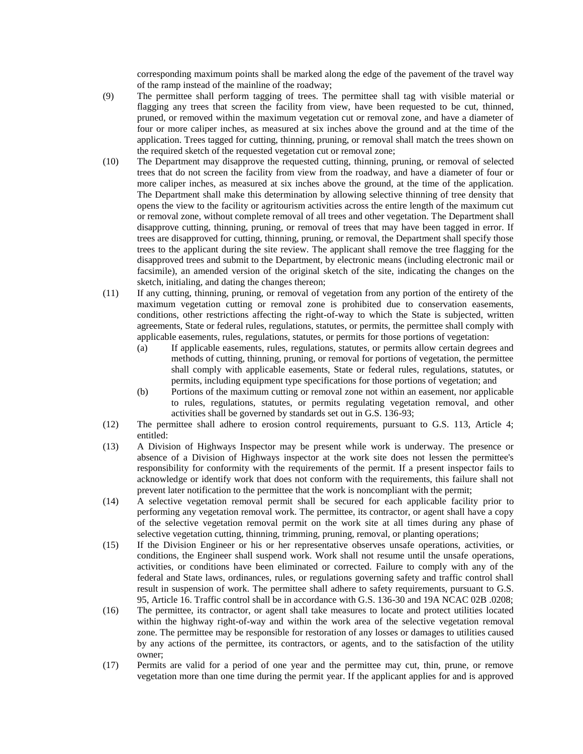corresponding maximum points shall be marked along the edge of the pavement of the travel way of the ramp instead of the mainline of the roadway;

- (9) The permittee shall perform tagging of trees. The permittee shall tag with visible material or flagging any trees that screen the facility from view, have been requested to be cut, thinned, pruned, or removed within the maximum vegetation cut or removal zone, and have a diameter of four or more caliper inches, as measured at six inches above the ground and at the time of the application. Trees tagged for cutting, thinning, pruning, or removal shall match the trees shown on the required sketch of the requested vegetation cut or removal zone;
- (10) The Department may disapprove the requested cutting, thinning, pruning, or removal of selected trees that do not screen the facility from view from the roadway, and have a diameter of four or more caliper inches, as measured at six inches above the ground, at the time of the application. The Department shall make this determination by allowing selective thinning of tree density that opens the view to the facility or agritourism activities across the entire length of the maximum cut or removal zone, without complete removal of all trees and other vegetation. The Department shall disapprove cutting, thinning, pruning, or removal of trees that may have been tagged in error. If trees are disapproved for cutting, thinning, pruning, or removal, the Department shall specify those trees to the applicant during the site review. The applicant shall remove the tree flagging for the disapproved trees and submit to the Department, by electronic means (including electronic mail or facsimile), an amended version of the original sketch of the site, indicating the changes on the sketch, initialing, and dating the changes thereon;
- (11) If any cutting, thinning, pruning, or removal of vegetation from any portion of the entirety of the maximum vegetation cutting or removal zone is prohibited due to conservation easements, conditions, other restrictions affecting the right-of-way to which the State is subjected, written agreements, State or federal rules, regulations, statutes, or permits, the permittee shall comply with applicable easements, rules, regulations, statutes, or permits for those portions of vegetation:
	- (a) If applicable easements, rules, regulations, statutes, or permits allow certain degrees and methods of cutting, thinning, pruning, or removal for portions of vegetation, the permittee shall comply with applicable easements, State or federal rules, regulations, statutes, or permits, including equipment type specifications for those portions of vegetation; and
	- (b) Portions of the maximum cutting or removal zone not within an easement, nor applicable to rules, regulations, statutes, or permits regulating vegetation removal, and other activities shall be governed by standards set out in G.S. 136-93;
- (12) The permittee shall adhere to erosion control requirements, pursuant to G.S. 113, Article 4; entitled:
- (13) A Division of Highways Inspector may be present while work is underway. The presence or absence of a Division of Highways inspector at the work site does not lessen the permittee's responsibility for conformity with the requirements of the permit. If a present inspector fails to acknowledge or identify work that does not conform with the requirements, this failure shall not prevent later notification to the permittee that the work is noncompliant with the permit;
- (14) A selective vegetation removal permit shall be secured for each applicable facility prior to performing any vegetation removal work. The permittee, its contractor, or agent shall have a copy of the selective vegetation removal permit on the work site at all times during any phase of selective vegetation cutting, thinning, trimming, pruning, removal, or planting operations;
- (15) If the Division Engineer or his or her representative observes unsafe operations, activities, or conditions, the Engineer shall suspend work. Work shall not resume until the unsafe operations, activities, or conditions have been eliminated or corrected. Failure to comply with any of the federal and State laws, ordinances, rules, or regulations governing safety and traffic control shall result in suspension of work. The permittee shall adhere to safety requirements, pursuant to G.S. 95, Article 16. Traffic control shall be in accordance with G.S. 136-30 and 19A NCAC 02B .0208;
- (16) The permittee, its contractor, or agent shall take measures to locate and protect utilities located within the highway right-of-way and within the work area of the selective vegetation removal zone. The permittee may be responsible for restoration of any losses or damages to utilities caused by any actions of the permittee, its contractors, or agents, and to the satisfaction of the utility owner;
- (17) Permits are valid for a period of one year and the permittee may cut, thin, prune, or remove vegetation more than one time during the permit year. If the applicant applies for and is approved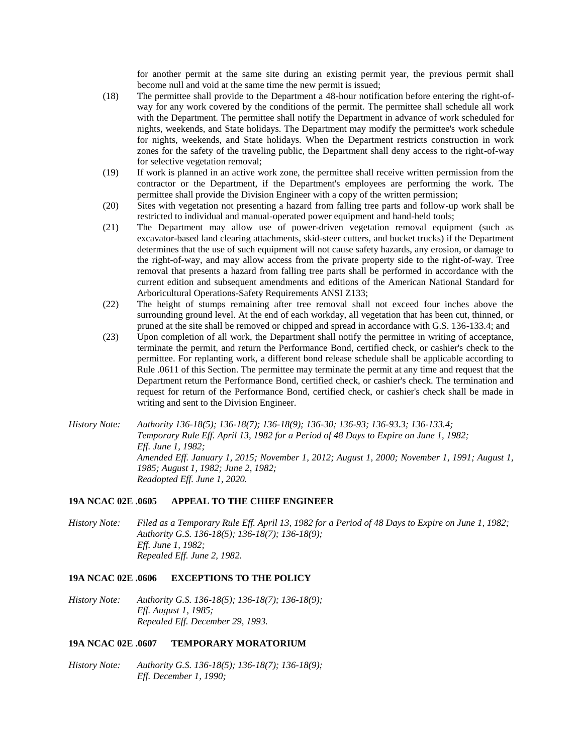for another permit at the same site during an existing permit year, the previous permit shall become null and void at the same time the new permit is issued;

- (18) The permittee shall provide to the Department a 48-hour notification before entering the right-ofway for any work covered by the conditions of the permit. The permittee shall schedule all work with the Department. The permittee shall notify the Department in advance of work scheduled for nights, weekends, and State holidays. The Department may modify the permittee's work schedule for nights, weekends, and State holidays. When the Department restricts construction in work zones for the safety of the traveling public, the Department shall deny access to the right-of-way for selective vegetation removal;
- (19) If work is planned in an active work zone, the permittee shall receive written permission from the contractor or the Department, if the Department's employees are performing the work. The permittee shall provide the Division Engineer with a copy of the written permission;
- (20) Sites with vegetation not presenting a hazard from falling tree parts and follow-up work shall be restricted to individual and manual-operated power equipment and hand-held tools;
- (21) The Department may allow use of power-driven vegetation removal equipment (such as excavator-based land clearing attachments, skid-steer cutters, and bucket trucks) if the Department determines that the use of such equipment will not cause safety hazards, any erosion, or damage to the right-of-way, and may allow access from the private property side to the right-of-way. Tree removal that presents a hazard from falling tree parts shall be performed in accordance with the current edition and subsequent amendments and editions of the American National Standard for Arboricultural Operations-Safety Requirements ANSI Z133;
- (22) The height of stumps remaining after tree removal shall not exceed four inches above the surrounding ground level. At the end of each workday, all vegetation that has been cut, thinned, or pruned at the site shall be removed or chipped and spread in accordance with G.S. 136-133.4; and
- (23) Upon completion of all work, the Department shall notify the permittee in writing of acceptance, terminate the permit, and return the Performance Bond, certified check, or cashier's check to the permittee. For replanting work, a different bond release schedule shall be applicable according to Rule .0611 of this Section. The permittee may terminate the permit at any time and request that the Department return the Performance Bond, certified check, or cashier's check. The termination and request for return of the Performance Bond, certified check, or cashier's check shall be made in writing and sent to the Division Engineer.
- *History Note: Authority 136-18(5); 136-18(7); 136-18(9); 136-30; 136-93; 136-93.3; 136-133.4; Temporary Rule Eff. April 13, 1982 for a Period of 48 Days to Expire on June 1, 1982; Eff. June 1, 1982; Amended Eff. January 1, 2015; November 1, 2012; August 1, 2000; November 1, 1991; August 1, 1985; August 1, 1982; June 2, 1982; Readopted Eff. June 1, 2020.*

#### **19A NCAC 02E .0605 APPEAL TO THE CHIEF ENGINEER**

*History Note: Filed as a Temporary Rule Eff. April 13, 1982 for a Period of 48 Days to Expire on June 1, 1982; Authority G.S. 136-18(5); 136-18(7); 136-18(9); Eff. June 1, 1982; Repealed Eff. June 2, 1982.*

#### **19A NCAC 02E .0606 EXCEPTIONS TO THE POLICY**

*History Note: Authority G.S. 136-18(5); 136-18(7); 136-18(9); Eff. August 1, 1985; Repealed Eff. December 29, 1993.*

### **19A NCAC 02E .0607 TEMPORARY MORATORIUM**

*History Note: Authority G.S. 136-18(5); 136-18(7); 136-18(9); Eff. December 1, 1990;*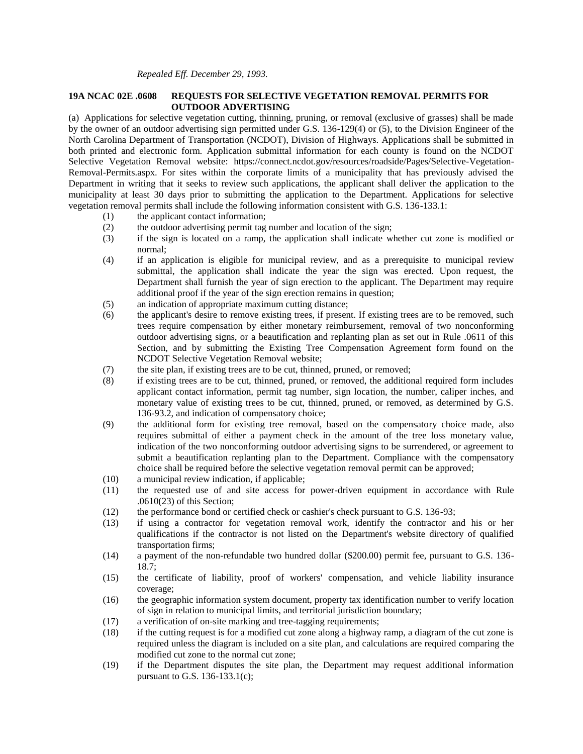#### **19A NCAC 02E .0608 REQUESTS FOR SELECTIVE VEGETATION REMOVAL PERMITS FOR OUTDOOR ADVERTISING**

(a) Applications for selective vegetation cutting, thinning, pruning, or removal (exclusive of grasses) shall be made by the owner of an outdoor advertising sign permitted under G.S. 136-129(4) or (5), to the Division Engineer of the North Carolina Department of Transportation (NCDOT), Division of Highways. Applications shall be submitted in both printed and electronic form. Application submittal information for each county is found on the NCDOT Selective Vegetation Removal website: https://connect.ncdot.gov/resources/roadside/Pages/Selective-Vegetation-Removal-Permits.aspx. For sites within the corporate limits of a municipality that has previously advised the Department in writing that it seeks to review such applications, the applicant shall deliver the application to the municipality at least 30 days prior to submitting the application to the Department. Applications for selective vegetation removal permits shall include the following information consistent with G.S. 136-133.1:

- (1) the applicant contact information;
- (2) the outdoor advertising permit tag number and location of the sign;
- (3) if the sign is located on a ramp, the application shall indicate whether cut zone is modified or normal;
- (4) if an application is eligible for municipal review, and as a prerequisite to municipal review submittal, the application shall indicate the year the sign was erected. Upon request, the Department shall furnish the year of sign erection to the applicant. The Department may require additional proof if the year of the sign erection remains in question;
- (5) an indication of appropriate maximum cutting distance;
- (6) the applicant's desire to remove existing trees, if present. If existing trees are to be removed, such trees require compensation by either monetary reimbursement, removal of two nonconforming outdoor advertising signs, or a beautification and replanting plan as set out in Rule .0611 of this Section, and by submitting the Existing Tree Compensation Agreement form found on the NCDOT Selective Vegetation Removal website;
- (7) the site plan, if existing trees are to be cut, thinned, pruned, or removed;
- (8) if existing trees are to be cut, thinned, pruned, or removed, the additional required form includes applicant contact information, permit tag number, sign location, the number, caliper inches, and monetary value of existing trees to be cut, thinned, pruned, or removed, as determined by G.S. 136-93.2, and indication of compensatory choice;
- (9) the additional form for existing tree removal, based on the compensatory choice made, also requires submittal of either a payment check in the amount of the tree loss monetary value, indication of the two nonconforming outdoor advertising signs to be surrendered, or agreement to submit a beautification replanting plan to the Department. Compliance with the compensatory choice shall be required before the selective vegetation removal permit can be approved;
- (10) a municipal review indication, if applicable;
- (11) the requested use of and site access for power-driven equipment in accordance with Rule .0610(23) of this Section;
- (12) the performance bond or certified check or cashier's check pursuant to G.S. 136-93;
- (13) if using a contractor for vegetation removal work, identify the contractor and his or her qualifications if the contractor is not listed on the Department's website directory of qualified transportation firms;
- (14) a payment of the non-refundable two hundred dollar (\$200.00) permit fee, pursuant to G.S. 136- 18.7;
- (15) the certificate of liability, proof of workers' compensation, and vehicle liability insurance coverage;
- (16) the geographic information system document, property tax identification number to verify location of sign in relation to municipal limits, and territorial jurisdiction boundary;
- (17) a verification of on-site marking and tree-tagging requirements;
- (18) if the cutting request is for a modified cut zone along a highway ramp, a diagram of the cut zone is required unless the diagram is included on a site plan, and calculations are required comparing the modified cut zone to the normal cut zone;
- (19) if the Department disputes the site plan, the Department may request additional information pursuant to G.S. 136-133.1(c);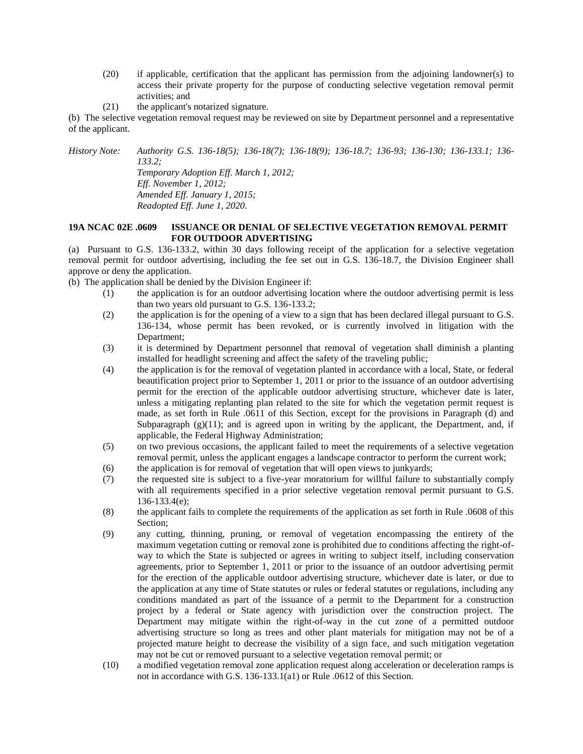- (20) if applicable, certification that the applicant has permission from the adjoining landowner(s) to access their private property for the purpose of conducting selective vegetation removal permit activities; and
- (21) the applicant's notarized signature.

(b) The selective vegetation removal request may be reviewed on site by Department personnel and a representative of the applicant.

*History Note: Authority G.S. 136-18(5); 136-18(7); 136-18(9); 136-18.7; 136-93; 136-130; 136-133.1; 136- 133.2; Temporary Adoption Eff. March 1, 2012; Eff. November 1, 2012;*

*Amended Eff. January 1, 2015; Readopted Eff. June 1, 2020.*

# **19A NCAC 02E .0609 ISSUANCE OR DENIAL OF SELECTIVE VEGETATION REMOVAL PERMIT FOR OUTDOOR ADVERTISING**

(a) Pursuant to G.S. 136-133.2, within 30 days following receipt of the application for a selective vegetation removal permit for outdoor advertising, including the fee set out in G.S. 136-18.7, the Division Engineer shall approve or deny the application.

(b) The application shall be denied by the Division Engineer if:

- (1) the application is for an outdoor advertising location where the outdoor advertising permit is less than two years old pursuant to G.S. 136-133.2;
- (2) the application is for the opening of a view to a sign that has been declared illegal pursuant to G.S. 136-134, whose permit has been revoked, or is currently involved in litigation with the Department;
- (3) it is determined by Department personnel that removal of vegetation shall diminish a planting installed for headlight screening and affect the safety of the traveling public;
- (4) the application is for the removal of vegetation planted in accordance with a local, State, or federal beautification project prior to September 1, 2011 or prior to the issuance of an outdoor advertising permit for the erection of the applicable outdoor advertising structure, whichever date is later, unless a mitigating replanting plan related to the site for which the vegetation permit request is made, as set forth in Rule .0611 of this Section, except for the provisions in Paragraph (d) and Subparagraph  $(g)(11)$ ; and is agreed upon in writing by the applicant, the Department, and, if applicable, the Federal Highway Administration;
- (5) on two previous occasions, the applicant failed to meet the requirements of a selective vegetation removal permit, unless the applicant engages a landscape contractor to perform the current work;
- (6) the application is for removal of vegetation that will open views to junkyards;
- (7) the requested site is subject to a five-year moratorium for willful failure to substantially comply with all requirements specified in a prior selective vegetation removal permit pursuant to G.S. 136-133.4(e);
- (8) the applicant fails to complete the requirements of the application as set forth in Rule .0608 of this Section;
- (9) any cutting, thinning, pruning, or removal of vegetation encompassing the entirety of the maximum vegetation cutting or removal zone is prohibited due to conditions affecting the right-ofway to which the State is subjected or agrees in writing to subject itself, including conservation agreements, prior to September 1, 2011 or prior to the issuance of an outdoor advertising permit for the erection of the applicable outdoor advertising structure, whichever date is later, or due to the application at any time of State statutes or rules or federal statutes or regulations, including any conditions mandated as part of the issuance of a permit to the Department for a construction project by a federal or State agency with jurisdiction over the construction project. The Department may mitigate within the right-of-way in the cut zone of a permitted outdoor advertising structure so long as trees and other plant materials for mitigation may not be of a projected mature height to decrease the visibility of a sign face, and such mitigation vegetation may not be cut or removed pursuant to a selective vegetation removal permit; or
- (10) a modified vegetation removal zone application request along acceleration or deceleration ramps is not in accordance with G.S. 136-133.1(a1) or Rule .0612 of this Section.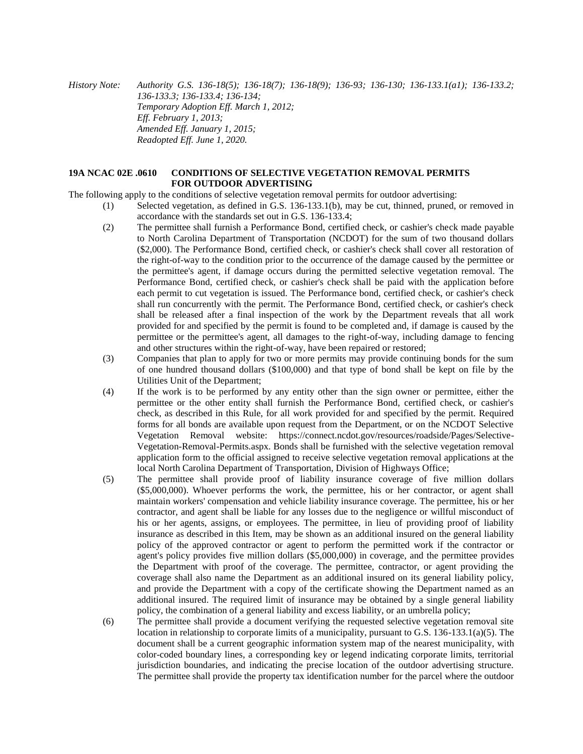*History Note: Authority G.S. 136-18(5); 136-18(7); 136-18(9); 136-93; 136-130; 136-133.1(a1); 136-133.2; 136-133.3; 136-133.4; 136-134; Temporary Adoption Eff. March 1, 2012; Eff. February 1, 2013; Amended Eff. January 1, 2015; Readopted Eff. June 1, 2020.*

# **19A NCAC 02E .0610 CONDITIONS OF SELECTIVE VEGETATION REMOVAL PERMITS FOR OUTDOOR ADVERTISING**

The following apply to the conditions of selective vegetation removal permits for outdoor advertising:

- (1) Selected vegetation, as defined in G.S. 136-133.1(b), may be cut, thinned, pruned, or removed in accordance with the standards set out in G.S. 136-133.4;
	- (2) The permittee shall furnish a Performance Bond, certified check, or cashier's check made payable to North Carolina Department of Transportation (NCDOT) for the sum of two thousand dollars (\$2,000). The Performance Bond, certified check, or cashier's check shall cover all restoration of the right-of-way to the condition prior to the occurrence of the damage caused by the permittee or the permittee's agent, if damage occurs during the permitted selective vegetation removal. The Performance Bond, certified check, or cashier's check shall be paid with the application before each permit to cut vegetation is issued. The Performance bond, certified check, or cashier's check shall run concurrently with the permit. The Performance Bond, certified check, or cashier's check shall be released after a final inspection of the work by the Department reveals that all work provided for and specified by the permit is found to be completed and, if damage is caused by the permittee or the permittee's agent, all damages to the right-of-way, including damage to fencing and other structures within the right-of-way, have been repaired or restored;
	- (3) Companies that plan to apply for two or more permits may provide continuing bonds for the sum of one hundred thousand dollars (\$100,000) and that type of bond shall be kept on file by the Utilities Unit of the Department;
	- (4) If the work is to be performed by any entity other than the sign owner or permittee, either the permittee or the other entity shall furnish the Performance Bond, certified check, or cashier's check, as described in this Rule, for all work provided for and specified by the permit. Required forms for all bonds are available upon request from the Department, or on the NCDOT Selective Vegetation Removal website: https://connect.ncdot.gov/resources/roadside/Pages/Selective-Vegetation-Removal-Permits.aspx. Bonds shall be furnished with the selective vegetation removal application form to the official assigned to receive selective vegetation removal applications at the local North Carolina Department of Transportation, Division of Highways Office;
	- (5) The permittee shall provide proof of liability insurance coverage of five million dollars (\$5,000,000). Whoever performs the work, the permittee, his or her contractor, or agent shall maintain workers' compensation and vehicle liability insurance coverage. The permittee, his or her contractor, and agent shall be liable for any losses due to the negligence or willful misconduct of his or her agents, assigns, or employees. The permittee, in lieu of providing proof of liability insurance as described in this Item, may be shown as an additional insured on the general liability policy of the approved contractor or agent to perform the permitted work if the contractor or agent's policy provides five million dollars (\$5,000,000) in coverage, and the permittee provides the Department with proof of the coverage. The permittee, contractor, or agent providing the coverage shall also name the Department as an additional insured on its general liability policy, and provide the Department with a copy of the certificate showing the Department named as an additional insured. The required limit of insurance may be obtained by a single general liability policy, the combination of a general liability and excess liability, or an umbrella policy;
	- (6) The permittee shall provide a document verifying the requested selective vegetation removal site location in relationship to corporate limits of a municipality, pursuant to G.S. 136-133.1(a)(5). The document shall be a current geographic information system map of the nearest municipality, with color-coded boundary lines, a corresponding key or legend indicating corporate limits, territorial jurisdiction boundaries, and indicating the precise location of the outdoor advertising structure. The permittee shall provide the property tax identification number for the parcel where the outdoor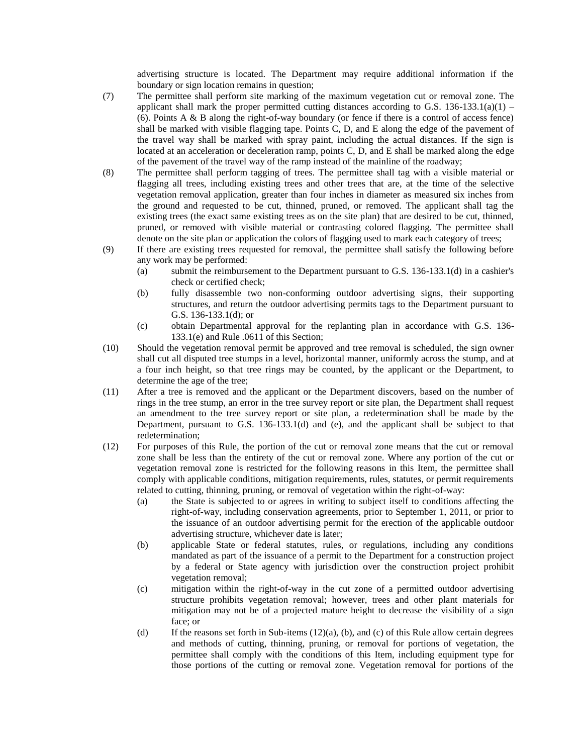advertising structure is located. The Department may require additional information if the boundary or sign location remains in question;

- (7) The permittee shall perform site marking of the maximum vegetation cut or removal zone. The applicant shall mark the proper permitted cutting distances according to G.S.  $136-133.1(a)(1)$  – (6). Points A & B along the right-of-way boundary (or fence if there is a control of access fence) shall be marked with visible flagging tape. Points C, D, and E along the edge of the pavement of the travel way shall be marked with spray paint, including the actual distances. If the sign is located at an acceleration or deceleration ramp, points C, D, and E shall be marked along the edge of the pavement of the travel way of the ramp instead of the mainline of the roadway;
- (8) The permittee shall perform tagging of trees. The permittee shall tag with a visible material or flagging all trees, including existing trees and other trees that are, at the time of the selective vegetation removal application, greater than four inches in diameter as measured six inches from the ground and requested to be cut, thinned, pruned, or removed. The applicant shall tag the existing trees (the exact same existing trees as on the site plan) that are desired to be cut, thinned, pruned, or removed with visible material or contrasting colored flagging. The permittee shall denote on the site plan or application the colors of flagging used to mark each category of trees;
- (9) If there are existing trees requested for removal, the permittee shall satisfy the following before any work may be performed:
	- (a) submit the reimbursement to the Department pursuant to G.S. 136-133.1(d) in a cashier's check or certified check;
	- (b) fully disassemble two non-conforming outdoor advertising signs, their supporting structures, and return the outdoor advertising permits tags to the Department pursuant to G.S. 136-133.1(d); or
	- (c) obtain Departmental approval for the replanting plan in accordance with G.S. 136- 133.1(e) and Rule .0611 of this Section;
- (10) Should the vegetation removal permit be approved and tree removal is scheduled, the sign owner shall cut all disputed tree stumps in a level, horizontal manner, uniformly across the stump, and at a four inch height, so that tree rings may be counted, by the applicant or the Department, to determine the age of the tree;
- (11) After a tree is removed and the applicant or the Department discovers, based on the number of rings in the tree stump, an error in the tree survey report or site plan, the Department shall request an amendment to the tree survey report or site plan, a redetermination shall be made by the Department, pursuant to G.S. 136-133.1(d) and (e), and the applicant shall be subject to that redetermination;
- (12) For purposes of this Rule, the portion of the cut or removal zone means that the cut or removal zone shall be less than the entirety of the cut or removal zone. Where any portion of the cut or vegetation removal zone is restricted for the following reasons in this Item, the permittee shall comply with applicable conditions, mitigation requirements, rules, statutes, or permit requirements related to cutting, thinning, pruning, or removal of vegetation within the right-of-way:
	- (a) the State is subjected to or agrees in writing to subject itself to conditions affecting the right-of-way, including conservation agreements, prior to September 1, 2011, or prior to the issuance of an outdoor advertising permit for the erection of the applicable outdoor advertising structure, whichever date is later;
	- (b) applicable State or federal statutes, rules, or regulations, including any conditions mandated as part of the issuance of a permit to the Department for a construction project by a federal or State agency with jurisdiction over the construction project prohibit vegetation removal;
	- (c) mitigation within the right-of-way in the cut zone of a permitted outdoor advertising structure prohibits vegetation removal; however, trees and other plant materials for mitigation may not be of a projected mature height to decrease the visibility of a sign face; or
	- (d) If the reasons set forth in Sub-items  $(12)(a)$ ,  $(b)$ , and  $(c)$  of this Rule allow certain degrees and methods of cutting, thinning, pruning, or removal for portions of vegetation, the permittee shall comply with the conditions of this Item, including equipment type for those portions of the cutting or removal zone. Vegetation removal for portions of the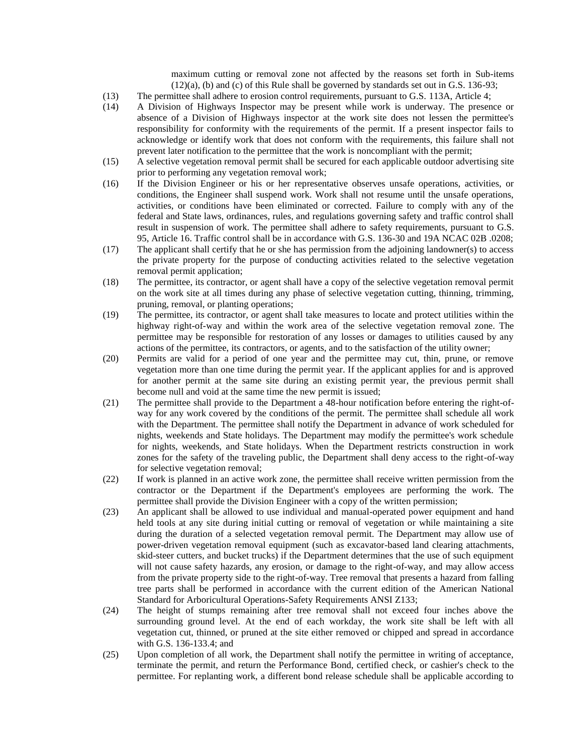maximum cutting or removal zone not affected by the reasons set forth in Sub-items  $(12)(a)$ , (b) and (c) of this Rule shall be governed by standards set out in G.S. 136-93;

- (13) The permittee shall adhere to erosion control requirements, pursuant to G.S. 113A, Article 4;
- (14) A Division of Highways Inspector may be present while work is underway. The presence or absence of a Division of Highways inspector at the work site does not lessen the permittee's responsibility for conformity with the requirements of the permit. If a present inspector fails to acknowledge or identify work that does not conform with the requirements, this failure shall not prevent later notification to the permittee that the work is noncompliant with the permit;
- (15) A selective vegetation removal permit shall be secured for each applicable outdoor advertising site prior to performing any vegetation removal work;
- (16) If the Division Engineer or his or her representative observes unsafe operations, activities, or conditions, the Engineer shall suspend work. Work shall not resume until the unsafe operations, activities, or conditions have been eliminated or corrected. Failure to comply with any of the federal and State laws, ordinances, rules, and regulations governing safety and traffic control shall result in suspension of work. The permittee shall adhere to safety requirements, pursuant to G.S. 95, Article 16. Traffic control shall be in accordance with G.S. 136-30 and 19A NCAC 02B .0208;
- (17) The applicant shall certify that he or she has permission from the adjoining landowner(s) to access the private property for the purpose of conducting activities related to the selective vegetation removal permit application;
- (18) The permittee, its contractor, or agent shall have a copy of the selective vegetation removal permit on the work site at all times during any phase of selective vegetation cutting, thinning, trimming, pruning, removal, or planting operations;
- (19) The permittee, its contractor, or agent shall take measures to locate and protect utilities within the highway right-of-way and within the work area of the selective vegetation removal zone. The permittee may be responsible for restoration of any losses or damages to utilities caused by any actions of the permittee, its contractors, or agents, and to the satisfaction of the utility owner;
- (20) Permits are valid for a period of one year and the permittee may cut, thin, prune, or remove vegetation more than one time during the permit year. If the applicant applies for and is approved for another permit at the same site during an existing permit year, the previous permit shall become null and void at the same time the new permit is issued;
- (21) The permittee shall provide to the Department a 48-hour notification before entering the right-ofway for any work covered by the conditions of the permit. The permittee shall schedule all work with the Department. The permittee shall notify the Department in advance of work scheduled for nights, weekends and State holidays. The Department may modify the permittee's work schedule for nights, weekends, and State holidays. When the Department restricts construction in work zones for the safety of the traveling public, the Department shall deny access to the right-of-way for selective vegetation removal;
- (22) If work is planned in an active work zone, the permittee shall receive written permission from the contractor or the Department if the Department's employees are performing the work. The permittee shall provide the Division Engineer with a copy of the written permission;
- (23) An applicant shall be allowed to use individual and manual-operated power equipment and hand held tools at any site during initial cutting or removal of vegetation or while maintaining a site during the duration of a selected vegetation removal permit. The Department may allow use of power-driven vegetation removal equipment (such as excavator-based land clearing attachments, skid-steer cutters, and bucket trucks) if the Department determines that the use of such equipment will not cause safety hazards, any erosion, or damage to the right-of-way, and may allow access from the private property side to the right-of-way. Tree removal that presents a hazard from falling tree parts shall be performed in accordance with the current edition of the American National Standard for Arboricultural Operations-Safety Requirements ANSI Z133;
- (24) The height of stumps remaining after tree removal shall not exceed four inches above the surrounding ground level. At the end of each workday, the work site shall be left with all vegetation cut, thinned, or pruned at the site either removed or chipped and spread in accordance with G.S. 136-133.4; and
- (25) Upon completion of all work, the Department shall notify the permittee in writing of acceptance, terminate the permit, and return the Performance Bond, certified check, or cashier's check to the permittee. For replanting work, a different bond release schedule shall be applicable according to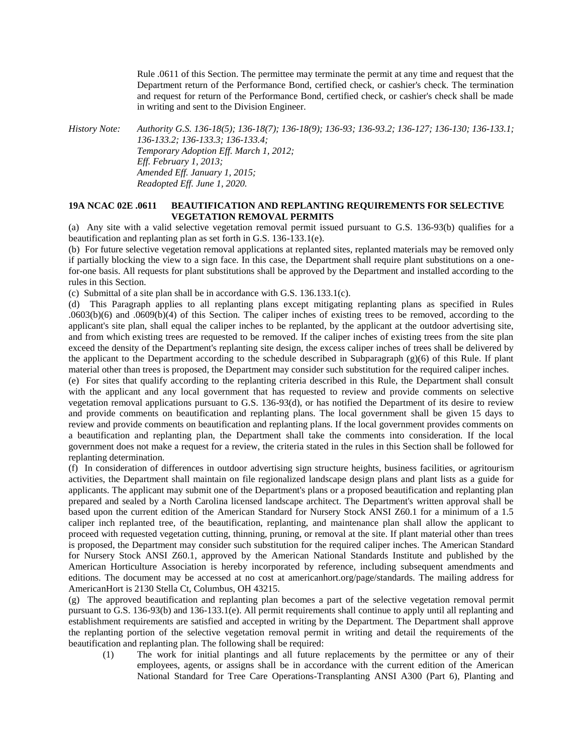Rule .0611 of this Section. The permittee may terminate the permit at any time and request that the Department return of the Performance Bond, certified check, or cashier's check. The termination and request for return of the Performance Bond, certified check, or cashier's check shall be made in writing and sent to the Division Engineer.

*History Note: Authority G.S. 136-18(5); 136-18(7); 136-18(9); 136-93; 136-93.2; 136-127; 136-130; 136-133.1;* 

*136-133.2; 136-133.3; 136-133.4; Temporary Adoption Eff. March 1, 2012; Eff. February 1, 2013; Amended Eff. January 1, 2015; Readopted Eff. June 1, 2020.*

### **19A NCAC 02E .0611 BEAUTIFICATION AND REPLANTING REQUIREMENTS FOR SELECTIVE VEGETATION REMOVAL PERMITS**

(a) Any site with a valid selective vegetation removal permit issued pursuant to G.S. 136-93(b) qualifies for a beautification and replanting plan as set forth in G.S. 136-133.1(e).

(b) For future selective vegetation removal applications at replanted sites, replanted materials may be removed only if partially blocking the view to a sign face. In this case, the Department shall require plant substitutions on a onefor-one basis. All requests for plant substitutions shall be approved by the Department and installed according to the rules in this Section.

(c) Submittal of a site plan shall be in accordance with G.S. 136.133.1(c).

(d) This Paragraph applies to all replanting plans except mitigating replanting plans as specified in Rules .0603(b)(6) and .0609(b)(4) of this Section. The caliper inches of existing trees to be removed, according to the applicant's site plan, shall equal the caliper inches to be replanted, by the applicant at the outdoor advertising site, and from which existing trees are requested to be removed. If the caliper inches of existing trees from the site plan exceed the density of the Department's replanting site design, the excess caliper inches of trees shall be delivered by the applicant to the Department according to the schedule described in Subparagraph  $(g)(6)$  of this Rule. If plant material other than trees is proposed, the Department may consider such substitution for the required caliper inches.

(e) For sites that qualify according to the replanting criteria described in this Rule, the Department shall consult with the applicant and any local government that has requested to review and provide comments on selective vegetation removal applications pursuant to G.S. 136-93(d), or has notified the Department of its desire to review and provide comments on beautification and replanting plans. The local government shall be given 15 days to review and provide comments on beautification and replanting plans. If the local government provides comments on a beautification and replanting plan, the Department shall take the comments into consideration. If the local government does not make a request for a review, the criteria stated in the rules in this Section shall be followed for replanting determination.

(f) In consideration of differences in outdoor advertising sign structure heights, business facilities, or agritourism activities, the Department shall maintain on file regionalized landscape design plans and plant lists as a guide for applicants. The applicant may submit one of the Department's plans or a proposed beautification and replanting plan prepared and sealed by a North Carolina licensed landscape architect. The Department's written approval shall be based upon the current edition of the American Standard for Nursery Stock ANSI Z60.1 for a minimum of a 1.5 caliper inch replanted tree, of the beautification, replanting, and maintenance plan shall allow the applicant to proceed with requested vegetation cutting, thinning, pruning, or removal at the site. If plant material other than trees is proposed, the Department may consider such substitution for the required caliper inches. The American Standard for Nursery Stock ANSI Z60.1, approved by the American National Standards Institute and published by the American Horticulture Association is hereby incorporated by reference, including subsequent amendments and editions. The document may be accessed at no cost at americanhort.org/page/standards. The mailing address for AmericanHort is 2130 Stella Ct, Columbus, OH 43215.

(g) The approved beautification and replanting plan becomes a part of the selective vegetation removal permit pursuant to G.S. 136-93(b) and 136-133.1(e). All permit requirements shall continue to apply until all replanting and establishment requirements are satisfied and accepted in writing by the Department. The Department shall approve the replanting portion of the selective vegetation removal permit in writing and detail the requirements of the beautification and replanting plan. The following shall be required:

(1) The work for initial plantings and all future replacements by the permittee or any of their employees, agents, or assigns shall be in accordance with the current edition of the American National Standard for Tree Care Operations-Transplanting ANSI A300 (Part 6), Planting and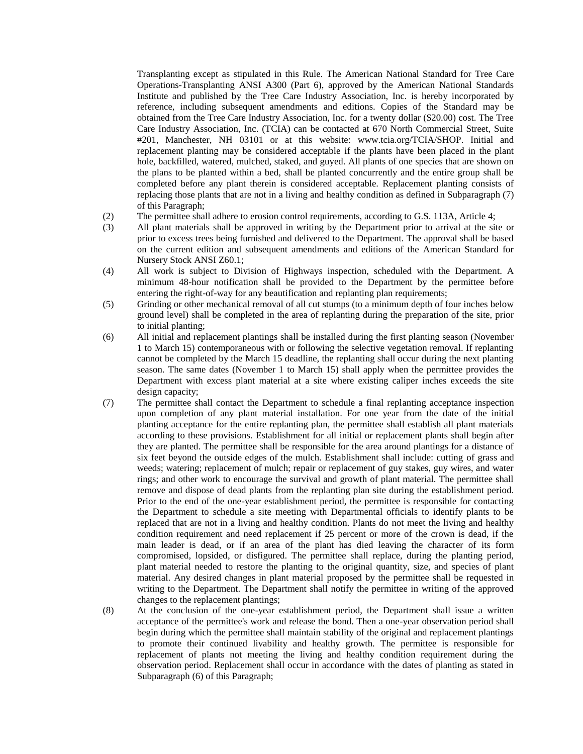Transplanting except as stipulated in this Rule. The American National Standard for Tree Care Operations-Transplanting ANSI A300 (Part 6), approved by the American National Standards Institute and published by the Tree Care Industry Association, Inc. is hereby incorporated by reference, including subsequent amendments and editions. Copies of the Standard may be obtained from the Tree Care Industry Association, Inc. for a twenty dollar (\$20.00) cost. The Tree Care Industry Association, Inc. (TCIA) can be contacted at 670 North Commercial Street, Suite #201, Manchester, NH 03101 or at this website: www.tcia.org/TCIA/SHOP. Initial and replacement planting may be considered acceptable if the plants have been placed in the plant hole, backfilled, watered, mulched, staked, and guyed. All plants of one species that are shown on the plans to be planted within a bed, shall be planted concurrently and the entire group shall be completed before any plant therein is considered acceptable. Replacement planting consists of replacing those plants that are not in a living and healthy condition as defined in Subparagraph (7) of this Paragraph;

- (2) The permittee shall adhere to erosion control requirements, according to G.S. 113A, Article 4;
- (3) All plant materials shall be approved in writing by the Department prior to arrival at the site or prior to excess trees being furnished and delivered to the Department. The approval shall be based on the current edition and subsequent amendments and editions of the American Standard for Nursery Stock ANSI Z60.1;
- (4) All work is subject to Division of Highways inspection, scheduled with the Department. A minimum 48-hour notification shall be provided to the Department by the permittee before entering the right-of-way for any beautification and replanting plan requirements;
- (5) Grinding or other mechanical removal of all cut stumps (to a minimum depth of four inches below ground level) shall be completed in the area of replanting during the preparation of the site, prior to initial planting;
- (6) All initial and replacement plantings shall be installed during the first planting season (November 1 to March 15) contemporaneous with or following the selective vegetation removal. If replanting cannot be completed by the March 15 deadline, the replanting shall occur during the next planting season. The same dates (November 1 to March 15) shall apply when the permittee provides the Department with excess plant material at a site where existing caliper inches exceeds the site design capacity;
- (7) The permittee shall contact the Department to schedule a final replanting acceptance inspection upon completion of any plant material installation. For one year from the date of the initial planting acceptance for the entire replanting plan, the permittee shall establish all plant materials according to these provisions. Establishment for all initial or replacement plants shall begin after they are planted. The permittee shall be responsible for the area around plantings for a distance of six feet beyond the outside edges of the mulch. Establishment shall include: cutting of grass and weeds; watering; replacement of mulch; repair or replacement of guy stakes, guy wires, and water rings; and other work to encourage the survival and growth of plant material. The permittee shall remove and dispose of dead plants from the replanting plan site during the establishment period. Prior to the end of the one-year establishment period, the permittee is responsible for contacting the Department to schedule a site meeting with Departmental officials to identify plants to be replaced that are not in a living and healthy condition. Plants do not meet the living and healthy condition requirement and need replacement if 25 percent or more of the crown is dead, if the main leader is dead, or if an area of the plant has died leaving the character of its form compromised, lopsided, or disfigured. The permittee shall replace, during the planting period, plant material needed to restore the planting to the original quantity, size, and species of plant material. Any desired changes in plant material proposed by the permittee shall be requested in writing to the Department. The Department shall notify the permittee in writing of the approved changes to the replacement plantings;
- (8) At the conclusion of the one-year establishment period, the Department shall issue a written acceptance of the permittee's work and release the bond. Then a one-year observation period shall begin during which the permittee shall maintain stability of the original and replacement plantings to promote their continued livability and healthy growth. The permittee is responsible for replacement of plants not meeting the living and healthy condition requirement during the observation period. Replacement shall occur in accordance with the dates of planting as stated in Subparagraph (6) of this Paragraph;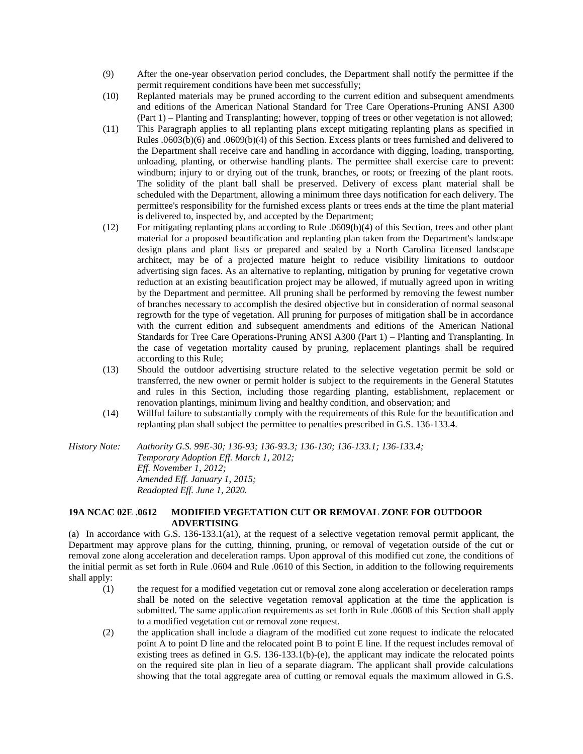- (9) After the one-year observation period concludes, the Department shall notify the permittee if the permit requirement conditions have been met successfully;
- (10) Replanted materials may be pruned according to the current edition and subsequent amendments and editions of the American National Standard for Tree Care Operations-Pruning ANSI A300 (Part 1) – Planting and Transplanting; however, topping of trees or other vegetation is not allowed;
- (11) This Paragraph applies to all replanting plans except mitigating replanting plans as specified in Rules .0603(b)(6) and .0609(b)(4) of this Section. Excess plants or trees furnished and delivered to the Department shall receive care and handling in accordance with digging, loading, transporting, unloading, planting, or otherwise handling plants. The permittee shall exercise care to prevent: windburn; injury to or drying out of the trunk, branches, or roots; or freezing of the plant roots. The solidity of the plant ball shall be preserved. Delivery of excess plant material shall be scheduled with the Department, allowing a minimum three days notification for each delivery. The permittee's responsibility for the furnished excess plants or trees ends at the time the plant material is delivered to, inspected by, and accepted by the Department;
- (12) For mitigating replanting plans according to Rule .0609(b)(4) of this Section, trees and other plant material for a proposed beautification and replanting plan taken from the Department's landscape design plans and plant lists or prepared and sealed by a North Carolina licensed landscape architect, may be of a projected mature height to reduce visibility limitations to outdoor advertising sign faces. As an alternative to replanting, mitigation by pruning for vegetative crown reduction at an existing beautification project may be allowed, if mutually agreed upon in writing by the Department and permittee. All pruning shall be performed by removing the fewest number of branches necessary to accomplish the desired objective but in consideration of normal seasonal regrowth for the type of vegetation. All pruning for purposes of mitigation shall be in accordance with the current edition and subsequent amendments and editions of the American National Standards for Tree Care Operations-Pruning ANSI A300 (Part 1) – Planting and Transplanting. In the case of vegetation mortality caused by pruning, replacement plantings shall be required according to this Rule;
- (13) Should the outdoor advertising structure related to the selective vegetation permit be sold or transferred, the new owner or permit holder is subject to the requirements in the General Statutes and rules in this Section, including those regarding planting, establishment, replacement or renovation plantings, minimum living and healthy condition, and observation; and
- (14) Willful failure to substantially comply with the requirements of this Rule for the beautification and replanting plan shall subject the permittee to penalties prescribed in G.S. 136-133.4.

*History Note: Authority G.S. 99E-30; 136-93; 136-93.3; 136-130; 136-133.1; 136-133.4; Temporary Adoption Eff. March 1, 2012; Eff. November 1, 2012; Amended Eff. January 1, 2015; Readopted Eff. June 1, 2020.*

# **19A NCAC 02E .0612 MODIFIED VEGETATION CUT OR REMOVAL ZONE FOR OUTDOOR ADVERTISING**

(a) In accordance with G.S. 136-133.1(a1), at the request of a selective vegetation removal permit applicant, the Department may approve plans for the cutting, thinning, pruning, or removal of vegetation outside of the cut or removal zone along acceleration and deceleration ramps. Upon approval of this modified cut zone, the conditions of the initial permit as set forth in Rule .0604 and Rule .0610 of this Section, in addition to the following requirements shall apply:

- (1) the request for a modified vegetation cut or removal zone along acceleration or deceleration ramps shall be noted on the selective vegetation removal application at the time the application is submitted. The same application requirements as set forth in Rule .0608 of this Section shall apply to a modified vegetation cut or removal zone request.
- (2) the application shall include a diagram of the modified cut zone request to indicate the relocated point A to point D line and the relocated point B to point E line. If the request includes removal of existing trees as defined in G.S. 136-133.1(b)-(e), the applicant may indicate the relocated points on the required site plan in lieu of a separate diagram. The applicant shall provide calculations showing that the total aggregate area of cutting or removal equals the maximum allowed in G.S.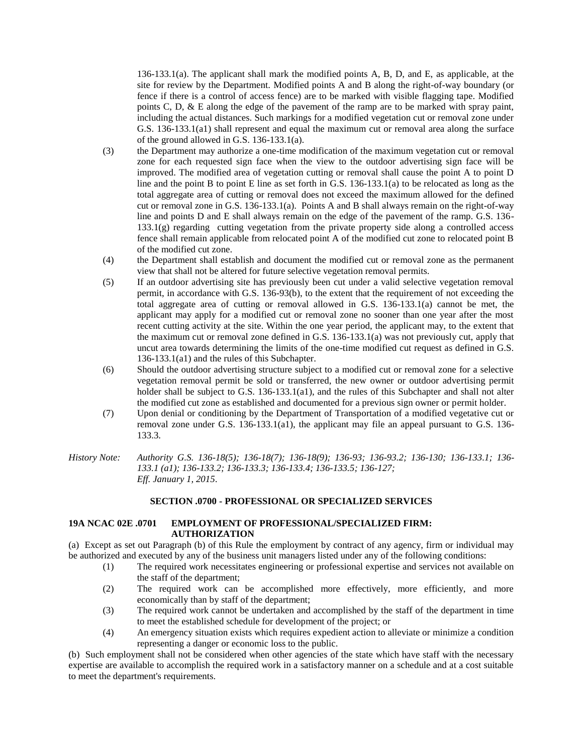136-133.1(a). The applicant shall mark the modified points A, B, D, and E, as applicable, at the site for review by the Department. Modified points A and B along the right-of-way boundary (or fence if there is a control of access fence) are to be marked with visible flagging tape. Modified points C, D, & E along the edge of the pavement of the ramp are to be marked with spray paint, including the actual distances. Such markings for a modified vegetation cut or removal zone under G.S. 136-133.1(a1) shall represent and equal the maximum cut or removal area along the surface of the ground allowed in G.S. 136-133.1(a).

- (3) the Department may authorize a one-time modification of the maximum vegetation cut or removal zone for each requested sign face when the view to the outdoor advertising sign face will be improved. The modified area of vegetation cutting or removal shall cause the point A to point D line and the point B to point E line as set forth in G.S. 136-133.1(a) to be relocated as long as the total aggregate area of cutting or removal does not exceed the maximum allowed for the defined cut or removal zone in G.S. 136-133.1(a). Points A and B shall always remain on the right-of-way line and points D and E shall always remain on the edge of the pavement of the ramp. G.S. 136- 133.1(g) regarding cutting vegetation from the private property side along a controlled access fence shall remain applicable from relocated point A of the modified cut zone to relocated point B of the modified cut zone.
- (4) the Department shall establish and document the modified cut or removal zone as the permanent view that shall not be altered for future selective vegetation removal permits.
- (5) If an outdoor advertising site has previously been cut under a valid selective vegetation removal permit, in accordance with G.S. 136-93(b), to the extent that the requirement of not exceeding the total aggregate area of cutting or removal allowed in G.S. 136-133.1(a) cannot be met, the applicant may apply for a modified cut or removal zone no sooner than one year after the most recent cutting activity at the site. Within the one year period, the applicant may, to the extent that the maximum cut or removal zone defined in G.S. 136-133.1(a) was not previously cut, apply that uncut area towards determining the limits of the one-time modified cut request as defined in G.S. 136-133.1(a1) and the rules of this Subchapter.
- (6) Should the outdoor advertising structure subject to a modified cut or removal zone for a selective vegetation removal permit be sold or transferred, the new owner or outdoor advertising permit holder shall be subject to G.S. 136-133.1(a1), and the rules of this Subchapter and shall not alter the modified cut zone as established and documented for a previous sign owner or permit holder.
- (7) Upon denial or conditioning by the Department of Transportation of a modified vegetative cut or removal zone under G.S. 136-133.1(a1), the applicant may file an appeal pursuant to G.S. 136- 133.3.
- *History Note: Authority G.S. 136-18(5); 136-18(7); 136-18(9); 136-93; 136-93.2; 136-130; 136-133.1; 136- 133.1 (a1); 136-133.2; 136-133.3; 136-133.4; 136-133.5; 136-127; Eff. January 1, 2015.*

### **SECTION .0700 - PROFESSIONAL OR SPECIALIZED SERVICES**

### **19A NCAC 02E .0701 EMPLOYMENT OF PROFESSIONAL/SPECIALIZED FIRM: AUTHORIZATION**

(a) Except as set out Paragraph (b) of this Rule the employment by contract of any agency, firm or individual may be authorized and executed by any of the business unit managers listed under any of the following conditions:

- (1) The required work necessitates engineering or professional expertise and services not available on the staff of the department;
- (2) The required work can be accomplished more effectively, more efficiently, and more economically than by staff of the department;
- (3) The required work cannot be undertaken and accomplished by the staff of the department in time to meet the established schedule for development of the project; or
- (4) An emergency situation exists which requires expedient action to alleviate or minimize a condition representing a danger or economic loss to the public.

(b) Such employment shall not be considered when other agencies of the state which have staff with the necessary expertise are available to accomplish the required work in a satisfactory manner on a schedule and at a cost suitable to meet the department's requirements.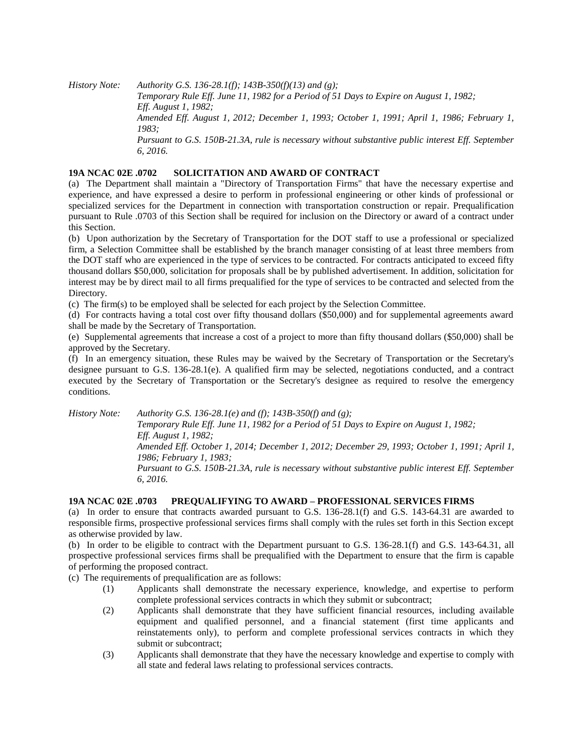*History Note: Authority G.S. 136-28.1(f); 143B-350(f)(13) and (g);*

*Temporary Rule Eff. June 11, 1982 for a Period of 51 Days to Expire on August 1, 1982; Eff. August 1, 1982; Amended Eff. August 1, 2012; December 1, 1993; October 1, 1991; April 1, 1986; February 1, 1983; Pursuant to G.S. 150B-21.3A, rule is necessary without substantive public interest Eff. September 6, 2016.*

# **19A NCAC 02E .0702 SOLICITATION AND AWARD OF CONTRACT**

(a) The Department shall maintain a "Directory of Transportation Firms" that have the necessary expertise and experience, and have expressed a desire to perform in professional engineering or other kinds of professional or specialized services for the Department in connection with transportation construction or repair. Prequalification pursuant to Rule .0703 of this Section shall be required for inclusion on the Directory or award of a contract under this Section.

(b) Upon authorization by the Secretary of Transportation for the DOT staff to use a professional or specialized firm, a Selection Committee shall be established by the branch manager consisting of at least three members from the DOT staff who are experienced in the type of services to be contracted. For contracts anticipated to exceed fifty thousand dollars \$50,000, solicitation for proposals shall be by published advertisement. In addition, solicitation for interest may be by direct mail to all firms prequalified for the type of services to be contracted and selected from the Directory.

(c) The firm(s) to be employed shall be selected for each project by the Selection Committee.

(d) For contracts having a total cost over fifty thousand dollars (\$50,000) and for supplemental agreements award shall be made by the Secretary of Transportation.

(e) Supplemental agreements that increase a cost of a project to more than fifty thousand dollars (\$50,000) shall be approved by the Secretary.

(f) In an emergency situation, these Rules may be waived by the Secretary of Transportation or the Secretary's designee pursuant to G.S. 136-28.1(e). A qualified firm may be selected, negotiations conducted, and a contract executed by the Secretary of Transportation or the Secretary's designee as required to resolve the emergency conditions.

*History Note: Authority G.S. 136-28.1(e) and (f); 143B-350(f) and (g);*

*Temporary Rule Eff. June 11, 1982 for a Period of 51 Days to Expire on August 1, 1982; Eff. August 1, 1982; Amended Eff. October 1, 2014; December 1, 2012; December 29, 1993; October 1, 1991; April 1, 1986; February 1, 1983; Pursuant to G.S. 150B-21.3A, rule is necessary without substantive public interest Eff. September 6, 2016.*

# **19A NCAC 02E .0703 PREQUALIFYING TO AWARD – PROFESSIONAL SERVICES FIRMS**

(a) In order to ensure that contracts awarded pursuant to G.S. 136-28.1(f) and G.S. 143-64.31 are awarded to responsible firms, prospective professional services firms shall comply with the rules set forth in this Section except as otherwise provided by law.

(b) In order to be eligible to contract with the Department pursuant to G.S. 136-28.1(f) and G.S. 143-64.31, all prospective professional services firms shall be prequalified with the Department to ensure that the firm is capable of performing the proposed contract.

(c) The requirements of prequalification are as follows:

- (1) Applicants shall demonstrate the necessary experience, knowledge, and expertise to perform complete professional services contracts in which they submit or subcontract;
- (2) Applicants shall demonstrate that they have sufficient financial resources, including available equipment and qualified personnel, and a financial statement (first time applicants and reinstatements only), to perform and complete professional services contracts in which they submit or subcontract;
- (3) Applicants shall demonstrate that they have the necessary knowledge and expertise to comply with all state and federal laws relating to professional services contracts.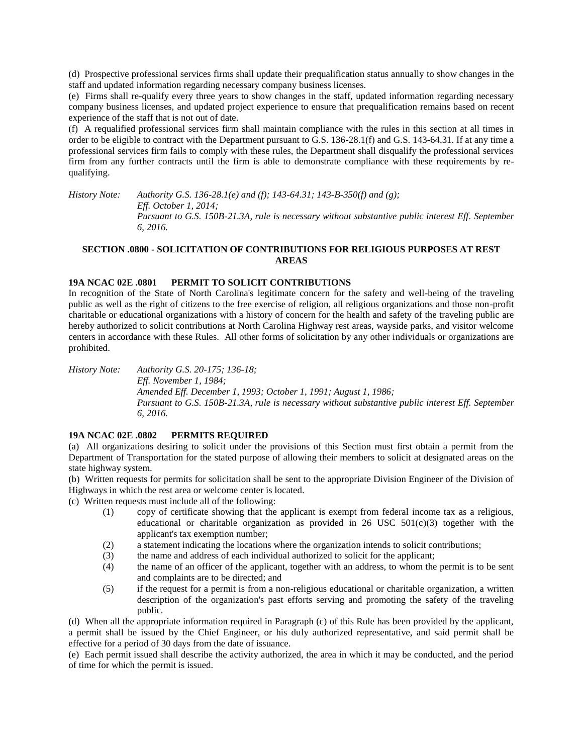(d) Prospective professional services firms shall update their prequalification status annually to show changes in the staff and updated information regarding necessary company business licenses.

(e) Firms shall re-qualify every three years to show changes in the staff, updated information regarding necessary company business licenses, and updated project experience to ensure that prequalification remains based on recent experience of the staff that is not out of date.

(f) A requalified professional services firm shall maintain compliance with the rules in this section at all times in order to be eligible to contract with the Department pursuant to G.S. 136-28.1(f) and G.S. 143-64.31. If at any time a professional services firm fails to comply with these rules, the Department shall disqualify the professional services firm from any further contracts until the firm is able to demonstrate compliance with these requirements by requalifying.

*History Note: Authority G.S. 136-28.1(e) and (f); 143-64.31; 143-B-350(f) and (g); Eff. October 1, 2014; Pursuant to G.S. 150B-21.3A, rule is necessary without substantive public interest Eff. September 6, 2016.*

# **SECTION .0800 - SOLICITATION OF CONTRIBUTIONS FOR RELIGIOUS PURPOSES AT REST AREAS**

# **19A NCAC 02E .0801 PERMIT TO SOLICIT CONTRIBUTIONS**

In recognition of the State of North Carolina's legitimate concern for the safety and well-being of the traveling public as well as the right of citizens to the free exercise of religion, all religious organizations and those non-profit charitable or educational organizations with a history of concern for the health and safety of the traveling public are hereby authorized to solicit contributions at North Carolina Highway rest areas, wayside parks, and visitor welcome centers in accordance with these Rules. All other forms of solicitation by any other individuals or organizations are prohibited.

*History Note: Authority G.S. 20-175; 136-18; Eff. November 1, 1984; Amended Eff. December 1, 1993; October 1, 1991; August 1, 1986; Pursuant to G.S. 150B-21.3A, rule is necessary without substantive public interest Eff. September 6, 2016.*

# **19A NCAC 02E .0802 PERMITS REQUIRED**

(a) All organizations desiring to solicit under the provisions of this Section must first obtain a permit from the Department of Transportation for the stated purpose of allowing their members to solicit at designated areas on the state highway system.

(b) Written requests for permits for solicitation shall be sent to the appropriate Division Engineer of the Division of Highways in which the rest area or welcome center is located.

(c) Written requests must include all of the following:

- (1) copy of certificate showing that the applicant is exempt from federal income tax as a religious, educational or charitable organization as provided in 26 USC  $501(c)(3)$  together with the applicant's tax exemption number;
- (2) a statement indicating the locations where the organization intends to solicit contributions;
- (3) the name and address of each individual authorized to solicit for the applicant;
- (4) the name of an officer of the applicant, together with an address, to whom the permit is to be sent and complaints are to be directed; and
- (5) if the request for a permit is from a non-religious educational or charitable organization, a written description of the organization's past efforts serving and promoting the safety of the traveling public.

(d) When all the appropriate information required in Paragraph (c) of this Rule has been provided by the applicant, a permit shall be issued by the Chief Engineer, or his duly authorized representative, and said permit shall be effective for a period of 30 days from the date of issuance.

(e) Each permit issued shall describe the activity authorized, the area in which it may be conducted, and the period of time for which the permit is issued.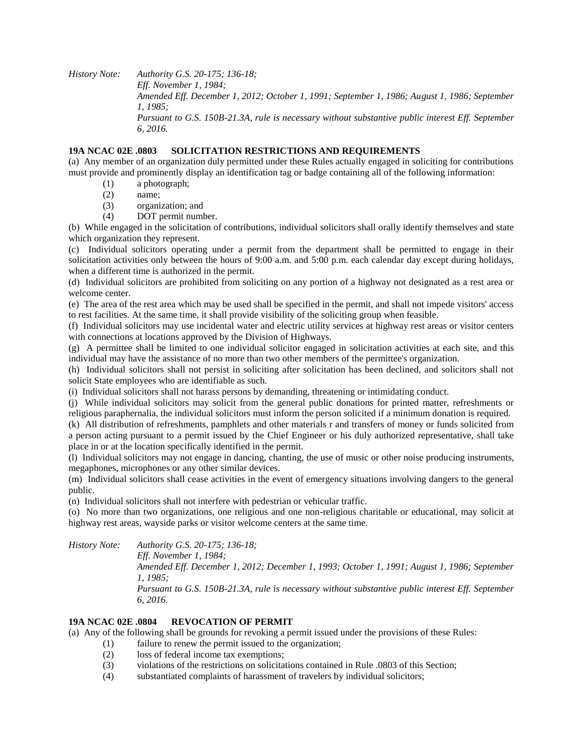*History Note: Authority G.S. 20-175; 136-18; Eff. November 1, 1984; Amended Eff. December 1, 2012; October 1, 1991; September 1, 1986; August 1, 1986; September 1, 1985; Pursuant to G.S. 150B-21.3A, rule is necessary without substantive public interest Eff. September 6, 2016.*

### **19A NCAC 02E .0803 SOLICITATION RESTRICTIONS AND REQUIREMENTS**

(a) Any member of an organization duly permitted under these Rules actually engaged in soliciting for contributions must provide and prominently display an identification tag or badge containing all of the following information:

- (1) a photograph;
- (2) name;
- (3) organization; and
- (4) DOT permit number.

(b) While engaged in the solicitation of contributions, individual solicitors shall orally identify themselves and state which organization they represent.

(c) Individual solicitors operating under a permit from the department shall be permitted to engage in their solicitation activities only between the hours of 9:00 a.m. and 5:00 p.m. each calendar day except during holidays, when a different time is authorized in the permit.

(d) Individual solicitors are prohibited from soliciting on any portion of a highway not designated as a rest area or welcome center.

(e) The area of the rest area which may be used shall be specified in the permit, and shall not impede visitors' access to rest facilities. At the same time, it shall provide visibility of the soliciting group when feasible.

(f) Individual solicitors may use incidental water and electric utility services at highway rest areas or visitor centers with connections at locations approved by the Division of Highways.

(g) A permittee shall be limited to one individual solicitor engaged in solicitation activities at each site, and this individual may have the assistance of no more than two other members of the permittee's organization.

(h) Individual solicitors shall not persist in soliciting after solicitation has been declined, and solicitors shall not solicit State employees who are identifiable as such.

(i) Individual solicitors shall not harass persons by demanding, threatening or intimidating conduct.

(j) While individual solicitors may solicit from the general public donations for printed matter, refreshments or religious paraphernalia, the individual solicitors must inform the person solicited if a minimum donation is required.

(k) All distribution of refreshments, pamphlets and other materials r and transfers of money or funds solicited from a person acting pursuant to a permit issued by the Chief Engineer or his duly authorized representative, shall take place in or at the location specifically identified in the permit.

(l) Individual solicitors may not engage in dancing, chanting, the use of music or other noise producing instruments, megaphones, microphones or any other similar devices.

(m) Individual solicitors shall cease activities in the event of emergency situations involving dangers to the general public.

(n) Individual solicitors shall not interfere with pedestrian or vehicular traffic.

(o) No more than two organizations, one religious and one non-religious charitable or educational, may solicit at highway rest areas, wayside parks or visitor welcome centers at the same time.

*History Note: Authority G.S. 20-175; 136-18;*

*Eff. November 1, 1984;*

*Amended Eff. December 1, 2012; December 1, 1993; October 1, 1991; August 1, 1986; September 1, 1985;*

*Pursuant to G.S. 150B-21.3A, rule is necessary without substantive public interest Eff. September 6, 2016.*

# **19A NCAC 02E .0804 REVOCATION OF PERMIT**

(a) Any of the following shall be grounds for revoking a permit issued under the provisions of these Rules:

- (1) failure to renew the permit issued to the organization;
- (2) loss of federal income tax exemptions;
- (3) violations of the restrictions on solicitations contained in Rule .0803 of this Section;
- (4) substantiated complaints of harassment of travelers by individual solicitors;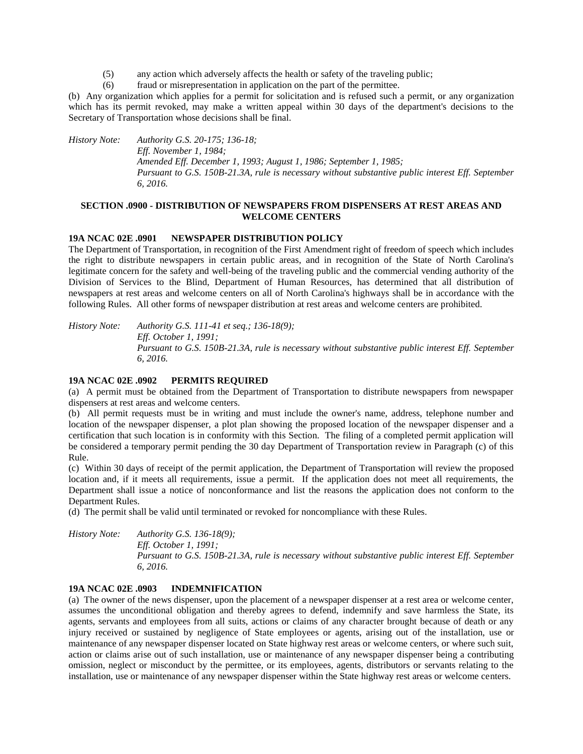(5) any action which adversely affects the health or safety of the traveling public;

(6) fraud or misrepresentation in application on the part of the permittee.

(b) Any organization which applies for a permit for solicitation and is refused such a permit, or any organization which has its permit revoked, may make a written appeal within 30 days of the department's decisions to the Secretary of Transportation whose decisions shall be final.

*History Note: Authority G.S. 20-175; 136-18; Eff. November 1, 1984; Amended Eff. December 1, 1993; August 1, 1986; September 1, 1985; Pursuant to G.S. 150B-21.3A, rule is necessary without substantive public interest Eff. September 6, 2016.*

# **SECTION .0900 - DISTRIBUTION OF NEWSPAPERS FROM DISPENSERS AT REST AREAS AND WELCOME CENTERS**

### **19A NCAC 02E .0901 NEWSPAPER DISTRIBUTION POLICY**

The Department of Transportation, in recognition of the First Amendment right of freedom of speech which includes the right to distribute newspapers in certain public areas, and in recognition of the State of North Carolina's legitimate concern for the safety and well-being of the traveling public and the commercial vending authority of the Division of Services to the Blind, Department of Human Resources, has determined that all distribution of newspapers at rest areas and welcome centers on all of North Carolina's highways shall be in accordance with the following Rules. All other forms of newspaper distribution at rest areas and welcome centers are prohibited.

*History Note: Authority G.S. 111-41 et seq.; 136-18(9); Eff. October 1, 1991; Pursuant to G.S. 150B-21.3A, rule is necessary without substantive public interest Eff. September 6, 2016.*

### **19A NCAC 02E .0902 PERMITS REQUIRED**

(a) A permit must be obtained from the Department of Transportation to distribute newspapers from newspaper dispensers at rest areas and welcome centers.

(b) All permit requests must be in writing and must include the owner's name, address, telephone number and location of the newspaper dispenser, a plot plan showing the proposed location of the newspaper dispenser and a certification that such location is in conformity with this Section. The filing of a completed permit application will be considered a temporary permit pending the 30 day Department of Transportation review in Paragraph (c) of this Rule.

(c) Within 30 days of receipt of the permit application, the Department of Transportation will review the proposed location and, if it meets all requirements, issue a permit. If the application does not meet all requirements, the Department shall issue a notice of nonconformance and list the reasons the application does not conform to the Department Rules.

(d) The permit shall be valid until terminated or revoked for noncompliance with these Rules.

*History Note: Authority G.S. 136-18(9); Eff. October 1, 1991; Pursuant to G.S. 150B-21.3A, rule is necessary without substantive public interest Eff. September 6, 2016.*

# **19A NCAC 02E .0903 INDEMNIFICATION**

(a) The owner of the news dispenser, upon the placement of a newspaper dispenser at a rest area or welcome center, assumes the unconditional obligation and thereby agrees to defend, indemnify and save harmless the State, its agents, servants and employees from all suits, actions or claims of any character brought because of death or any injury received or sustained by negligence of State employees or agents, arising out of the installation, use or maintenance of any newspaper dispenser located on State highway rest areas or welcome centers, or where such suit, action or claims arise out of such installation, use or maintenance of any newspaper dispenser being a contributing omission, neglect or misconduct by the permittee, or its employees, agents, distributors or servants relating to the installation, use or maintenance of any newspaper dispenser within the State highway rest areas or welcome centers.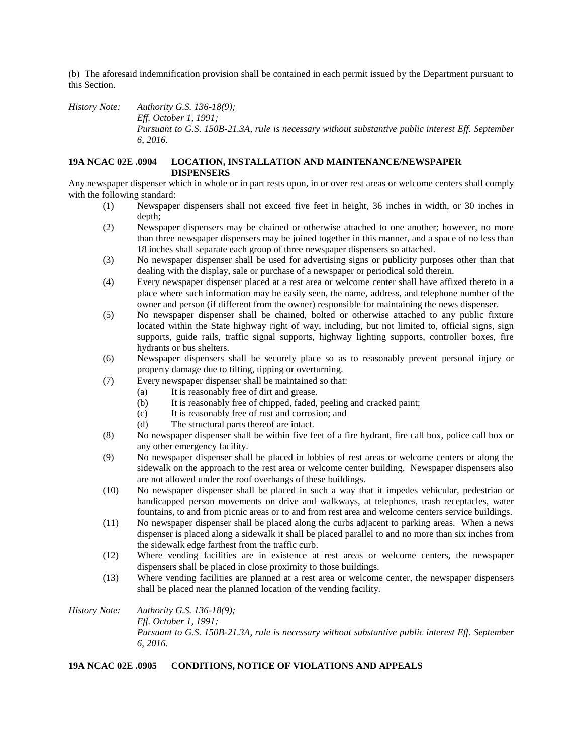(b) The aforesaid indemnification provision shall be contained in each permit issued by the Department pursuant to this Section.

*History Note: Authority G.S. 136-18(9); Eff. October 1, 1991; Pursuant to G.S. 150B-21.3A, rule is necessary without substantive public interest Eff. September 6, 2016.*

# **19A NCAC 02E .0904 LOCATION, INSTALLATION AND MAINTENANCE/NEWSPAPER DISPENSERS**

Any newspaper dispenser which in whole or in part rests upon, in or over rest areas or welcome centers shall comply with the following standard:

- (1) Newspaper dispensers shall not exceed five feet in height, 36 inches in width, or 30 inches in depth;
- (2) Newspaper dispensers may be chained or otherwise attached to one another; however, no more than three newspaper dispensers may be joined together in this manner, and a space of no less than 18 inches shall separate each group of three newspaper dispensers so attached.
- (3) No newspaper dispenser shall be used for advertising signs or publicity purposes other than that dealing with the display, sale or purchase of a newspaper or periodical sold therein.
- (4) Every newspaper dispenser placed at a rest area or welcome center shall have affixed thereto in a place where such information may be easily seen, the name, address, and telephone number of the owner and person (if different from the owner) responsible for maintaining the news dispenser.
- (5) No newspaper dispenser shall be chained, bolted or otherwise attached to any public fixture located within the State highway right of way, including, but not limited to, official signs, sign supports, guide rails, traffic signal supports, highway lighting supports, controller boxes, fire hydrants or bus shelters.
- (6) Newspaper dispensers shall be securely place so as to reasonably prevent personal injury or property damage due to tilting, tipping or overturning.
- (7) Every newspaper dispenser shall be maintained so that:
	- (a) It is reasonably free of dirt and grease.
	- (b) It is reasonably free of chipped, faded, peeling and cracked paint;
	- (c) It is reasonably free of rust and corrosion; and
	- (d) The structural parts thereof are intact.
- (8) No newspaper dispenser shall be within five feet of a fire hydrant, fire call box, police call box or any other emergency facility.
- (9) No newspaper dispenser shall be placed in lobbies of rest areas or welcome centers or along the sidewalk on the approach to the rest area or welcome center building. Newspaper dispensers also are not allowed under the roof overhangs of these buildings.
- (10) No newspaper dispenser shall be placed in such a way that it impedes vehicular, pedestrian or handicapped person movements on drive and walkways, at telephones, trash receptacles, water fountains, to and from picnic areas or to and from rest area and welcome centers service buildings.
- (11) No newspaper dispenser shall be placed along the curbs adjacent to parking areas. When a news dispenser is placed along a sidewalk it shall be placed parallel to and no more than six inches from the sidewalk edge farthest from the traffic curb.
- (12) Where vending facilities are in existence at rest areas or welcome centers, the newspaper dispensers shall be placed in close proximity to those buildings.
- (13) Where vending facilities are planned at a rest area or welcome center, the newspaper dispensers shall be placed near the planned location of the vending facility.
- *History Note: Authority G.S. 136-18(9); Eff. October 1, 1991; Pursuant to G.S. 150B-21.3A, rule is necessary without substantive public interest Eff. September 6, 2016.*

# **19A NCAC 02E .0905 CONDITIONS, NOTICE OF VIOLATIONS AND APPEALS**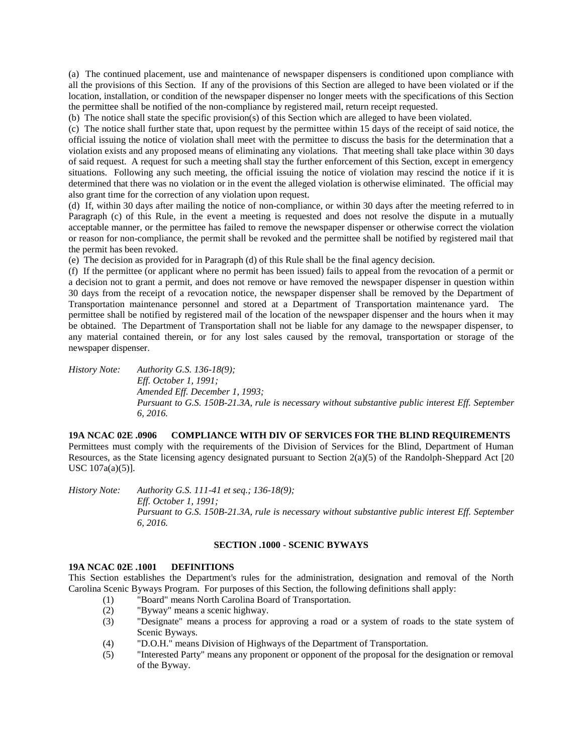(a) The continued placement, use and maintenance of newspaper dispensers is conditioned upon compliance with all the provisions of this Section. If any of the provisions of this Section are alleged to have been violated or if the location, installation, or condition of the newspaper dispenser no longer meets with the specifications of this Section the permittee shall be notified of the non-compliance by registered mail, return receipt requested.

(b) The notice shall state the specific provision(s) of this Section which are alleged to have been violated.

(c) The notice shall further state that, upon request by the permittee within 15 days of the receipt of said notice, the official issuing the notice of violation shall meet with the permittee to discuss the basis for the determination that a violation exists and any proposed means of eliminating any violations. That meeting shall take place within 30 days of said request. A request for such a meeting shall stay the further enforcement of this Section, except in emergency situations. Following any such meeting, the official issuing the notice of violation may rescind the notice if it is determined that there was no violation or in the event the alleged violation is otherwise eliminated. The official may also grant time for the correction of any violation upon request.

(d) If, within 30 days after mailing the notice of non-compliance, or within 30 days after the meeting referred to in Paragraph (c) of this Rule, in the event a meeting is requested and does not resolve the dispute in a mutually acceptable manner, or the permittee has failed to remove the newspaper dispenser or otherwise correct the violation or reason for non-compliance, the permit shall be revoked and the permittee shall be notified by registered mail that the permit has been revoked.

(e) The decision as provided for in Paragraph (d) of this Rule shall be the final agency decision.

(f) If the permittee (or applicant where no permit has been issued) fails to appeal from the revocation of a permit or a decision not to grant a permit, and does not remove or have removed the newspaper dispenser in question within 30 days from the receipt of a revocation notice, the newspaper dispenser shall be removed by the Department of Transportation maintenance personnel and stored at a Department of Transportation maintenance yard. The permittee shall be notified by registered mail of the location of the newspaper dispenser and the hours when it may be obtained. The Department of Transportation shall not be liable for any damage to the newspaper dispenser, to any material contained therein, or for any lost sales caused by the removal, transportation or storage of the newspaper dispenser.

*History Note: Authority G.S. 136-18(9); Eff. October 1, 1991; Amended Eff. December 1, 1993; Pursuant to G.S. 150B-21.3A, rule is necessary without substantive public interest Eff. September 6, 2016.*

**19A NCAC 02E .0906 COMPLIANCE WITH DIV OF SERVICES FOR THE BLIND REQUIREMENTS**

Permittees must comply with the requirements of the Division of Services for the Blind, Department of Human Resources, as the State licensing agency designated pursuant to Section 2(a)(5) of the Randolph-Sheppard Act [20 USC 107a(a)(5)].

*History Note: Authority G.S. 111-41 et seq.; 136-18(9); Eff. October 1, 1991; Pursuant to G.S. 150B-21.3A, rule is necessary without substantive public interest Eff. September 6, 2016.*

## **SECTION .1000 - SCENIC BYWAYS**

# **19A NCAC 02E .1001 DEFINITIONS**

This Section establishes the Department's rules for the administration, designation and removal of the North Carolina Scenic Byways Program. For purposes of this Section, the following definitions shall apply:

- (1) "Board" means North Carolina Board of Transportation.
- (2) "Byway" means a scenic highway.
- (3) "Designate" means a process for approving a road or a system of roads to the state system of Scenic Byways.
- (4) "D.O.H." means Division of Highways of the Department of Transportation.
- (5) "Interested Party" means any proponent or opponent of the proposal for the designation or removal of the Byway.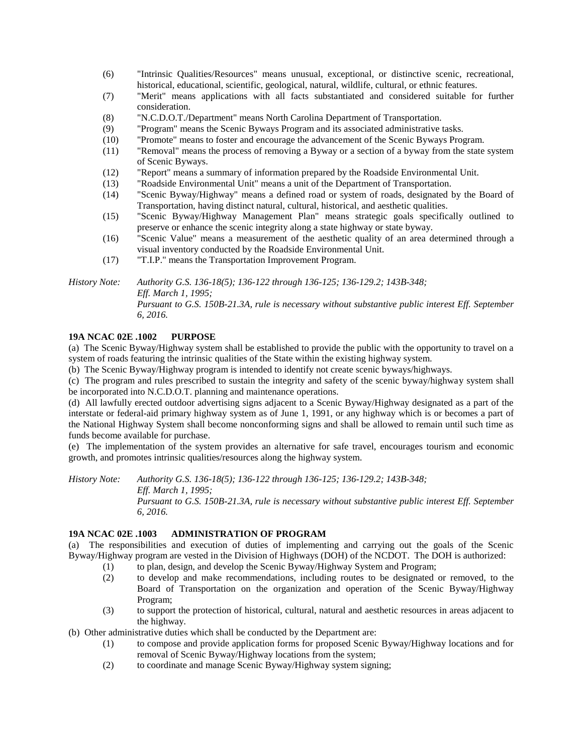- (6) "Intrinsic Qualities/Resources" means unusual, exceptional, or distinctive scenic, recreational, historical, educational, scientific, geological, natural, wildlife, cultural, or ethnic features.
- (7) "Merit" means applications with all facts substantiated and considered suitable for further consideration.
- (8) "N.C.D.O.T./Department" means North Carolina Department of Transportation.
- (9) "Program" means the Scenic Byways Program and its associated administrative tasks.
- (10) "Promote" means to foster and encourage the advancement of the Scenic Byways Program.
- (11) "Removal" means the process of removing a Byway or a section of a byway from the state system of Scenic Byways.
- (12) "Report" means a summary of information prepared by the Roadside Environmental Unit.
- (13) "Roadside Environmental Unit" means a unit of the Department of Transportation.
- (14) "Scenic Byway/Highway" means a defined road or system of roads, designated by the Board of Transportation, having distinct natural, cultural, historical, and aesthetic qualities.
- (15) "Scenic Byway/Highway Management Plan" means strategic goals specifically outlined to preserve or enhance the scenic integrity along a state highway or state byway.
- (16) "Scenic Value" means a measurement of the aesthetic quality of an area determined through a visual inventory conducted by the Roadside Environmental Unit.
- (17) "T.I.P." means the Transportation Improvement Program.

*History Note: Authority G.S. 136-18(5); 136-122 through 136-125; 136-129.2; 143B-348; Eff. March 1, 1995; Pursuant to G.S. 150B-21.3A, rule is necessary without substantive public interest Eff. September 6, 2016.*

# **19A NCAC 02E .1002 PURPOSE**

(a) The Scenic Byway/Highway system shall be established to provide the public with the opportunity to travel on a system of roads featuring the intrinsic qualities of the State within the existing highway system.

(b) The Scenic Byway/Highway program is intended to identify not create scenic byways/highways.

(c) The program and rules prescribed to sustain the integrity and safety of the scenic byway/highway system shall be incorporated into N.C.D.O.T. planning and maintenance operations.

(d) All lawfully erected outdoor advertising signs adjacent to a Scenic Byway/Highway designated as a part of the interstate or federal-aid primary highway system as of June 1, 1991, or any highway which is or becomes a part of the National Highway System shall become nonconforming signs and shall be allowed to remain until such time as funds become available for purchase.

(e) The implementation of the system provides an alternative for safe travel, encourages tourism and economic growth, and promotes intrinsic qualities/resources along the highway system.

*History Note: Authority G.S. 136-18(5); 136-122 through 136-125; 136-129.2; 143B-348; Eff. March 1, 1995; Pursuant to G.S. 150B-21.3A, rule is necessary without substantive public interest Eff. September 6, 2016.*

# **19A NCAC 02E .1003 ADMINISTRATION OF PROGRAM**

(a) The responsibilities and execution of duties of implementing and carrying out the goals of the Scenic Byway/Highway program are vested in the Division of Highways (DOH) of the NCDOT. The DOH is authorized:

- (1) to plan, design, and develop the Scenic Byway/Highway System and Program;
- (2) to develop and make recommendations, including routes to be designated or removed, to the Board of Transportation on the organization and operation of the Scenic Byway/Highway Program;
- (3) to support the protection of historical, cultural, natural and aesthetic resources in areas adjacent to the highway.
- (b) Other administrative duties which shall be conducted by the Department are:
	- (1) to compose and provide application forms for proposed Scenic Byway/Highway locations and for removal of Scenic Byway/Highway locations from the system;
	- (2) to coordinate and manage Scenic Byway/Highway system signing;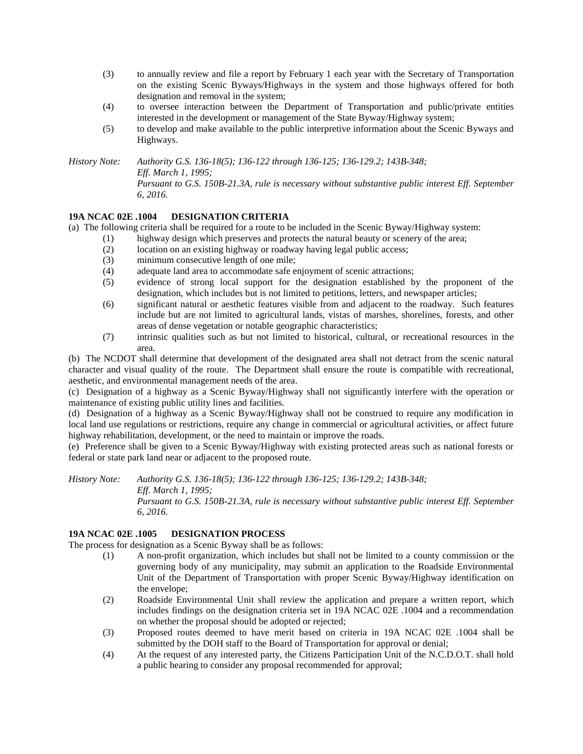- (3) to annually review and file a report by February 1 each year with the Secretary of Transportation on the existing Scenic Byways/Highways in the system and those highways offered for both designation and removal in the system;
- (4) to oversee interaction between the Department of Transportation and public/private entities interested in the development or management of the State Byway/Highway system;
- (5) to develop and make available to the public interpretive information about the Scenic Byways and Highways.

*History Note: Authority G.S. 136-18(5); 136-122 through 136-125; 136-129.2; 143B-348; Eff. March 1, 1995; Pursuant to G.S. 150B-21.3A, rule is necessary without substantive public interest Eff. September* 

# **19A NCAC 02E .1004 DESIGNATION CRITERIA**

*6, 2016.*

(a) The following criteria shall be required for a route to be included in the Scenic Byway/Highway system:

- (1) highway design which preserves and protects the natural beauty or scenery of the area;
- (2) location on an existing highway or roadway having legal public access;
- (3) minimum consecutive length of one mile;
- (4) adequate land area to accommodate safe enjoyment of scenic attractions;
- (5) evidence of strong local support for the designation established by the proponent of the designation, which includes but is not limited to petitions, letters, and newspaper articles;
- (6) significant natural or aesthetic features visible from and adjacent to the roadway. Such features include but are not limited to agricultural lands, vistas of marshes, shorelines, forests, and other areas of dense vegetation or notable geographic characteristics;
- (7) intrinsic qualities such as but not limited to historical, cultural, or recreational resources in the area.

(b) The NCDOT shall determine that development of the designated area shall not detract from the scenic natural character and visual quality of the route. The Department shall ensure the route is compatible with recreational, aesthetic, and environmental management needs of the area.

(c) Designation of a highway as a Scenic Byway/Highway shall not significantly interfere with the operation or maintenance of existing public utility lines and facilities.

(d) Designation of a highway as a Scenic Byway/Highway shall not be construed to require any modification in local land use regulations or restrictions, require any change in commercial or agricultural activities, or affect future highway rehabilitation, development, or the need to maintain or improve the roads.

(e) Preference shall be given to a Scenic Byway/Highway with existing protected areas such as national forests or federal or state park land near or adjacent to the proposed route.

*History Note: Authority G.S. 136-18(5); 136-122 through 136-125; 136-129.2; 143B-348; Eff. March 1, 1995; Pursuant to G.S. 150B-21.3A, rule is necessary without substantive public interest Eff. September 6, 2016.*

# **19A NCAC 02E .1005 DESIGNATION PROCESS**

The process for designation as a Scenic Byway shall be as follows:

- (1) A non-profit organization, which includes but shall not be limited to a county commission or the governing body of any municipality, may submit an application to the Roadside Environmental Unit of the Department of Transportation with proper Scenic Byway/Highway identification on the envelope;
- (2) Roadside Environmental Unit shall review the application and prepare a written report, which includes findings on the designation criteria set in 19A NCAC 02E .1004 and a recommendation on whether the proposal should be adopted or rejected;
- (3) Proposed routes deemed to have merit based on criteria in 19A NCAC 02E .1004 shall be submitted by the DOH staff to the Board of Transportation for approval or denial;
- (4) At the request of any interested party, the Citizens Participation Unit of the N.C.D.O.T. shall hold a public hearing to consider any proposal recommended for approval;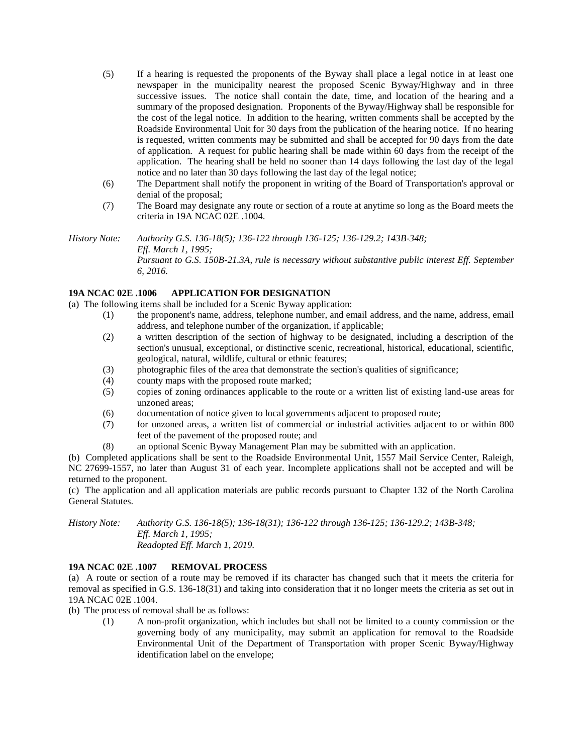- (5) If a hearing is requested the proponents of the Byway shall place a legal notice in at least one newspaper in the municipality nearest the proposed Scenic Byway/Highway and in three successive issues. The notice shall contain the date, time, and location of the hearing and a summary of the proposed designation. Proponents of the Byway/Highway shall be responsible for the cost of the legal notice. In addition to the hearing, written comments shall be accepted by the Roadside Environmental Unit for 30 days from the publication of the hearing notice. If no hearing is requested, written comments may be submitted and shall be accepted for 90 days from the date of application. A request for public hearing shall be made within 60 days from the receipt of the application. The hearing shall be held no sooner than 14 days following the last day of the legal notice and no later than 30 days following the last day of the legal notice;
- (6) The Department shall notify the proponent in writing of the Board of Transportation's approval or denial of the proposal;
- (7) The Board may designate any route or section of a route at anytime so long as the Board meets the criteria in 19A NCAC 02E .1004.
- *History Note: Authority G.S. 136-18(5); 136-122 through 136-125; 136-129.2; 143B-348; Eff. March 1, 1995; Pursuant to G.S. 150B-21.3A, rule is necessary without substantive public interest Eff. September 6, 2016.*

# **19A NCAC 02E .1006 APPLICATION FOR DESIGNATION**

(a) The following items shall be included for a Scenic Byway application:

- (1) the proponent's name, address, telephone number, and email address, and the name, address, email address, and telephone number of the organization, if applicable;
- (2) a written description of the section of highway to be designated, including a description of the section's unusual, exceptional, or distinctive scenic, recreational, historical, educational, scientific, geological, natural, wildlife, cultural or ethnic features;
- (3) photographic files of the area that demonstrate the section's qualities of significance;
- (4) county maps with the proposed route marked;
- (5) copies of zoning ordinances applicable to the route or a written list of existing land-use areas for unzoned areas;
- (6) documentation of notice given to local governments adjacent to proposed route;
- (7) for unzoned areas, a written list of commercial or industrial activities adjacent to or within 800 feet of the pavement of the proposed route; and
- (8) an optional Scenic Byway Management Plan may be submitted with an application.

(b) Completed applications shall be sent to the Roadside Environmental Unit, 1557 Mail Service Center, Raleigh, NC 27699-1557, no later than August 31 of each year. Incomplete applications shall not be accepted and will be returned to the proponent.

(c) The application and all application materials are public records pursuant to Chapter 132 of the North Carolina General Statutes.

*History Note: Authority G.S. 136-18(5); 136-18(31); 136-122 through 136-125; 136-129.2; 143B-348; Eff. March 1, 1995; Readopted Eff. March 1, 2019.*

# **19A NCAC 02E .1007 REMOVAL PROCESS**

(a) A route or section of a route may be removed if its character has changed such that it meets the criteria for removal as specified in G.S. 136-18(31) and taking into consideration that it no longer meets the criteria as set out in 19A NCAC 02E .1004.

- (b) The process of removal shall be as follows:
	- (1) A non-profit organization, which includes but shall not be limited to a county commission or the governing body of any municipality, may submit an application for removal to the Roadside Environmental Unit of the Department of Transportation with proper Scenic Byway/Highway identification label on the envelope;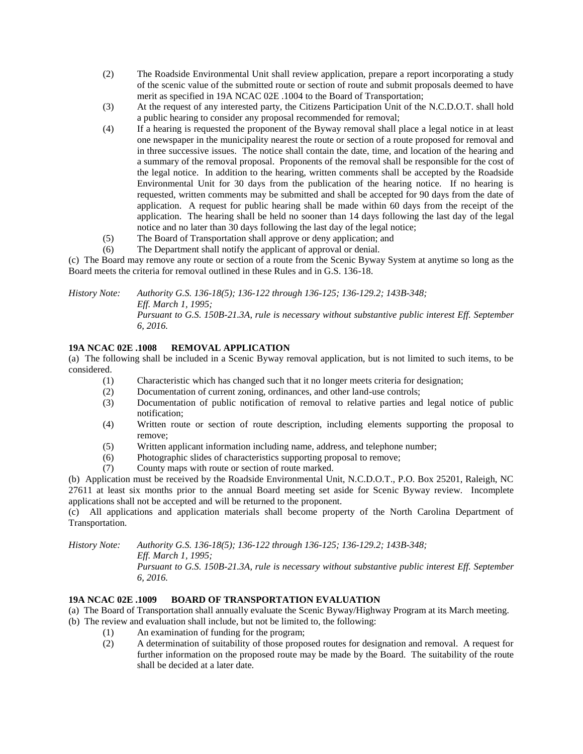- (2) The Roadside Environmental Unit shall review application, prepare a report incorporating a study of the scenic value of the submitted route or section of route and submit proposals deemed to have merit as specified in 19A NCAC 02E .1004 to the Board of Transportation;
- (3) At the request of any interested party, the Citizens Participation Unit of the N.C.D.O.T. shall hold a public hearing to consider any proposal recommended for removal;
- (4) If a hearing is requested the proponent of the Byway removal shall place a legal notice in at least one newspaper in the municipality nearest the route or section of a route proposed for removal and in three successive issues. The notice shall contain the date, time, and location of the hearing and a summary of the removal proposal. Proponents of the removal shall be responsible for the cost of the legal notice. In addition to the hearing, written comments shall be accepted by the Roadside Environmental Unit for 30 days from the publication of the hearing notice. If no hearing is requested, written comments may be submitted and shall be accepted for 90 days from the date of application. A request for public hearing shall be made within 60 days from the receipt of the application. The hearing shall be held no sooner than 14 days following the last day of the legal notice and no later than 30 days following the last day of the legal notice;
- (5) The Board of Transportation shall approve or deny application; and
- (6) The Department shall notify the applicant of approval or denial.

(c) The Board may remove any route or section of a route from the Scenic Byway System at anytime so long as the Board meets the criteria for removal outlined in these Rules and in G.S. 136-18.

*History Note: Authority G.S. 136-18(5); 136-122 through 136-125; 136-129.2; 143B-348; Eff. March 1, 1995;*

*Pursuant to G.S. 150B-21.3A, rule is necessary without substantive public interest Eff. September 6, 2016.*

# **19A NCAC 02E .1008 REMOVAL APPLICATION**

(a) The following shall be included in a Scenic Byway removal application, but is not limited to such items, to be considered.

- (1) Characteristic which has changed such that it no longer meets criteria for designation;
- (2) Documentation of current zoning, ordinances, and other land-use controls;
- (3) Documentation of public notification of removal to relative parties and legal notice of public notification;
- (4) Written route or section of route description, including elements supporting the proposal to remove;
- (5) Written applicant information including name, address, and telephone number;
- (6) Photographic slides of characteristics supporting proposal to remove;
- (7) County maps with route or section of route marked.

(b) Application must be received by the Roadside Environmental Unit, N.C.D.O.T., P.O. Box 25201, Raleigh, NC 27611 at least six months prior to the annual Board meeting set aside for Scenic Byway review. Incomplete applications shall not be accepted and will be returned to the proponent.

(c) All applications and application materials shall become property of the North Carolina Department of Transportation.

*History Note: Authority G.S. 136-18(5); 136-122 through 136-125; 136-129.2; 143B-348; Eff. March 1, 1995;*

*Pursuant to G.S. 150B-21.3A, rule is necessary without substantive public interest Eff. September 6, 2016.*

# **19A NCAC 02E .1009 BOARD OF TRANSPORTATION EVALUATION**

- (a) The Board of Transportation shall annually evaluate the Scenic Byway/Highway Program at its March meeting.
- (b) The review and evaluation shall include, but not be limited to, the following:
	- (1) An examination of funding for the program;
	- (2) A determination of suitability of those proposed routes for designation and removal. A request for further information on the proposed route may be made by the Board. The suitability of the route shall be decided at a later date.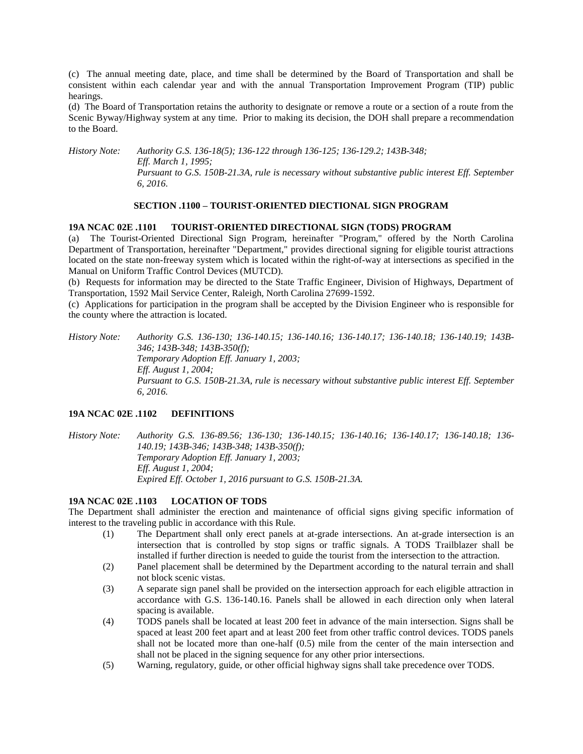(c) The annual meeting date, place, and time shall be determined by the Board of Transportation and shall be consistent within each calendar year and with the annual Transportation Improvement Program (TIP) public hearings.

(d) The Board of Transportation retains the authority to designate or remove a route or a section of a route from the Scenic Byway/Highway system at any time. Prior to making its decision, the DOH shall prepare a recommendation to the Board.

*History Note: Authority G.S. 136-18(5); 136-122 through 136-125; 136-129.2; 143B-348; Eff. March 1, 1995; Pursuant to G.S. 150B-21.3A, rule is necessary without substantive public interest Eff. September 6, 2016.*

### **SECTION .1100 – TOURIST-ORIENTED DIECTIONAL SIGN PROGRAM**

#### **19A NCAC 02E .1101 TOURIST-ORIENTED DIRECTIONAL SIGN (TODS) PROGRAM**

(a) The Tourist-Oriented Directional Sign Program, hereinafter "Program," offered by the North Carolina Department of Transportation, hereinafter "Department," provides directional signing for eligible tourist attractions located on the state non-freeway system which is located within the right-of-way at intersections as specified in the Manual on Uniform Traffic Control Devices (MUTCD).

(b) Requests for information may be directed to the State Traffic Engineer, Division of Highways, Department of Transportation, 1592 Mail Service Center, Raleigh, North Carolina 27699-1592.

(c) Applications for participation in the program shall be accepted by the Division Engineer who is responsible for the county where the attraction is located.

*History Note: Authority G.S. 136-130; 136-140.15; 136-140.16; 136-140.17; 136-140.18; 136-140.19; 143B-346; 143B-348; 143B-350(f); Temporary Adoption Eff. January 1, 2003; Eff. August 1, 2004; Pursuant to G.S. 150B-21.3A, rule is necessary without substantive public interest Eff. September 6, 2016.*

# **19A NCAC 02E .1102 DEFINITIONS**

*History Note: Authority G.S. 136-89.56; 136-130; 136-140.15; 136-140.16; 136-140.17; 136-140.18; 136- 140.19; 143B-346; 143B-348; 143B-350(f); Temporary Adoption Eff. January 1, 2003; Eff. August 1, 2004; Expired Eff. October 1, 2016 pursuant to G.S. 150B-21.3A.*

### **19A NCAC 02E .1103 LOCATION OF TODS**

The Department shall administer the erection and maintenance of official signs giving specific information of interest to the traveling public in accordance with this Rule.

- (1) The Department shall only erect panels at at-grade intersections. An at-grade intersection is an intersection that is controlled by stop signs or traffic signals. A TODS Trailblazer shall be installed if further direction is needed to guide the tourist from the intersection to the attraction.
- (2) Panel placement shall be determined by the Department according to the natural terrain and shall not block scenic vistas.
- (3) A separate sign panel shall be provided on the intersection approach for each eligible attraction in accordance with G.S. 136-140.16. Panels shall be allowed in each direction only when lateral spacing is available.
- (4) TODS panels shall be located at least 200 feet in advance of the main intersection. Signs shall be spaced at least 200 feet apart and at least 200 feet from other traffic control devices. TODS panels shall not be located more than one-half (0.5) mile from the center of the main intersection and shall not be placed in the signing sequence for any other prior intersections.
- (5) Warning, regulatory, guide, or other official highway signs shall take precedence over TODS.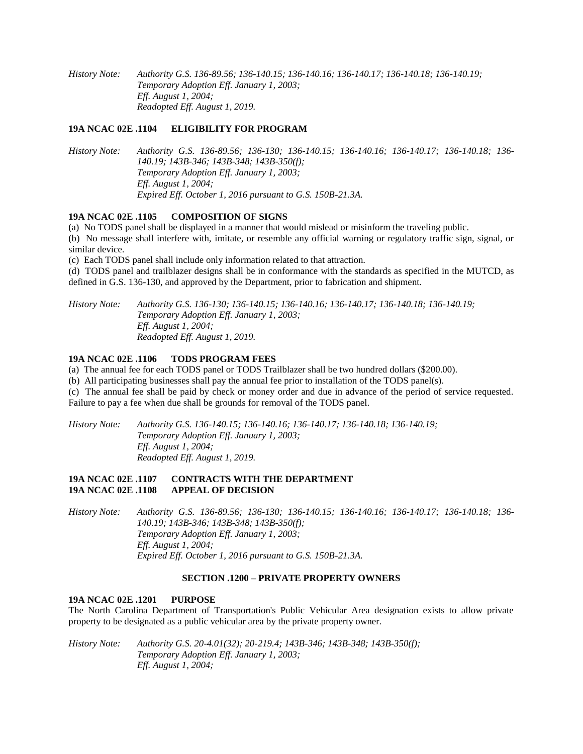*History Note: Authority G.S. 136-89.56; 136-140.15; 136-140.16; 136-140.17; 136-140.18; 136-140.19; Temporary Adoption Eff. January 1, 2003; Eff. August 1, 2004; Readopted Eff. August 1, 2019.*

# **19A NCAC 02E .1104 ELIGIBILITY FOR PROGRAM**

*History Note: Authority G.S. 136-89.56; 136-130; 136-140.15; 136-140.16; 136-140.17; 136-140.18; 136- 140.19; 143B-346; 143B-348; 143B-350(f); Temporary Adoption Eff. January 1, 2003; Eff. August 1, 2004; Expired Eff. October 1, 2016 pursuant to G.S. 150B-21.3A.*

### **19A NCAC 02E .1105 COMPOSITION OF SIGNS**

(a) No TODS panel shall be displayed in a manner that would mislead or misinform the traveling public.

(b) No message shall interfere with, imitate, or resemble any official warning or regulatory traffic sign, signal, or similar device.

(c) Each TODS panel shall include only information related to that attraction.

(d) TODS panel and trailblazer designs shall be in conformance with the standards as specified in the MUTCD, as defined in G.S. 136-130, and approved by the Department, prior to fabrication and shipment.

*History Note: Authority G.S. 136-130; 136-140.15; 136-140.16; 136-140.17; 136-140.18; 136-140.19; Temporary Adoption Eff. January 1, 2003; Eff. August 1, 2004; Readopted Eff. August 1, 2019.*

# **19A NCAC 02E .1106 TODS PROGRAM FEES**

(a) The annual fee for each TODS panel or TODS Trailblazer shall be two hundred dollars (\$200.00).

(b) All participating businesses shall pay the annual fee prior to installation of the TODS panel(s).

(c) The annual fee shall be paid by check or money order and due in advance of the period of service requested. Failure to pay a fee when due shall be grounds for removal of the TODS panel.

*History Note: Authority G.S. 136-140.15; 136-140.16; 136-140.17; 136-140.18; 136-140.19; Temporary Adoption Eff. January 1, 2003; Eff. August 1, 2004; Readopted Eff. August 1, 2019.*

## **19A NCAC 02E .1107 CONTRACTS WITH THE DEPARTMENT 19A NCAC 02E .1108 APPEAL OF DECISION**

*History Note: Authority G.S. 136-89.56; 136-130; 136-140.15; 136-140.16; 136-140.17; 136-140.18; 136- 140.19; 143B-346; 143B-348; 143B-350(f); Temporary Adoption Eff. January 1, 2003; Eff. August 1, 2004; Expired Eff. October 1, 2016 pursuant to G.S. 150B-21.3A.*

### **SECTION .1200 – PRIVATE PROPERTY OWNERS**

### **19A NCAC 02E .1201 PURPOSE**

The North Carolina Department of Transportation's Public Vehicular Area designation exists to allow private property to be designated as a public vehicular area by the private property owner.

*History Note: Authority G.S. 20-4.01(32); 20-219.4; 143B-346; 143B-348; 143B-350(f); Temporary Adoption Eff. January 1, 2003; Eff. August 1, 2004;*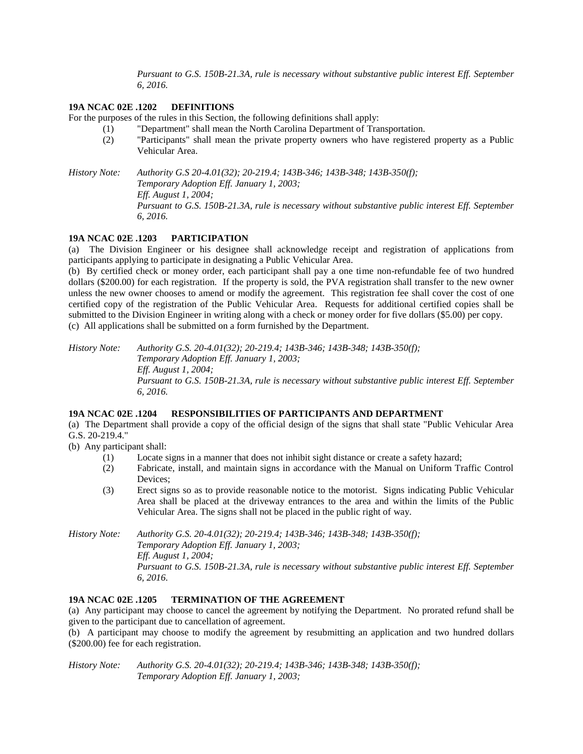*Pursuant to G.S. 150B-21.3A, rule is necessary without substantive public interest Eff. September 6, 2016.*

# **19A NCAC 02E .1202 DEFINITIONS**

For the purposes of the rules in this Section, the following definitions shall apply:

- (1) "Department" shall mean the North Carolina Department of Transportation.
- (2) "Participants" shall mean the private property owners who have registered property as a Public Vehicular Area.

*History Note: Authority G.S 20-4.01(32); 20-219.4; 143B-346; 143B-348; 143B-350(f); Temporary Adoption Eff. January 1, 2003; Eff. August 1, 2004; Pursuant to G.S. 150B-21.3A, rule is necessary without substantive public interest Eff. September 6, 2016.*

### **19A NCAC 02E .1203 PARTICIPATION**

(a)The Division Engineer or his designee shall acknowledge receipt and registration of applications from participants applying to participate in designating a Public Vehicular Area.

(b) By certified check or money order, each participant shall pay a one time non-refundable fee of two hundred dollars (\$200.00) for each registration. If the property is sold, the PVA registration shall transfer to the new owner unless the new owner chooses to amend or modify the agreement. This registration fee shall cover the cost of one certified copy of the registration of the Public Vehicular Area. Requests for additional certified copies shall be submitted to the Division Engineer in writing along with a check or money order for five dollars (\$5.00) per copy. (c) All applications shall be submitted on a form furnished by the Department.

*History Note: Authority G.S. 20-4.01(32); 20-219.4; 143B-346; 143B-348; 143B-350(f); Temporary Adoption Eff. January 1, 2003; Eff. August 1, 2004; Pursuant to G.S. 150B-21.3A, rule is necessary without substantive public interest Eff. September 6, 2016.*

# **19A NCAC 02E .1204 RESPONSIBILITIES OF PARTICIPANTS AND DEPARTMENT**

(a) The Department shall provide a copy of the official design of the signs that shall state "Public Vehicular Area G.S. 20-219.4."

(b) Any participant shall:

- (1) Locate signs in a manner that does not inhibit sight distance or create a safety hazard;
- (2) Fabricate, install, and maintain signs in accordance with the Manual on Uniform Traffic Control Devices;
- (3) Erect signs so as to provide reasonable notice to the motorist. Signs indicating Public Vehicular Area shall be placed at the driveway entrances to the area and within the limits of the Public Vehicular Area. The signs shall not be placed in the public right of way.

*History Note: Authority G.S. 20-4.01(32); 20-219.4; 143B-346; 143B-348; 143B-350(f); Temporary Adoption Eff. January 1, 2003; Eff. August 1, 2004; Pursuant to G.S. 150B-21.3A, rule is necessary without substantive public interest Eff. September 6, 2016.*

# **19A NCAC 02E .1205 TERMINATION OF THE AGREEMENT**

(a) Any participant may choose to cancel the agreement by notifying the Department. No prorated refund shall be given to the participant due to cancellation of agreement.

(b) A participant may choose to modify the agreement by resubmitting an application and two hundred dollars (\$200.00) fee for each registration.

*History Note: Authority G.S. 20-4.01(32); 20-219.4; 143B-346; 143B-348; 143B-350(f); Temporary Adoption Eff. January 1, 2003;*